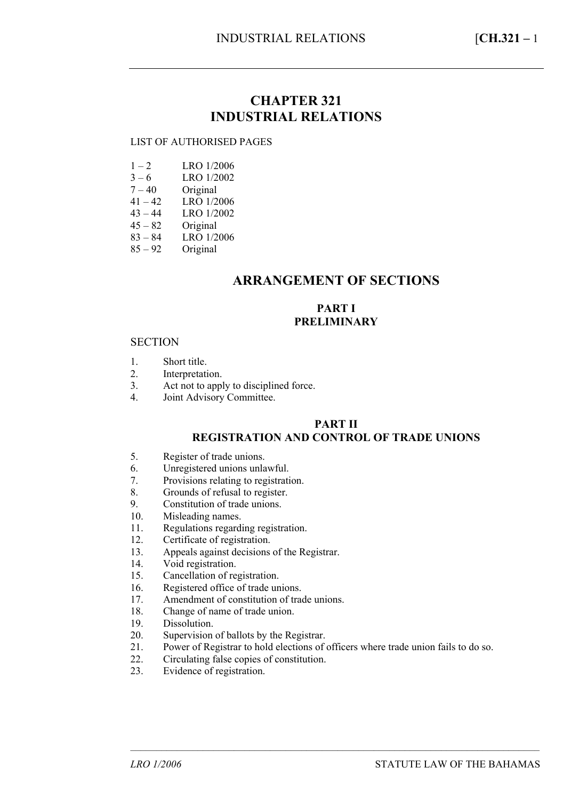## **CHAPTER 321 INDUSTRIAL RELATIONS**

#### LIST OF AUTHORISED PAGES

- $3 6$  LRO 1/2002
- $7 40$  Original<br> $41 42$  LRO  $1/2$
- $41 42$  LRO 1/2006<br> $43 44$  LRO 1/2002
- $43 44$  LRO 1/2002<br> $45 82$  Original
- $45 82$  Original<br> $83 84$  LRO  $1/2$
- $83 84$  LRO 1/2006<br> $85 92$  Original
- Original

## **ARRANGEMENT OF SECTIONS**

### **PART I PRELIMINARY**

#### **SECTION**

- 1. Short title.
- 2. Interpretation.
- 3. Act not to apply to disciplined force.
- 4. Joint Advisory Committee.

### **PART II**

### **REGISTRATION AND CONTROL OF TRADE UNIONS**

- 5. Register of trade unions.
- 6. Unregistered unions unlawful.
- 7. Provisions relating to registration.
- 8. Grounds of refusal to register.
- 9. Constitution of trade unions.
- 10. Misleading names.
- 11. Regulations regarding registration.
- 12. Certificate of registration.
- 13. Appeals against decisions of the Registrar.
- 14. Void registration.
- 15. Cancellation of registration.
- 16. Registered office of trade unions.
- 17. Amendment of constitution of trade unions.
- 18. Change of name of trade union.
- 19. Dissolution.
- 20. Supervision of ballots by the Registrar.
- 21. Power of Registrar to hold elections of officers where trade union fails to do so.

–––––––––––––––––––––––––––––––––––––––––––––––––––––––––––––––––––––––––––––––

- 22. Circulating false copies of constitution.<br>23 Evidence of registration
- Evidence of registration.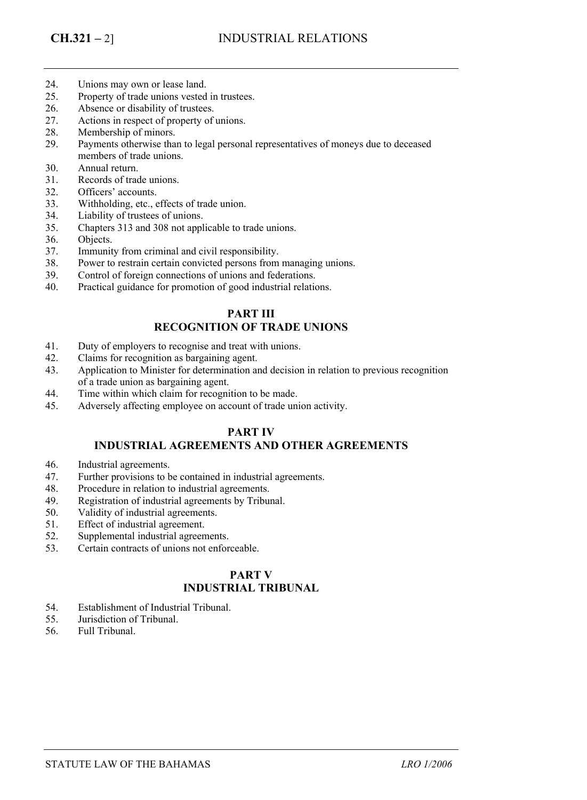- 24. Unions may own or lease land.
- 25. Property of trade unions vested in trustees.
- 26. Absence or disability of trustees.
- 27. Actions in respect of property of unions.
- 28. Membership of minors.
- 29. Payments otherwise than to legal personal representatives of moneys due to deceased members of trade unions.
- 30. Annual return.
- 31. Records of trade unions.
- 32. Officers' accounts.
- 33. Withholding, etc., effects of trade union.
- 34. Liability of trustees of unions.
- 35. Chapters 313 and 308 not applicable to trade unions.
- 36. Objects.
- 37. Immunity from criminal and civil responsibility.
- 38. Power to restrain certain convicted persons from managing unions.
- 39. Control of foreign connections of unions and federations.
- 40. Practical guidance for promotion of good industrial relations.

### **PART III RECOGNITION OF TRADE UNIONS**

- 41. Duty of employers to recognise and treat with unions.
- 42. Claims for recognition as bargaining agent.
- 43. Application to Minister for determination and decision in relation to previous recognition of a trade union as bargaining agent.
- 44. Time within which claim for recognition to be made.
- 45. Adversely affecting employee on account of trade union activity.

### **PART IV**

#### **INDUSTRIAL AGREEMENTS AND OTHER AGREEMENTS**

- 46. Industrial agreements.
- 47. Further provisions to be contained in industrial agreements.
- 48. Procedure in relation to industrial agreements.
- 49. Registration of industrial agreements by Tribunal.
- 50. Validity of industrial agreements.
- 51. Effect of industrial agreement.
- 52. Supplemental industrial agreements.
- 53. Certain contracts of unions not enforceable.

## **PART V INDUSTRIAL TRIBUNAL**

- 54. Establishment of Industrial Tribunal.
- 55. Jurisdiction of Tribunal.
- 56. Full Tribunal.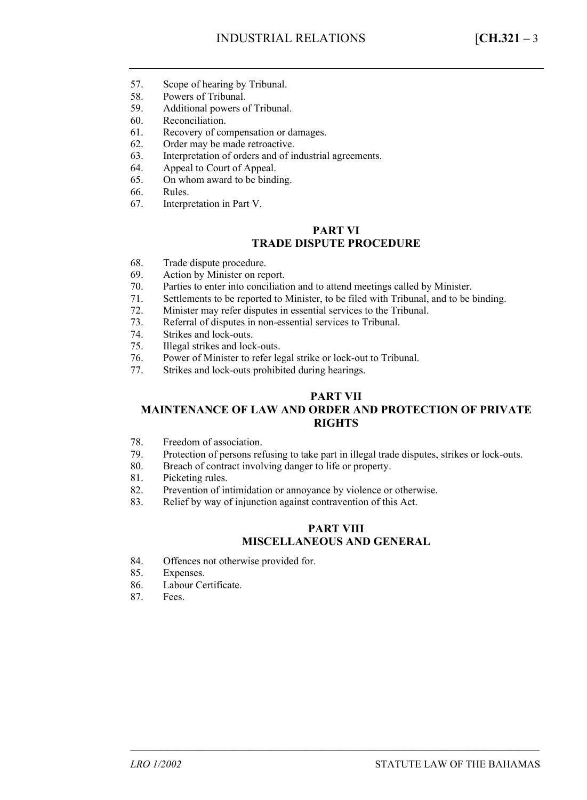- 57. Scope of hearing by Tribunal.
- 58. Powers of Tribunal.
- 59. Additional powers of Tribunal.
- 60. Reconciliation.
- 61. Recovery of compensation or damages.
- 62. Order may be made retroactive.
- 63. Interpretation of orders and of industrial agreements.
- 64. Appeal to Court of Appeal.
- 65. On whom award to be binding.
- 66. Rules.
- 67. Interpretation in Part V.

#### **PART VI TRADE DISPUTE PROCEDURE**

- 68. Trade dispute procedure.
- 69. Action by Minister on report.
- 70. Parties to enter into conciliation and to attend meetings called by Minister.
- 71. Settlements to be reported to Minister, to be filed with Tribunal, and to be binding.
- 72. Minister may refer disputes in essential services to the Tribunal.
- 73. Referral of disputes in non-essential services to Tribunal.
- 74. Strikes and lock-outs.
- 75. Illegal strikes and lock-outs.
- 76. Power of Minister to refer legal strike or lock-out to Tribunal.
- 77. Strikes and lock-outs prohibited during hearings.

#### **PART VII**

### **MAINTENANCE OF LAW AND ORDER AND PROTECTION OF PRIVATE RIGHTS**

- 78. Freedom of association.
- 79. Protection of persons refusing to take part in illegal trade disputes, strikes or lock-outs.
- 80. Breach of contract involving danger to life or property.
- 81. Picketing rules.
- 82. Prevention of intimidation or annoyance by violence or otherwise.
- 83. Relief by way of injunction against contravention of this Act.

### **PART VIII MISCELLANEOUS AND GENERAL**

–––––––––––––––––––––––––––––––––––––––––––––––––––––––––––––––––––––––––––––––

- 84. Offences not otherwise provided for.
- 85. Expenses.
- 86. Labour Certificate.<br>87. Fees.
- Fees.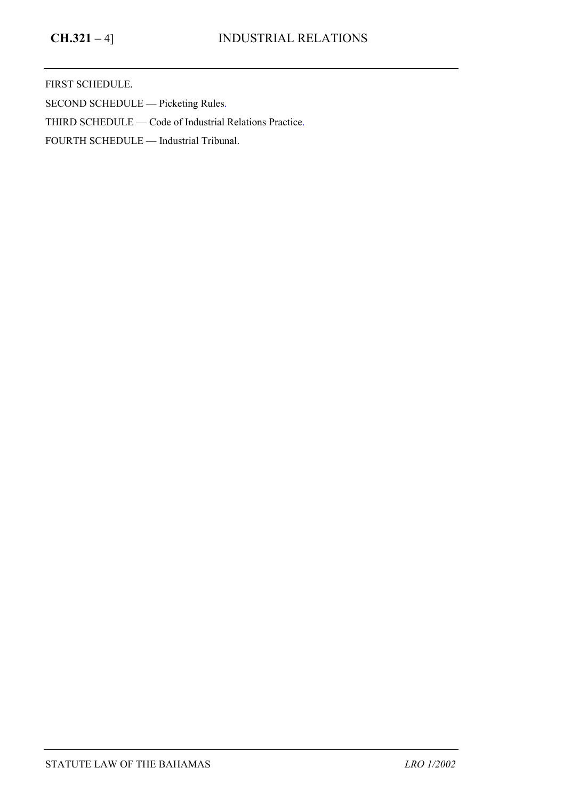FIRST SCHEDULE.

SECOND SCHEDULE — Picketing Rules.

THIRD SCHEDULE — Code of Industrial Relations Practice.

FOURTH SCHEDULE — Industrial Tribunal.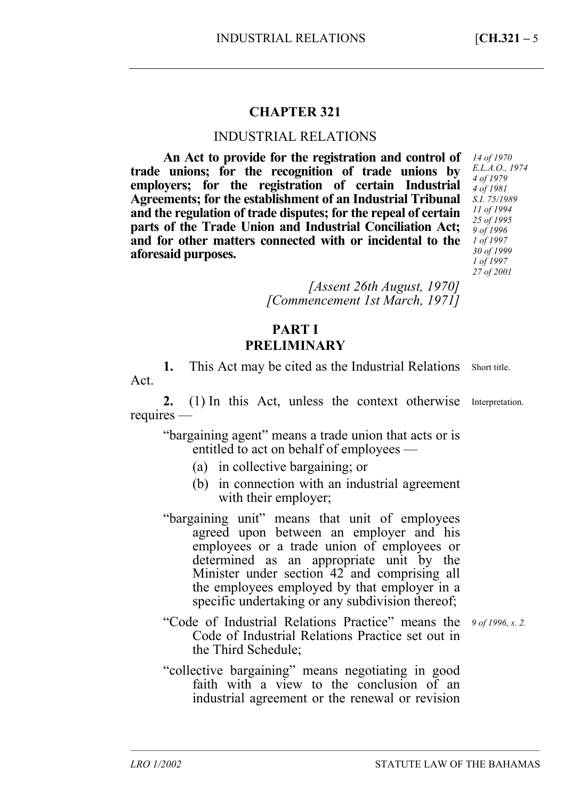# **CHAPTER 321**

### INDUSTRIAL RELATIONS

**An Act to provide for the registration and control of trade unions; for the recognition of trade unions by employers; for the registration of certain Industrial Agreements; for the establishment of an Industrial Tribunal and the regulation of trade disputes; for the repeal of certain parts of the Trade Union and Industrial Conciliation Act; and for other matters connected with or incidental to the aforesaid purposes.** 

*[Assent 26th August, 1970] [Commencement 1st March, 1971]* 

## **PART I PRELIMINARY**

1. This Act may be cited as the Industrial Relations Short title. Act.

2. (1) In this Act, unless the context otherwise Interpretation. requires —

"bargaining agent" means a trade union that acts or is entitled to act on behalf of employees —

- (a) in collective bargaining; or
- (b) in connection with an industrial agreement with their employer;
- "bargaining unit" means that unit of employees agreed upon between an employer and his employees or a trade union of employees or determined as an appropriate unit by the Minister under section 42 and comprising all the employees employed by that employer in a specific undertaking or any subdivision thereof;
- "Code of Industrial Relations Practice" means the *9 of 1996, s. 2.* Code of Industrial Relations Practice set out in the Third Schedule;

"collective bargaining" means negotiating in good faith with a view to the conclusion of an industrial agreement or the renewal or revision

–––––––––––––––––––––––––––––––––––––––––––––––––––––––––––––––––––––––––––––––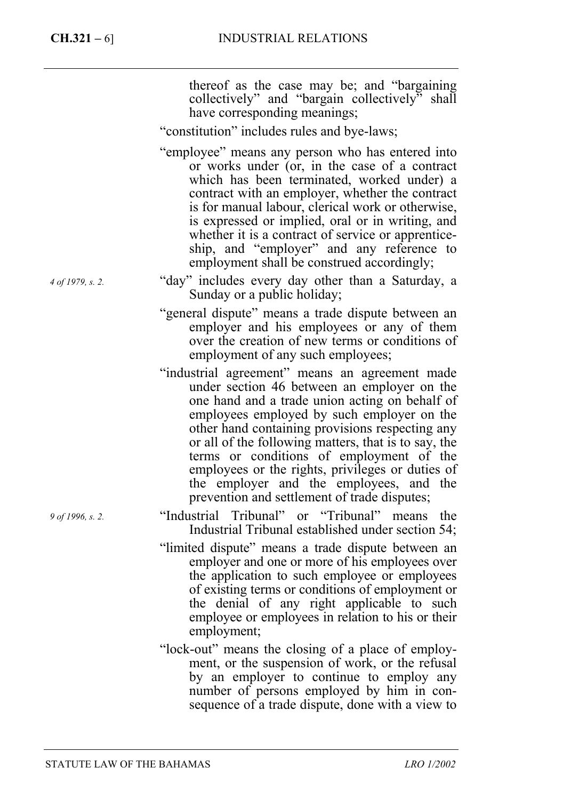|                  | thereof as the case may be; and "bargaining"<br>collectively" and "bargain collectively" shall<br>have corresponding meanings;                                                                                                                                                                                                                                                                                                                                                                      |
|------------------|-----------------------------------------------------------------------------------------------------------------------------------------------------------------------------------------------------------------------------------------------------------------------------------------------------------------------------------------------------------------------------------------------------------------------------------------------------------------------------------------------------|
|                  | "constitution" includes rules and bye-laws;                                                                                                                                                                                                                                                                                                                                                                                                                                                         |
|                  | "employee" means any person who has entered into<br>or works under (or, in the case of a contract<br>which has been terminated, worked under) a<br>contract with an employer, whether the contract<br>is for manual labour, clerical work or otherwise,<br>is expressed or implied, oral or in writing, and<br>whether it is a contract of service or apprentice-<br>ship, and "employer" and any reference to<br>employment shall be construed accordingly;                                        |
| 4 of 1979, s. 2. | "day" includes every day other than a Saturday, a<br>Sunday or a public holiday;                                                                                                                                                                                                                                                                                                                                                                                                                    |
|                  | "general dispute" means a trade dispute between an<br>employer and his employees or any of them<br>over the creation of new terms or conditions of<br>employment of any such employees;                                                                                                                                                                                                                                                                                                             |
|                  | "industrial agreement" means an agreement made<br>under section 46 between an employer on the<br>one hand and a trade union acting on behalf of<br>employees employed by such employer on the<br>other hand containing provisions respecting any<br>or all of the following matters, that is to say, the<br>terms or conditions of employment of the<br>employees or the rights, privileges or duties of<br>the employer and the employees, and the<br>prevention and settlement of trade disputes; |
| 9 of 1996, s. 2. | "Industrial Tribunal" or "Tribunal" means<br>the<br>Industrial Tribunal established under section 54;                                                                                                                                                                                                                                                                                                                                                                                               |
|                  | "limited dispute" means a trade dispute between an<br>employer and one or more of his employees over<br>the application to such employee or employees<br>of existing terms or conditions of employment or<br>the denial of any right applicable to such<br>employee or employees in relation to his or their<br>employment;                                                                                                                                                                         |
|                  | "lock-out" means the closing of a place of employ-<br>ment, or the suspension of work, or the refusal<br>by an employer to continue to employ any<br>number of persons employed by him in con-<br>sequence of a trade dispute, done with a view to                                                                                                                                                                                                                                                  |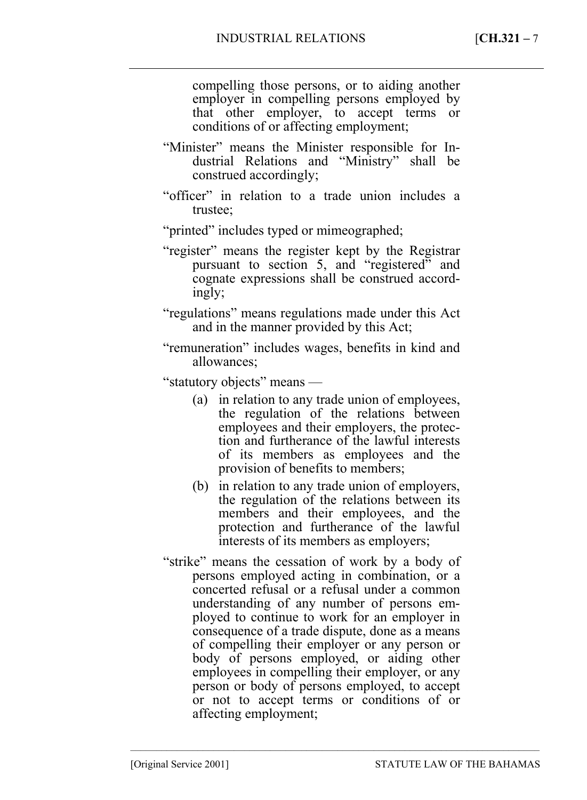compelling those persons, or to aiding another employer in compelling persons employed by that other employer, to accept terms or conditions of or affecting employment;

- "Minister" means the Minister responsible for Industrial Relations and "Ministry" shall be construed accordingly;
- "officer" in relation to a trade union includes a trustee;
- "printed" includes typed or mimeographed;
- "register" means the register kept by the Registrar pursuant to section 5, and "registered" and cognate expressions shall be construed accordingly;
- "regulations" means regulations made under this Act and in the manner provided by this Act;
- "remuneration" includes wages, benefits in kind and allowances;

"statutory objects" means —

- (a) in relation to any trade union of employees, the regulation of the relations between employees and their employers, the protection and furtherance of the lawful interests of its members as employees and the provision of benefits to members;
- (b) in relation to any trade union of employers, the regulation of the relations between its members and their employees, and the protection and furtherance of the lawful interests of its members as employers;
- "strike" means the cessation of work by a body of persons employed acting in combination, or a concerted refusal or a refusal under a common understanding of any number of persons employed to continue to work for an employer in consequence of a trade dispute, done as a means of compelling their employer or any person or body of persons employed, or aiding other employees in compelling their employer, or any person or body of persons employed, to accept or not to accept terms or conditions of or affecting employment;

–––––––––––––––––––––––––––––––––––––––––––––––––––––––––––––––––––––––––––––––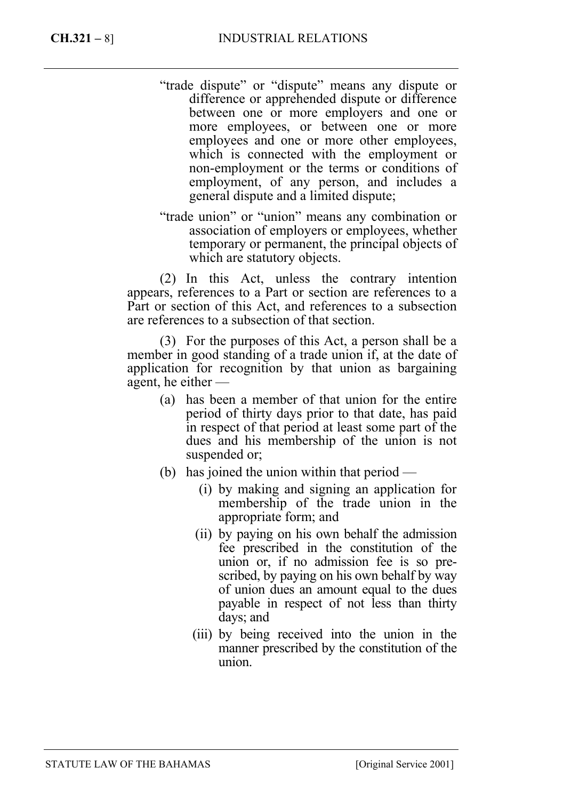- "trade dispute" or "dispute" means any dispute or difference or apprehended dispute or difference between one or more employers and one or more employees, or between one or more employees and one or more other employees, which is connected with the employment or non-employment or the terms or conditions of employment, of any person, and includes a general dispute and a limited dispute;
- "trade union" or "union" means any combination or association of employers or employees, whether temporary or permanent, the principal objects of which are statutory objects.

(2) In this Act, unless the contrary intention appears, references to a Part or section are references to a Part or section of this Act, and references to a subsection are references to a subsection of that section.

(3) For the purposes of this Act, a person shall be a member in good standing of a trade union if, at the date of application for recognition by that union as bargaining agent, he either —

- (a) has been a member of that union for the entire period of thirty days prior to that date, has paid in respect of that period at least some part of the dues and his membership of the union is not suspended or;
- (b) has joined the union within that period
	- (i) by making and signing an application for membership of the trade union in the appropriate form; and
	- (ii) by paying on his own behalf the admission fee prescribed in the constitution of the union or, if no admission fee is so prescribed, by paying on his own behalf by way of union dues an amount equal to the dues payable in respect of not less than thirty days; and
	- (iii) by being received into the union in the manner prescribed by the constitution of the union.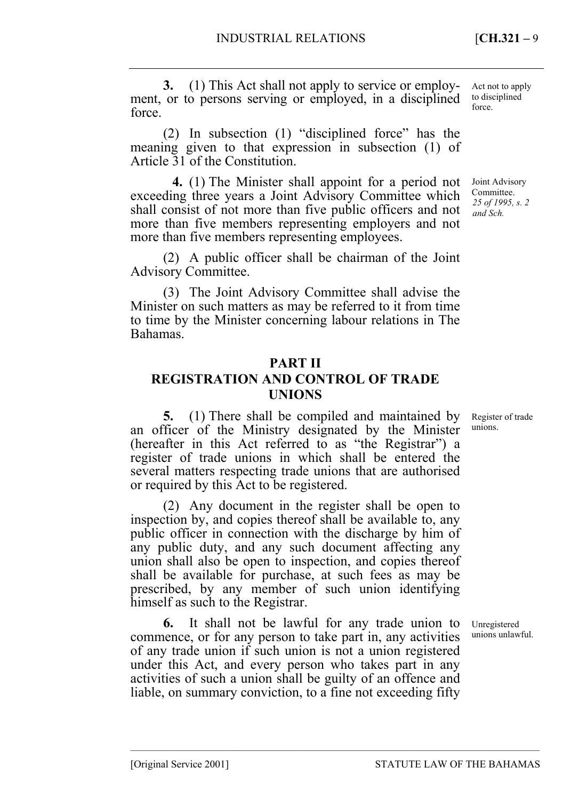**3.** (1) This Act shall not apply to service or employment, or to persons serving or employed, in a disciplined force.

(2) In subsection (1) "disciplined force" has the meaning given to that expression in subsection (1) of Article 31 of the Constitution.

<sup>25</sup>**4.** (1) The Minister shall appoint for a period not exceeding three years a Joint Advisory Committee which shall consist of not more than five public officers and not more than five members representing employers and not more than five members representing employees.

(2) A public officer shall be chairman of the Joint Advisory Committee.

(3) The Joint Advisory Committee shall advise the Minister on such matters as may be referred to it from time to time by the Minister concerning labour relations in The Bahamas.

## **PART II**

# **REGISTRATION AND CONTROL OF TRADE UNIONS**

**5.** (1) There shall be compiled and maintained by an officer of the Ministry designated by the Minister (hereafter in this Act referred to as "the Registrar") a register of trade unions in which shall be entered the several matters respecting trade unions that are authorised or required by this Act to be registered.

(2) Any document in the register shall be open to inspection by, and copies thereof shall be available to, any public officer in connection with the discharge by him of any public duty, and any such document affecting any union shall also be open to inspection, and copies thereof shall be available for purchase, at such fees as may be prescribed, by any member of such union identifying himself as such to the Registrar.

**6.** It shall not be lawful for any trade union to commence, or for any person to take part in, any activities of any trade union if such union is not a union registered under this Act, and every person who takes part in any activities of such a union shall be guilty of an offence and liable, on summary conviction, to a fine not exceeding fifty

–––––––––––––––––––––––––––––––––––––––––––––––––––––––––––––––––––––––––––––––

Act not to apply to disciplined force.

Joint Advisory Committee. *25 of 1995, s. 2 and Sch.* 

Register of trade unions.

Unregistered unions unlawful.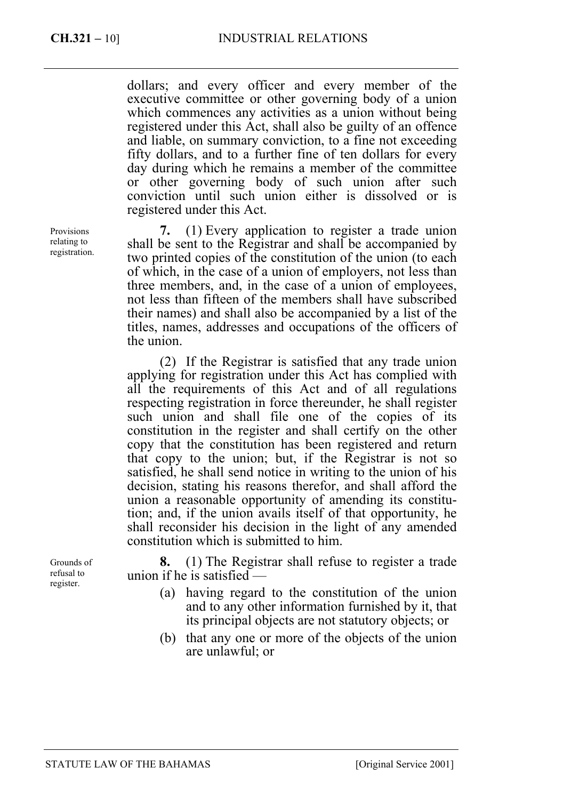dollars; and every officer and every member of the executive committee or other governing body of a union which commences any activities as a union without being registered under this Act, shall also be guilty of an offence and liable, on summary conviction, to a fine not exceeding fifty dollars, and to a further fine of ten dollars for every day during which he remains a member of the committee or other governing body of such union after such conviction until such union either is dissolved or is registered under this Act.

**7.** (1) Every application to register a trade union shall be sent to the Registrar and shall be accompanied by two printed copies of the constitution of the union (to each of which, in the case of a union of employers, not less than three members, and, in the case of a union of employees, not less than fifteen of the members shall have subscribed their names) and shall also be accompanied by a list of the titles, names, addresses and occupations of the officers of the union.

(2) If the Registrar is satisfied that any trade union applying for registration under this Act has complied with all the requirements of this Act and of all regulations respecting registration in force thereunder, he shall register such union and shall file one of the copies of its constitution in the register and shall certify on the other copy that the constitution has been registered and return that copy to the union; but, if the Registrar is not so satisfied, he shall send notice in writing to the union of his decision, stating his reasons therefor, and shall afford the union a reasonable opportunity of amending its constitution; and, if the union avails itself of that opportunity, he shall reconsider his decision in the light of any amended constitution which is submitted to him.

**8.** (1) The Registrar shall refuse to register a trade union if he is satisfied —

- (a) having regard to the constitution of the union and to any other information furnished by it, that its principal objects are not statutory objects; or
- (b) that any one or more of the objects of the union are unlawful; or

Provisions relating to registration.

Grounds of refusal to register.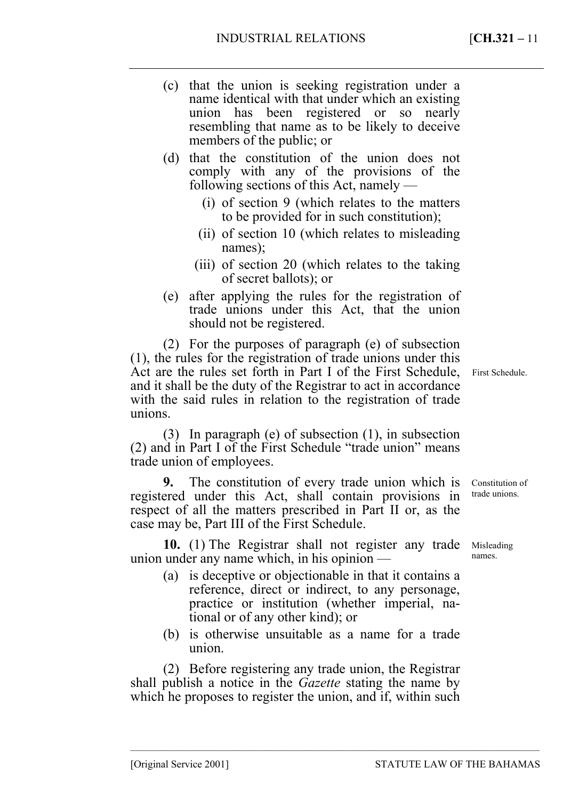- (c) that the union is seeking registration under a name identical with that under which an existing union has been registered or so nearly resembling that name as to be likely to deceive members of the public; or
- (d) that the constitution of the union does not comply with any of the provisions of the following sections of this Act, namely —
	- (i) of section 9 (which relates to the matters to be provided for in such constitution);
	- (ii) of section 10 (which relates to misleading names);
	- (iii) of section 20 (which relates to the taking of secret ballots); or
- (e) after applying the rules for the registration of trade unions under this Act, that the union should not be registered.

(2) For the purposes of paragraph (e) of subsection (1), the rules for the registration of trade unions under this Act are the rules set forth in Part I of the First Schedule, First Schedule. and it shall be the duty of the Registrar to act in accordance with the said rules in relation to the registration of trade unions.

(3) In paragraph (e) of subsection (1), in subsection (2) and in Part I of the First Schedule "trade union" means trade union of employees.

**9.** The constitution of every trade union which is registered under this Act, shall contain provisions in respect of all the matters prescribed in Part II or, as the case may be, Part III of the First Schedule.

10. (1) The Registrar shall not register any trade Misleading union under any name which, in his opinion —

- (a) is deceptive or objectionable in that it contains a reference, direct or indirect, to any personage, practice or institution (whether imperial, national or of any other kind); or
- (b) is otherwise unsuitable as a name for a trade union.

–––––––––––––––––––––––––––––––––––––––––––––––––––––––––––––––––––––––––––––––

(2) Before registering any trade union, the Registrar shall publish a notice in the *Gazette* stating the name by which he proposes to register the union, and if, within such

Constitution of trade unions.

names.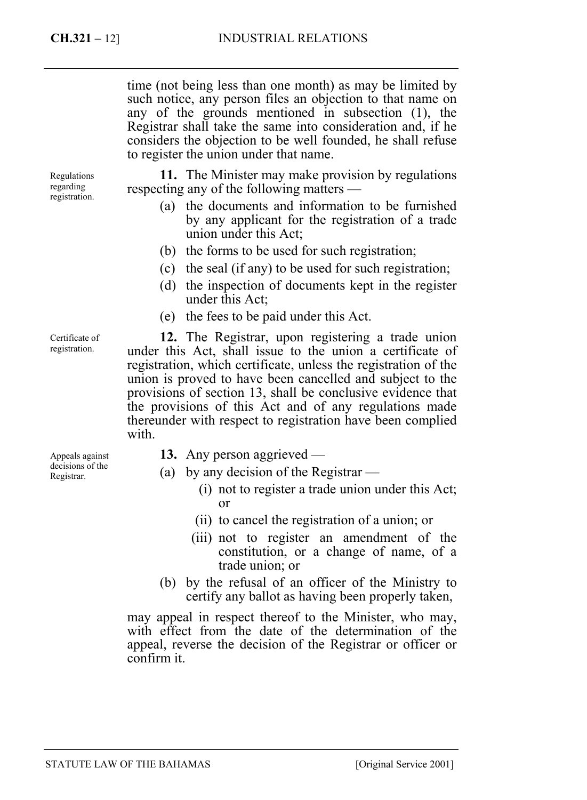time (not being less than one month) as may be limited by such notice, any person files an objection to that name on any of the grounds mentioned in subsection (1), the Registrar shall take the same into consideration and, if he considers the objection to be well founded, he shall refuse to register the union under that name.

Regulations regarding registration.

**11.** The Minister may make provision by regulations respecting any of the following matters —

- (a) the documents and information to be furnished by any applicant for the registration of a trade union under this Act;
- (b) the forms to be used for such registration;
- (c) the seal (if any) to be used for such registration;
- (d) the inspection of documents kept in the register under this Act;
- (e) the fees to be paid under this Act.

**12.** The Registrar, upon registering a trade union under this Act, shall issue to the union a certificate of registration, which certificate, unless the registration of the union is proved to have been cancelled and subject to the provisions of section 13, shall be conclusive evidence that the provisions of this Act and of any regulations made thereunder with respect to registration have been complied with.

Appeals against decisions of the Registrar.

Certificate of registration.

- **13.** Any person aggrieved —
- (a) by any decision of the Registrar
	- (i) not to register a trade union under this Act; or
	- (ii) to cancel the registration of a union; or
	- (iii) not to register an amendment of the constitution, or a change of name, of a trade union; or
- (b) by the refusal of an officer of the Ministry to certify any ballot as having been properly taken,

may appeal in respect thereof to the Minister, who may, with effect from the date of the determination of the appeal, reverse the decision of the Registrar or officer or confirm it.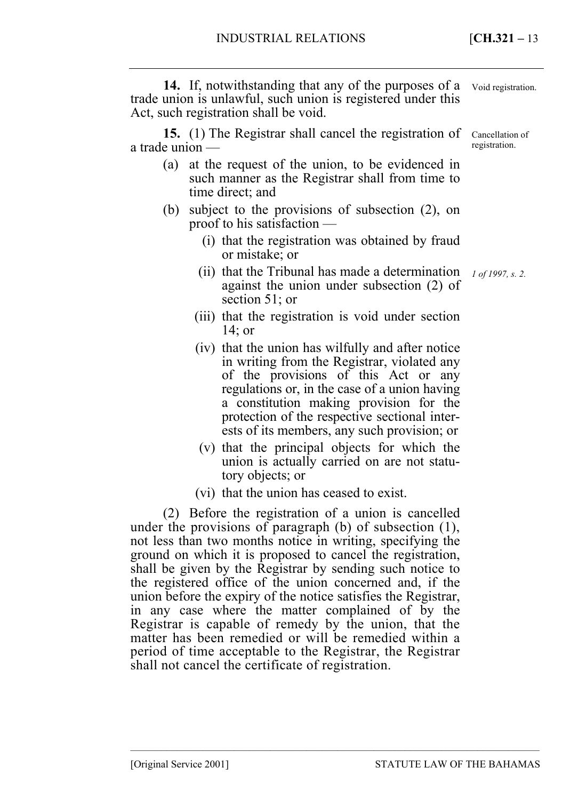**14.** If, notwithstanding that any of the purposes of a trade union is unlawful, such union is registered under this Act, such registration shall be void.

**15.** (1) The Registrar shall cancel the registration of a trade union —

- (a) at the request of the union, to be evidenced in such manner as the Registrar shall from time to time direct; and
- (b) subject to the provisions of subsection (2), on proof to his satisfaction —
	- (i) that the registration was obtained by fraud or mistake; or
- (ii) that the Tribunal has made a determination *1 of 1997, s. 2.* against the union under subsection (2) of section 51; or
	- (iii) that the registration is void under section 14; or
	- (iv) that the union has wilfully and after notice in writing from the Registrar, violated any of the provisions of this Act or any regulations or, in the case of a union having a constitution making provision for the protection of the respective sectional interests of its members, any such provision; or
	- (v) that the principal objects for which the union is actually carried on are not statutory objects; or

–––––––––––––––––––––––––––––––––––––––––––––––––––––––––––––––––––––––––––––––

(vi) that the union has ceased to exist.

(2) Before the registration of a union is cancelled under the provisions of paragraph (b) of subsection (1), not less than two months notice in writing, specifying the ground on which it is proposed to cancel the registration, shall be given by the Registrar by sending such notice to the registered office of the union concerned and, if the union before the expiry of the notice satisfies the Registrar, in any case where the matter complained of by the Registrar is capable of remedy by the union, that the matter has been remedied or will be remedied within a period of time acceptable to the Registrar, the Registrar shall not cancel the certificate of registration.

Void registration.

Cancellation of registration.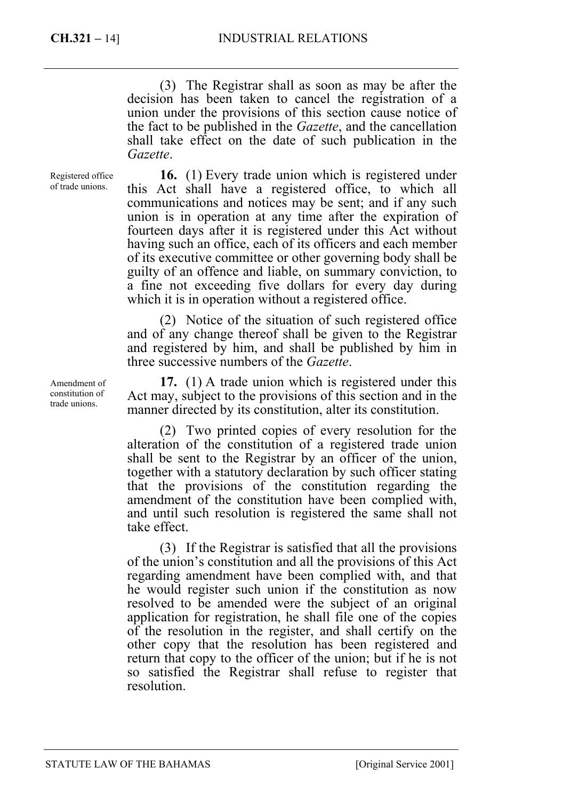(3) The Registrar shall as soon as may be after the decision has been taken to cancel the registration of a union under the provisions of this section cause notice of the fact to be published in the *Gazette*, and the cancellation shall take effect on the date of such publication in the *Gazette*.

Registered office of trade unions.

**16.** (1) Every trade union which is registered under this Act shall have a registered office, to which all communications and notices may be sent; and if any such union is in operation at any time after the expiration of fourteen days after it is registered under this Act without having such an office, each of its officers and each member of its executive committee or other governing body shall be guilty of an offence and liable, on summary conviction, to a fine not exceeding five dollars for every day during which it is in operation without a registered office.

(2) Notice of the situation of such registered office and of any change thereof shall be given to the Registrar and registered by him, and shall be published by him in three successive numbers of the *Gazette*.

**17.** (1) A trade union which is registered under this Act may, subject to the provisions of this section and in the manner directed by its constitution, alter its constitution.

(2) Two printed copies of every resolution for the alteration of the constitution of a registered trade union shall be sent to the Registrar by an officer of the union, together with a statutory declaration by such officer stating that the provisions of the constitution regarding the amendment of the constitution have been complied with, and until such resolution is registered the same shall not take effect.

(3) If the Registrar is satisfied that all the provisions of the union's constitution and all the provisions of this Act regarding amendment have been complied with, and that he would register such union if the constitution as now resolved to be amended were the subject of an original application for registration, he shall file one of the copies of the resolution in the register, and shall certify on the other copy that the resolution has been registered and return that copy to the officer of the union; but if he is not so satisfied the Registrar shall refuse to register that resolution.

Amendment of constitution of trade unions.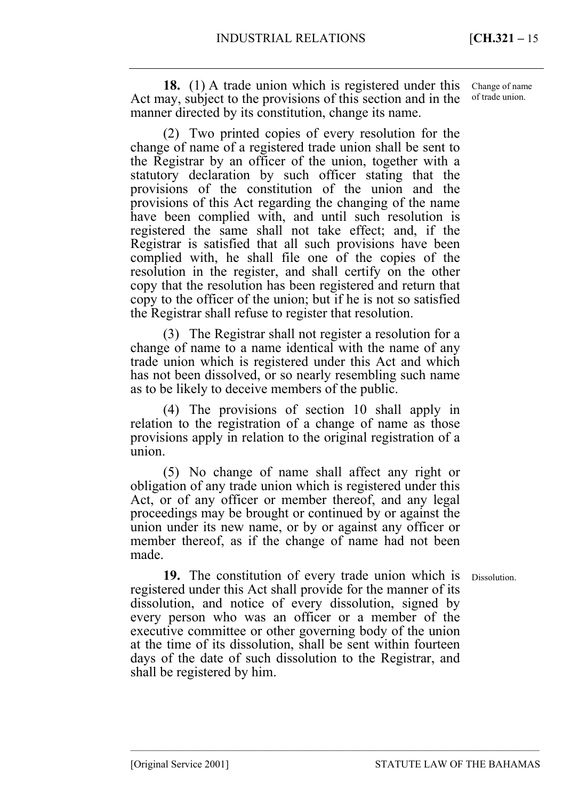**18.** (1) A trade union which is registered under this Act may, subject to the provisions of this section and in the manner directed by its constitution, change its name.

(2) Two printed copies of every resolution for the change of name of a registered trade union shall be sent to the Registrar by an officer of the union, together with a statutory declaration by such officer stating that the provisions of the constitution of the union and the provisions of this Act regarding the changing of the name have been complied with, and until such resolution is registered the same shall not take effect; and, if the Registrar is satisfied that all such provisions have been complied with, he shall file one of the copies of the resolution in the register, and shall certify on the other copy that the resolution has been registered and return that copy to the officer of the union; but if he is not so satisfied the Registrar shall refuse to register that resolution.

(3) The Registrar shall not register a resolution for a change of name to a name identical with the name of any trade union which is registered under this Act and which has not been dissolved, or so nearly resembling such name as to be likely to deceive members of the public.

(4) The provisions of section 10 shall apply in relation to the registration of a change of name as those provisions apply in relation to the original registration of a union.

(5) No change of name shall affect any right or obligation of any trade union which is registered under this Act, or of any officer or member thereof, and any legal proceedings may be brought or continued by or against the union under its new name, or by or against any officer or member thereof, as if the change of name had not been made.

**19.** The constitution of every trade union which is registered under this Act shall provide for the manner of its dissolution, and notice of every dissolution, signed by every person who was an officer or a member of the executive committee or other governing body of the union at the time of its dissolution, shall be sent within fourteen days of the date of such dissolution to the Registrar, and shall be registered by him.

–––––––––––––––––––––––––––––––––––––––––––––––––––––––––––––––––––––––––––––––

Dissolution.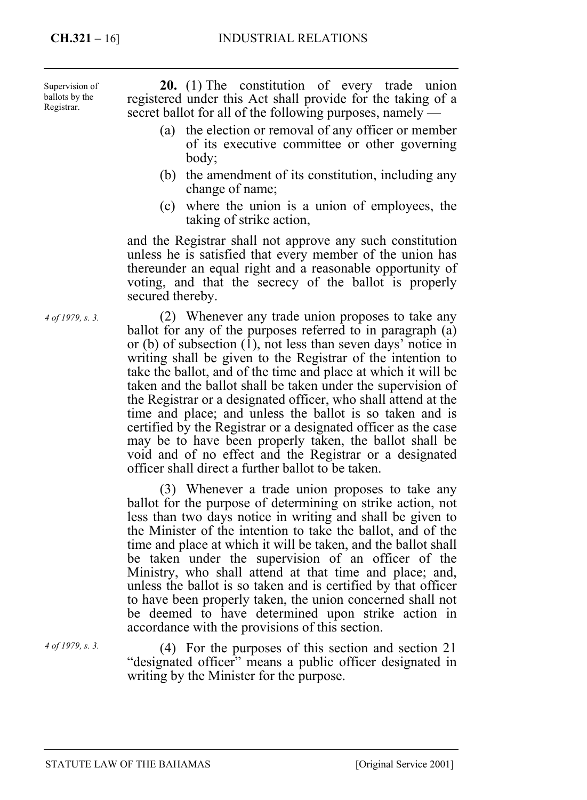Supervision of ballots by the Registrar.

**20.** (1) The constitution of every trade union registered under this Act shall provide for the taking of a secret ballot for all of the following purposes, namely —

- (a) the election or removal of any officer or member of its executive committee or other governing body;
- (b) the amendment of its constitution, including any change of name;
- (c) where the union is a union of employees, the taking of strike action,

and the Registrar shall not approve any such constitution unless he is satisfied that every member of the union has thereunder an equal right and a reasonable opportunity of voting, and that the secrecy of the ballot is properly secured thereby.

(2) Whenever any trade union proposes to take any ballot for any of the purposes referred to in paragraph (a) or (b) of subsection (1), not less than seven days' notice in writing shall be given to the Registrar of the intention to take the ballot, and of the time and place at which it will be taken and the ballot shall be taken under the supervision of the Registrar or a designated officer, who shall attend at the time and place; and unless the ballot is so taken and is certified by the Registrar or a designated officer as the case may be to have been properly taken, the ballot shall be void and of no effect and the Registrar or a designated officer shall direct a further ballot to be taken.

(3) Whenever a trade union proposes to take any ballot for the purpose of determining on strike action, not less than two days notice in writing and shall be given to the Minister of the intention to take the ballot, and of the time and place at which it will be taken, and the ballot shall be taken under the supervision of an officer of the Ministry, who shall attend at that time and place; and, unless the ballot is so taken and is certified by that officer to have been properly taken, the union concerned shall not be deemed to have determined upon strike action in accordance with the provisions of this section.

*4 of 1979, s. 3.* 

(4) For the purposes of this section and section 21 "designated officer" means a public officer designated in writing by the Minister for the purpose.

*4 of 1979, s. 3.*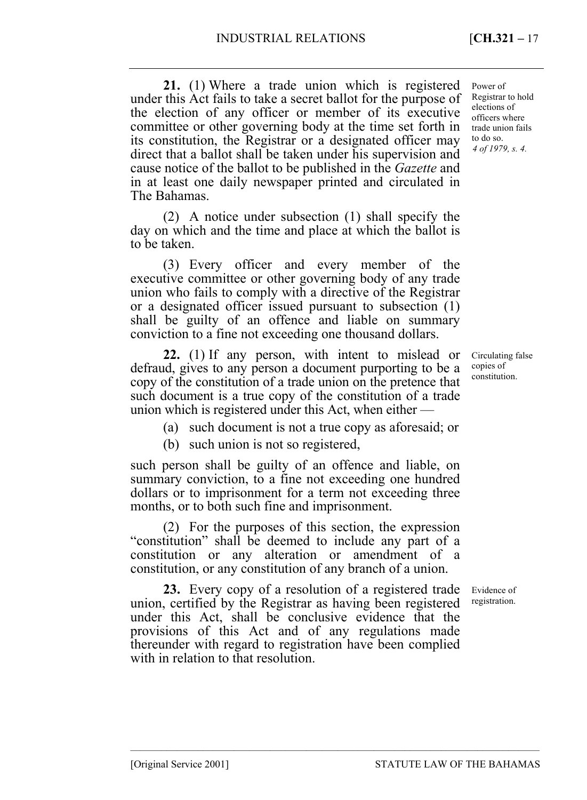**21.** (1) Where a trade union which is registered under this Act fails to take a secret ballot for the purpose of the election of any officer or member of its executive committee or other governing body at the time set forth in its constitution, the Registrar or a designated officer may direct that a ballot shall be taken under his supervision and cause notice of the ballot to be published in the *Gazette* and in at least one daily newspaper printed and circulated in *4 of 1979, s. 4.*  Power of Registrar to hold elections of officers where trade union fails to do so.

(2) A notice under subsection (1) shall specify the day on which and the time and place at which the ballot is to be taken.

(3) Every officer and every member of the executive committee or other governing body of any trade union who fails to comply with a directive of the Registrar or a designated officer issued pursuant to subsection (1) shall be guilty of an offence and liable on summary conviction to a fine not exceeding one thousand dollars.

**22.** (1) If any person, with intent to mislead or defraud, gives to any person a document purporting to be a copy of the constitution of a trade union on the pretence that such document is a true copy of the constitution of a trade union which is registered under this Act, when either —

(a) such document is not a true copy as aforesaid; or

(b) such union is not so registered,

such person shall be guilty of an offence and liable, on summary conviction, to a fine not exceeding one hundred dollars or to imprisonment for a term not exceeding three months, or to both such fine and imprisonment.

(2) For the purposes of this section, the expression "constitution" shall be deemed to include any part of a constitution or any alteration or amendment of a constitution, or any constitution of any branch of a union.

**23.** Every copy of a resolution of a registered trade union, certified by the Registrar as having been registered under this Act, shall be conclusive evidence that the provisions of this Act and of any regulations made thereunder with regard to registration have been complied with in relation to that resolution.

–––––––––––––––––––––––––––––––––––––––––––––––––––––––––––––––––––––––––––––––

Circulating false copies of constitution.

Evidence of registration.

The Bahamas.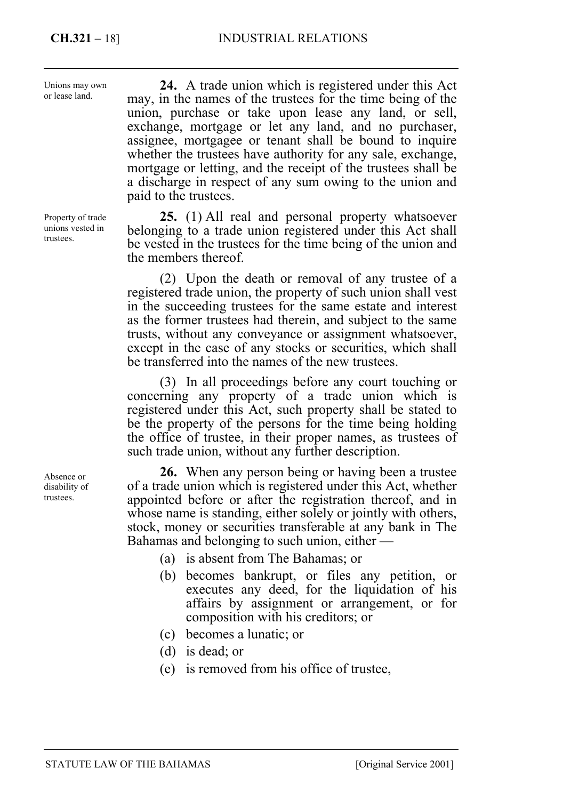Unions may own or lease land.

**24.** A trade union which is registered under this Act may, in the names of the trustees for the time being of the union, purchase or take upon lease any land, or sell, exchange, mortgage or let any land, and no purchaser, assignee, mortgagee or tenant shall be bound to inquire whether the trustees have authority for any sale, exchange, mortgage or letting, and the receipt of the trustees shall be a discharge in respect of any sum owing to the union and paid to the trustees.

**25.** (1) All real and personal property whatsoever belonging to a trade union registered under this Act shall be vested in the trustees for the time being of the union and the members thereof.

(2) Upon the death or removal of any trustee of a registered trade union, the property of such union shall vest in the succeeding trustees for the same estate and interest as the former trustees had therein, and subject to the same trusts, without any conveyance or assignment whatsoever, except in the case of any stocks or securities, which shall be transferred into the names of the new trustees.

(3) In all proceedings before any court touching or concerning any property of a trade union which is registered under this Act, such property shall be stated to be the property of the persons for the time being holding the office of trustee, in their proper names, as trustees of such trade union, without any further description.

**26.** When any person being or having been a trustee of a trade union which is registered under this Act, whether appointed before or after the registration thereof, and in whose name is standing, either solely or jointly with others, stock, money or securities transferable at any bank in The Bahamas and belonging to such union, either —

- (a) is absent from The Bahamas; or
- (b) becomes bankrupt, or files any petition, or executes any deed, for the liquidation of his affairs by assignment or arrangement, or for composition with his creditors; or
- (c) becomes a lunatic; or
- (d) is dead; or
- (e) is removed from his office of trustee,

Property of trade unions vested in trustees.

Absence or disability of trustees.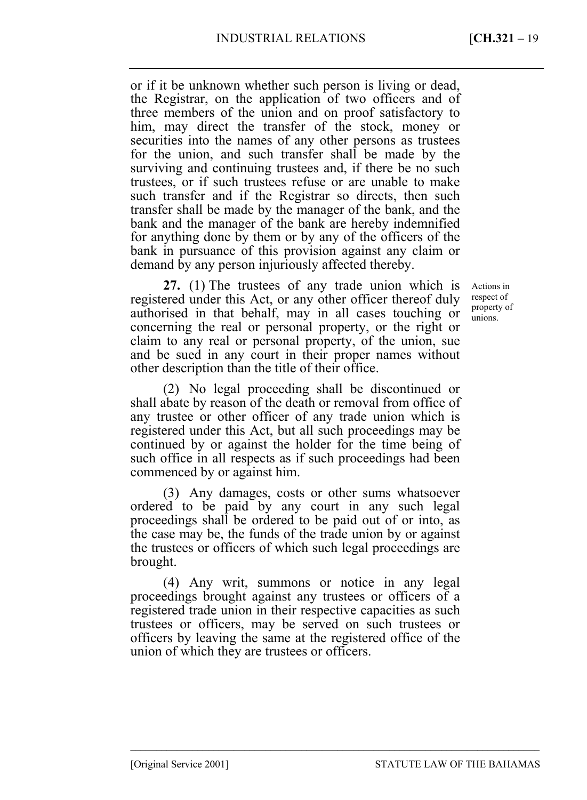or if it be unknown whether such person is living or dead, the Registrar, on the application of two officers and of three members of the union and on proof satisfactory to him, may direct the transfer of the stock, money or securities into the names of any other persons as trustees for the union, and such transfer shall be made by the surviving and continuing trustees and, if there be no such trustees, or if such trustees refuse or are unable to make such transfer and if the Registrar so directs, then such transfer shall be made by the manager of the bank, and the bank and the manager of the bank are hereby indemnified for anything done by them or by any of the officers of the bank in pursuance of this provision against any claim or demand by any person injuriously affected thereby.

**27.** (1) The trustees of any trade union which is registered under this Act, or any other officer thereof duly authorised in that behalf, may in all cases touching or concerning the real or personal property, or the right or claim to any real or personal property, of the union, sue and be sued in any court in their proper names without other description than the title of their office.

(2) No legal proceeding shall be discontinued or shall abate by reason of the death or removal from office of any trustee or other officer of any trade union which is registered under this Act, but all such proceedings may be continued by or against the holder for the time being of such office in all respects as if such proceedings had been commenced by or against him.

(3) Any damages, costs or other sums whatsoever ordered to be paid by any court in any such legal proceedings shall be ordered to be paid out of or into, as the case may be, the funds of the trade union by or against the trustees or officers of which such legal proceedings are brought.

(4) Any writ, summons or notice in any legal proceedings brought against any trustees or officers of a registered trade union in their respective capacities as such trustees or officers, may be served on such trustees or officers by leaving the same at the registered office of the union of which they are trustees or officers.

–––––––––––––––––––––––––––––––––––––––––––––––––––––––––––––––––––––––––––––––

Actions in respect of property of unions.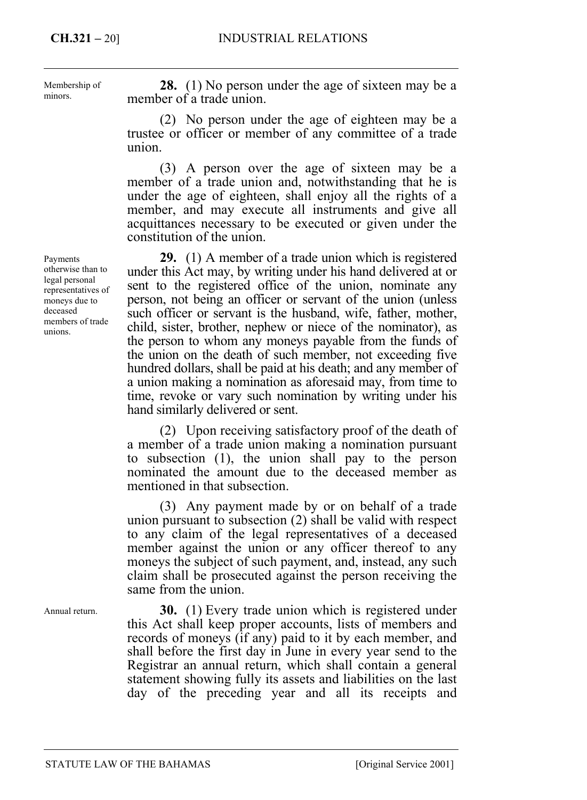Membership of minors.

**28.** (1) No person under the age of sixteen may be a member of a trade union.

(2) No person under the age of eighteen may be a trustee or officer or member of any committee of a trade union.

(3) A person over the age of sixteen may be a member of a trade union and, notwithstanding that he is under the age of eighteen, shall enjoy all the rights of a member, and may execute all instruments and give all acquittances necessary to be executed or given under the constitution of the union.

**29.** (1) A member of a trade union which is registered under this Act may, by writing under his hand delivered at or sent to the registered office of the union, nominate any person, not being an officer or servant of the union (unless such officer or servant is the husband, wife, father, mother, child, sister, brother, nephew or niece of the nominator), as the person to whom any moneys payable from the funds of the union on the death of such member, not exceeding five hundred dollars, shall be paid at his death; and any member of a union making a nomination as aforesaid may, from time to time, revoke or vary such nomination by writing under his hand similarly delivered or sent.

(2) Upon receiving satisfactory proof of the death of a member of a trade union making a nomination pursuant to subsection (1), the union shall pay to the person nominated the amount due to the deceased member as mentioned in that subsection.

(3) Any payment made by or on behalf of a trade union pursuant to subsection (2) shall be valid with respect to any claim of the legal representatives of a deceased member against the union or any officer thereof to any moneys the subject of such payment, and, instead, any such claim shall be prosecuted against the person receiving the same from the union.

**30.** (1) Every trade union which is registered under this Act shall keep proper accounts, lists of members and records of moneys (if any) paid to it by each member, and shall before the first day in June in every year send to the Registrar an annual return, which shall contain a general statement showing fully its assets and liabilities on the last day of the preceding year and all its receipts and

Payments otherwise than to legal personal representatives of moneys due to deceased members of trade unions.

Annual return.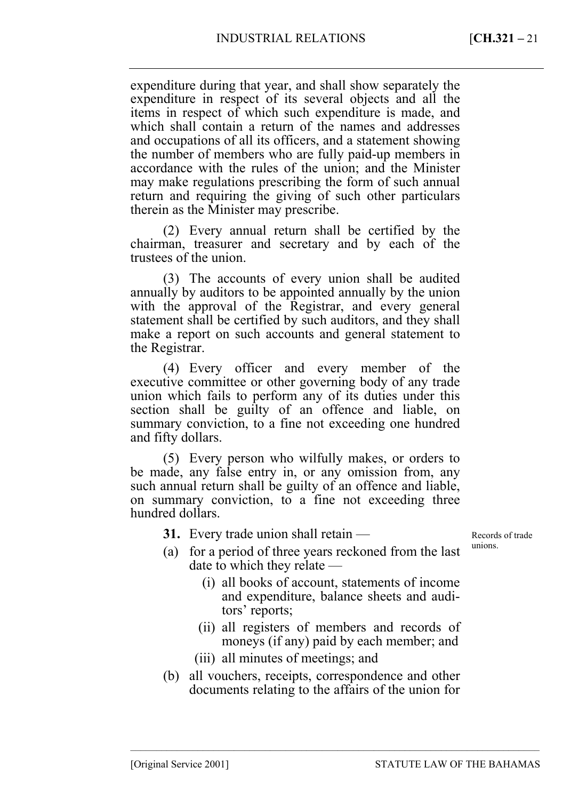expenditure during that year, and shall show separately the expenditure in respect of its several objects and all the items in respect of which such expenditure is made, and which shall contain a return of the names and addresses and occupations of all its officers, and a statement showing the number of members who are fully paid-up members in accordance with the rules of the union; and the Minister may make regulations prescribing the form of such annual return and requiring the giving of such other particulars therein as the Minister may prescribe.

(2) Every annual return shall be certified by the chairman, treasurer and secretary and by each of the trustees of the union.

(3) The accounts of every union shall be audited annually by auditors to be appointed annually by the union with the approval of the Registrar, and every general statement shall be certified by such auditors, and they shall make a report on such accounts and general statement to the Registrar.

(4) Every officer and every member of the executive committee or other governing body of any trade union which fails to perform any of its duties under this section shall be guilty of an offence and liable, on summary conviction, to a fine not exceeding one hundred and fifty dollars.

(5) Every person who wilfully makes, or orders to be made, any false entry in, or any omission from, any such annual return shall be guilty of an offence and liable, on summary conviction, to a fine not exceeding three hundred dollars.

**31.** Every trade union shall retain —

Records of trade unions.

- (a) for a period of three years reckoned from the last date to which they relate —
	- (i) all books of account, statements of income and expenditure, balance sheets and auditors' reports;
	- (ii) all registers of members and records of moneys (if any) paid by each member; and

–––––––––––––––––––––––––––––––––––––––––––––––––––––––––––––––––––––––––––––––

- (iii) all minutes of meetings; and
- (b) all vouchers, receipts, correspondence and other documents relating to the affairs of the union for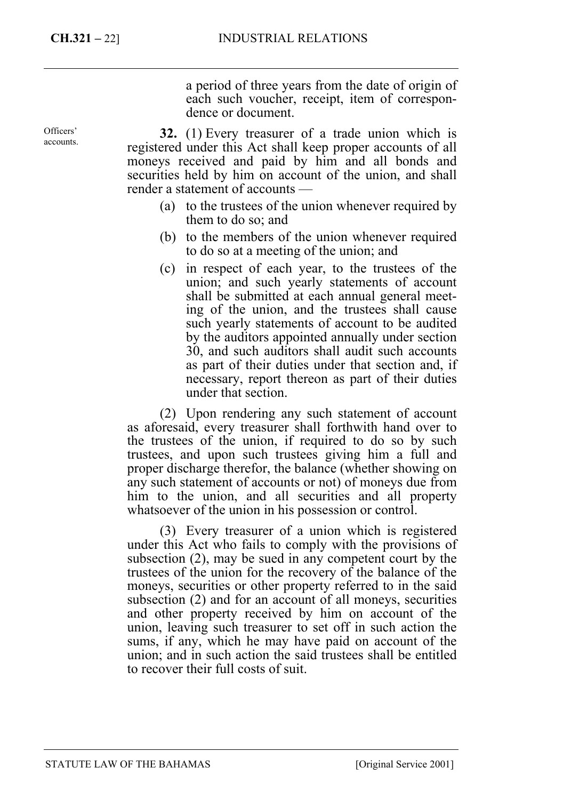a period of three years from the date of origin of each such voucher, receipt, item of correspondence or document.

**32.** (1) Every treasurer of a trade union which is registered under this Act shall keep proper accounts of all moneys received and paid by him and all bonds and securities held by him on account of the union, and shall render a statement of accounts —

- (a) to the trustees of the union whenever required by them to do so; and
- (b) to the members of the union whenever required to do so at a meeting of the union; and
- (c) in respect of each year, to the trustees of the union; and such yearly statements of account shall be submitted at each annual general meeting of the union, and the trustees shall cause such yearly statements of account to be audited by the auditors appointed annually under section 30, and such auditors shall audit such accounts as part of their duties under that section and, if necessary, report thereon as part of their duties under that section.

(2) Upon rendering any such statement of account as aforesaid, every treasurer shall forthwith hand over to the trustees of the union, if required to do so by such trustees, and upon such trustees giving him a full and proper discharge therefor, the balance (whether showing on any such statement of accounts or not) of moneys due from him to the union, and all securities and all property whatsoever of the union in his possession or control.

(3) Every treasurer of a union which is registered under this Act who fails to comply with the provisions of subsection (2), may be sued in any competent court by the trustees of the union for the recovery of the balance of the moneys, securities or other property referred to in the said subsection (2) and for an account of all moneys, securities and other property received by him on account of the union, leaving such treasurer to set off in such action the sums, if any, which he may have paid on account of the union; and in such action the said trustees shall be entitled to recover their full costs of suit.

Officers' accounts.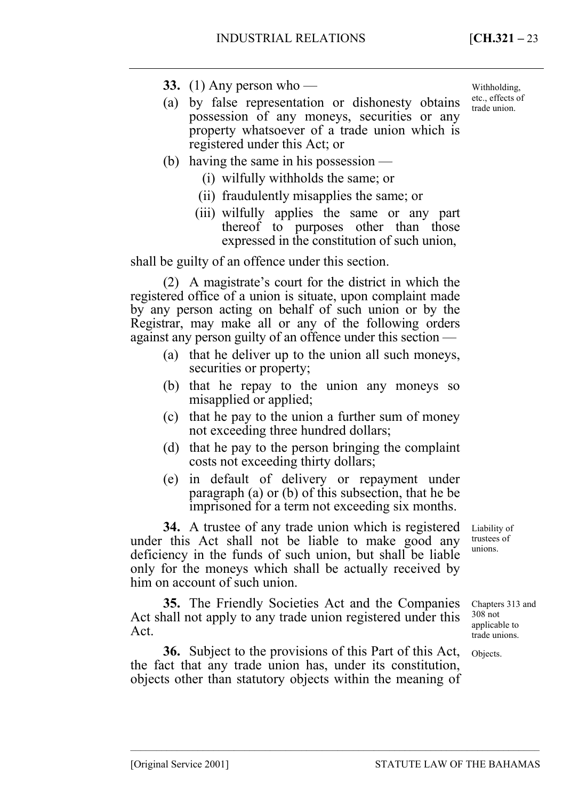- **33.** (1) Any person who —
- (a) by false representation or dishonesty obtains possession of any moneys, securities or any property whatsoever of a trade union which is registered under this Act; or
- (b) having the same in his possession
	- (i) wilfully withholds the same; or
	- (ii) fraudulently misapplies the same; or
	- (iii) wilfully applies the same or any part thereof to purposes other than those expressed in the constitution of such union,

shall be guilty of an offence under this section.

(2) A magistrate's court for the district in which the registered office of a union is situate, upon complaint made by any person acting on behalf of such union or by the Registrar, may make all or any of the following orders against any person guilty of an offence under this section —

- (a) that he deliver up to the union all such moneys, securities or property;
- (b) that he repay to the union any moneys so misapplied or applied;
- (c) that he pay to the union a further sum of money not exceeding three hundred dollars;
- (d) that he pay to the person bringing the complaint costs not exceeding thirty dollars;
- (e) in default of delivery or repayment under paragraph (a) or (b) of this subsection, that he be imprisoned for a term not exceeding six months.

**34.** A trustee of any trade union which is registered under this Act shall not be liable to make good any deficiency in the funds of such union, but shall be liable only for the moneys which shall be actually received by him on account of such union.

**35.** The Friendly Societies Act and the Companies Act shall not apply to any trade union registered under this Act.

**36.** Subject to the provisions of this Part of this Act, the fact that any trade union has, under its constitution, objects other than statutory objects within the meaning of

–––––––––––––––––––––––––––––––––––––––––––––––––––––––––––––––––––––––––––––––

Liability of trustees of unions.

Chapters 313 and 308 not applicable to trade unions.

Objects.

Withholding, etc., effects of trade union.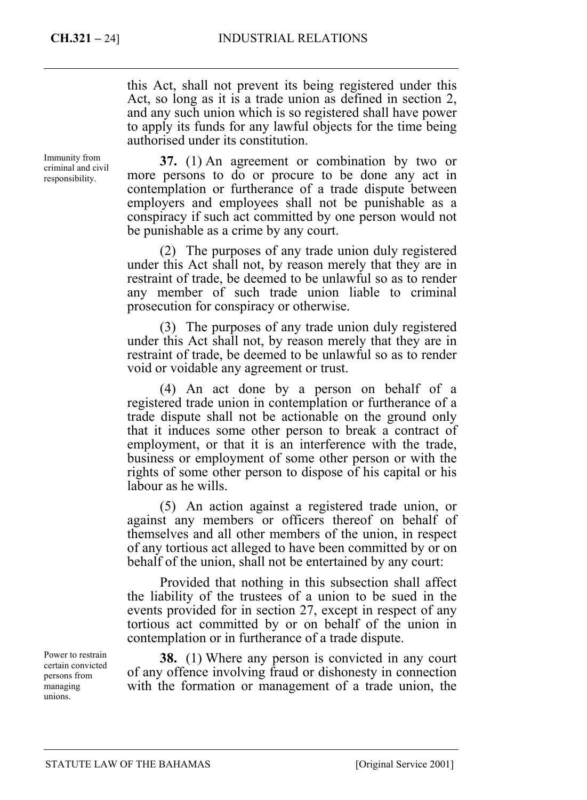this Act, shall not prevent its being registered under this Act, so long as it is a trade union as defined in section 2, and any such union which is so registered shall have power to apply its funds for any lawful objects for the time being authorised under its constitution.

Immunity from criminal and civil responsibility.

**37.** (1) An agreement or combination by two or more persons to do or procure to be done any act in contemplation or furtherance of a trade dispute between employers and employees shall not be punishable as a conspiracy if such act committed by one person would not be punishable as a crime by any court.

(2) The purposes of any trade union duly registered under this Act shall not, by reason merely that they are in restraint of trade, be deemed to be unlawful so as to render any member of such trade union liable to criminal prosecution for conspiracy or otherwise.

(3) The purposes of any trade union duly registered under this Act shall not, by reason merely that they are in restraint of trade, be deemed to be unlawful so as to render void or voidable any agreement or trust.

(4) An act done by a person on behalf of a registered trade union in contemplation or furtherance of a trade dispute shall not be actionable on the ground only that it induces some other person to break a contract of employment, or that it is an interference with the trade, business or employment of some other person or with the rights of some other person to dispose of his capital or his labour as he wills.

(5) An action against a registered trade union, or against any members or officers thereof on behalf of themselves and all other members of the union, in respect of any tortious act alleged to have been committed by or on behalf of the union, shall not be entertained by any court:

Provided that nothing in this subsection shall affect the liability of the trustees of a union to be sued in the events provided for in section 27, except in respect of any tortious act committed by or on behalf of the union in contemplation or in furtherance of a trade dispute.

**38.** (1) Where any person is convicted in any court of any offence involving fraud or dishonesty in connection with the formation or management of a trade union, the

Power to restrain certain convicted persons from managing unions.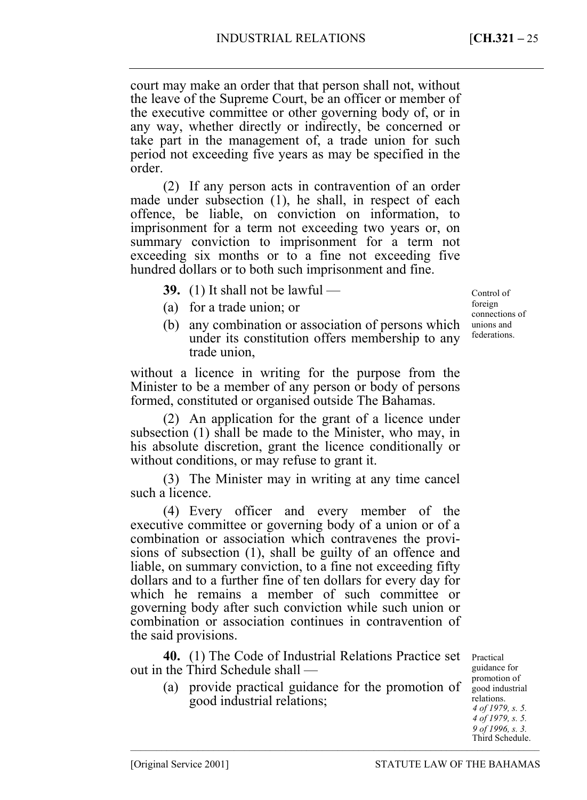court may make an order that that person shall not, without the leave of the Supreme Court, be an officer or member of the executive committee or other governing body of, or in any way, whether directly or indirectly, be concerned or take part in the management of, a trade union for such period not exceeding five years as may be specified in the order.

(2) If any person acts in contravention of an order made under subsection (1), he shall, in respect of each offence, be liable, on conviction on information, to imprisonment for a term not exceeding two years or, on summary conviction to imprisonment for a term not exceeding six months or to a fine not exceeding five hundred dollars or to both such imprisonment and fine.

**39.** (1) It shall not be lawful —

- (a) for a trade union; or
- (b) any combination or association of persons which under its constitution offers membership to any trade union,

without a licence in writing for the purpose from the Minister to be a member of any person or body of persons formed, constituted or organised outside The Bahamas.

(2) An application for the grant of a licence under subsection (1) shall be made to the Minister, who may, in his absolute discretion, grant the licence conditionally or without conditions, or may refuse to grant it.

(3) The Minister may in writing at any time cancel such a licence.

(4) Every officer and every member of the executive committee or governing body of a union or of a combination or association which contravenes the provisions of subsection (1), shall be guilty of an offence and liable, on summary conviction, to a fine not exceeding fifty dollars and to a further fine of ten dollars for every day for which he remains a member of such committee or governing body after such conviction while such union or combination or association continues in contravention of the said provisions.

**40.** (1) The Code of Industrial Relations Practice set out in the Third Schedule shall —

(a) provide practical guidance for the promotion of good industrial relations;

–––––––––––––––––––––––––––––––––––––––––––––––––––––––––––––––––––––––––––––––

Practical guidance for promotion of good industrial relations. *4 of 1979, s. 5. 4 of 1979, s. 5. 9 of 1996, s. 3.*  Third Schedule.

Control of foreign connections of unions and federations.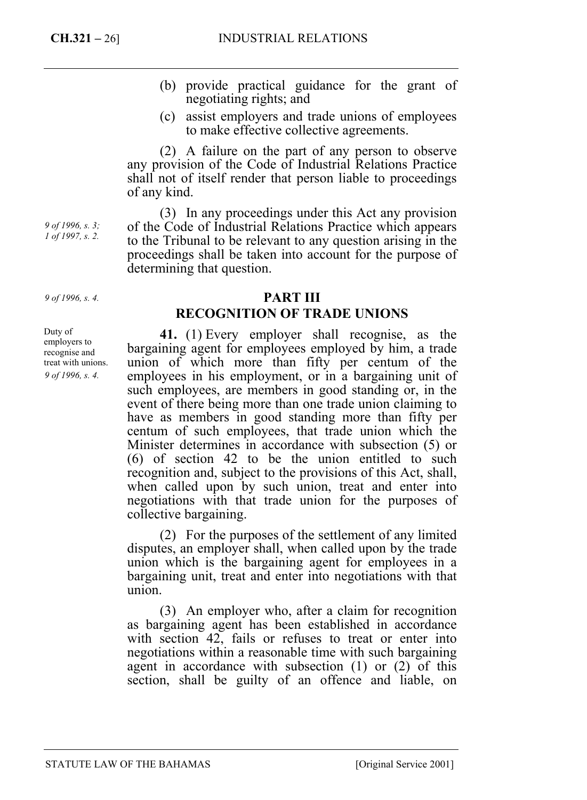- (b) provide practical guidance for the grant of negotiating rights; and
- (c) assist employers and trade unions of employees to make effective collective agreements.

(2) A failure on the part of any person to observe any provision of the Code of Industrial Relations Practice shall not of itself render that person liable to proceedings of any kind.

(3) In any proceedings under this Act any provision of the Code of Industrial Relations Practice which appears to the Tribunal to be relevant to any question arising in the proceedings shall be taken into account for the purpose of determining that question.

## **PART III RECOGNITION OF TRADE UNIONS**

**41.** (1) Every employer shall recognise, as the bargaining agent for employees employed by him, a trade union of which more than fifty per centum of the employees in his employment, or in a bargaining unit of such employees, are members in good standing or, in the event of there being more than one trade union claiming to have as members in good standing more than fifty per centum of such employees, that trade union which the Minister determines in accordance with subsection (5) or (6) of section 42 to be the union entitled to such recognition and, subject to the provisions of this Act, shall, when called upon by such union, treat and enter into negotiations with that trade union for the purposes of collective bargaining.

(2) For the purposes of the settlement of any limited disputes, an employer shall, when called upon by the trade union which is the bargaining agent for employees in a bargaining unit, treat and enter into negotiations with that union.

(3) An employer who, after a claim for recognition as bargaining agent has been established in accordance with section 42, fails or refuses to treat or enter into negotiations within a reasonable time with such bargaining agent in accordance with subsection (1) or (2) of this section, shall be guilty of an offence and liable, on

*9 of 1996, s. 3; 1 of 1997, s. 2.* 

*9 of 1996, s. 4.* 

Duty of employers to recognise and treat with unions. *9 of 1996, s. 4.*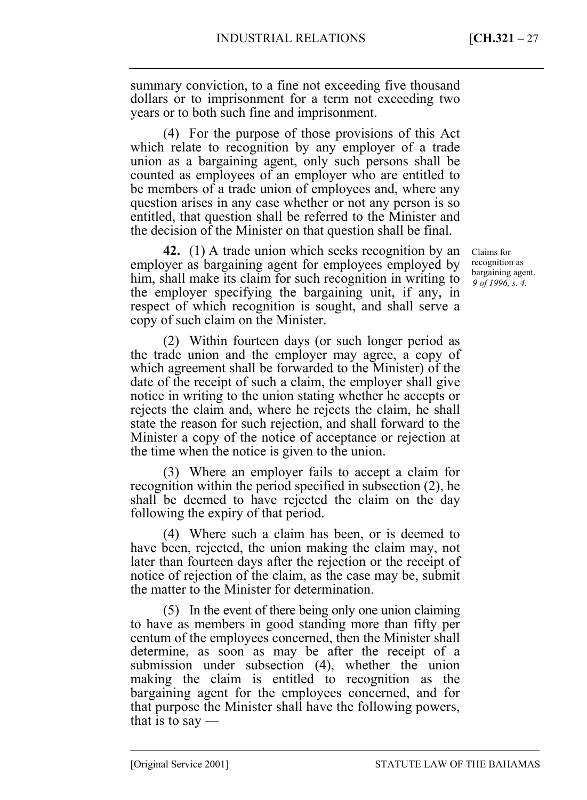summary conviction, to a fine not exceeding five thousand dollars or to imprisonment for a term not exceeding two years or to both such fine and imprisonment.

(4) For the purpose of those provisions of this Act which relate to recognition by any employer of a trade union as a bargaining agent, only such persons shall be counted as employees of an employer who are entitled to be members of a trade union of employees and, where any question arises in any case whether or not any person is so entitled, that question shall be referred to the Minister and the decision of the Minister on that question shall be final.

**42.** (1) A trade union which seeks recognition by an employer as bargaining agent for employees employed by him, shall make its claim for such recognition in writing to the employer specifying the bargaining unit, if any, in respect of which recognition is sought, and shall serve a copy of such claim on the Minister.

(2) Within fourteen days (or such longer period as the trade union and the employer may agree, a copy of which agreement shall be forwarded to the Minister) of the date of the receipt of such a claim, the employer shall give notice in writing to the union stating whether he accepts or rejects the claim and, where he rejects the claim, he shall state the reason for such rejection, and shall forward to the Minister a copy of the notice of acceptance or rejection at the time when the notice is given to the union.

(3) Where an employer fails to accept a claim for recognition within the period specified in subsection (2), he shall be deemed to have rejected the claim on the day following the expiry of that period.

(4) Where such a claim has been, or is deemed to have been, rejected, the union making the claim may, not later than fourteen days after the rejection or the receipt of notice of rejection of the claim, as the case may be, submit the matter to the Minister for determination.

(5) In the event of there being only one union claiming to have as members in good standing more than fifty per centum of the employees concerned, then the Minister shall determine, as soon as may be after the receipt of a submission under subsection (4), whether the union making the claim is entitled to recognition as the bargaining agent for the employees concerned, and for that purpose the Minister shall have the following powers, that is to say —

–––––––––––––––––––––––––––––––––––––––––––––––––––––––––––––––––––––––––––––––

Claims for recognition as bargaining agent. *9 of 1996, s. 4.*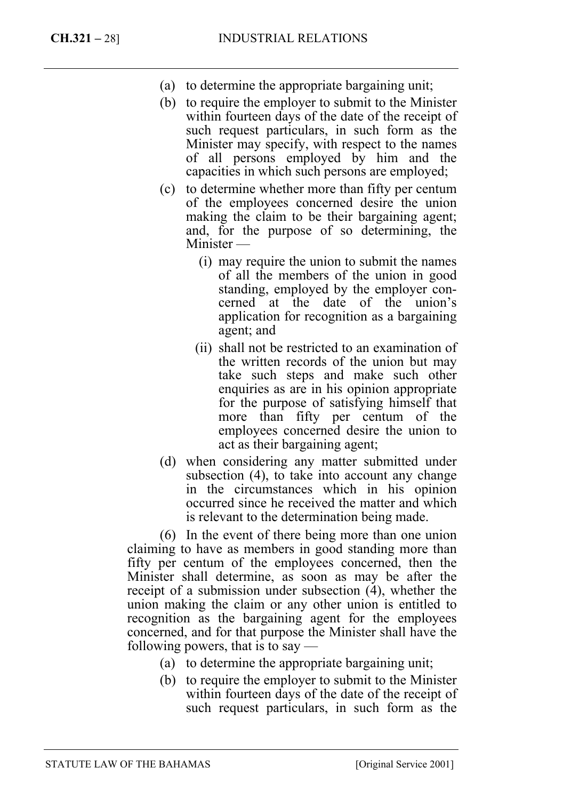- (a) to determine the appropriate bargaining unit;
- (b) to require the employer to submit to the Minister within fourteen days of the date of the receipt of such request particulars, in such form as the Minister may specify, with respect to the names of all persons employed by him and the capacities in which such persons are employed;
- (c) to determine whether more than fifty per centum of the employees concerned desire the union making the claim to be their bargaining agent; and, for the purpose of so determining, the Minister —
	- (i) may require the union to submit the names of all the members of the union in good standing, employed by the employer concerned at the date of the union's application for recognition as a bargaining agent; and
	- (ii) shall not be restricted to an examination of the written records of the union but may take such steps and make such other enquiries as are in his opinion appropriate for the purpose of satisfying himself that more than fifty per centum of the employees concerned desire the union to act as their bargaining agent;
- (d) when considering any matter submitted under subsection (4), to take into account any change in the circumstances which in his opinion occurred since he received the matter and which is relevant to the determination being made.

(6) In the event of there being more than one union claiming to have as members in good standing more than fifty per centum of the employees concerned, then the Minister shall determine, as soon as may be after the receipt of a submission under subsection (4), whether the union making the claim or any other union is entitled to recognition as the bargaining agent for the employees concerned, and for that purpose the Minister shall have the following powers, that is to say  $-$ 

- (a) to determine the appropriate bargaining unit;
- (b) to require the employer to submit to the Minister within fourteen days of the date of the receipt of such request particulars, in such form as the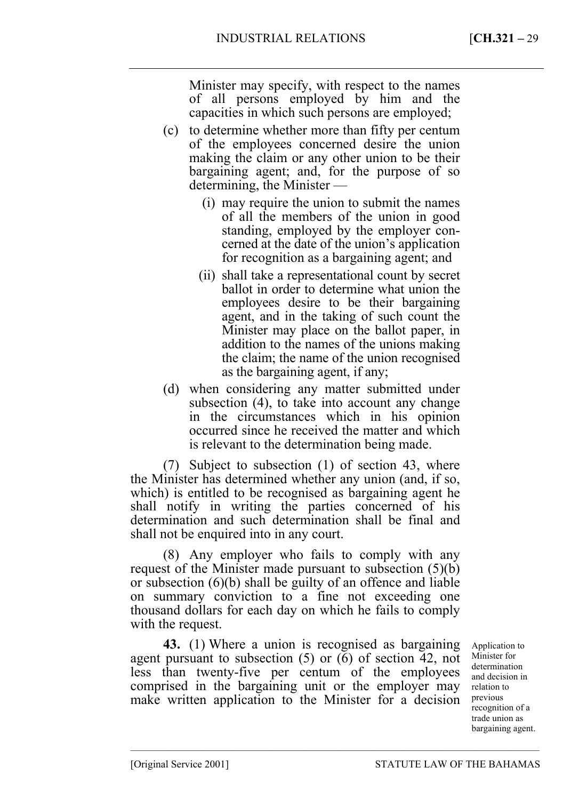Minister may specify, with respect to the names of all persons employed by him and the capacities in which such persons are employed;

- (c) to determine whether more than fifty per centum of the employees concerned desire the union making the claim or any other union to be their bargaining agent; and, for the purpose of so determining, the Minister —
	- (i) may require the union to submit the names of all the members of the union in good standing, employed by the employer concerned at the date of the union's application for recognition as a bargaining agent; and
	- (ii) shall take a representational count by secret ballot in order to determine what union the employees desire to be their bargaining agent, and in the taking of such count the Minister may place on the ballot paper, in addition to the names of the unions making the claim; the name of the union recognised as the bargaining agent, if any;
- (d) when considering any matter submitted under subsection (4), to take into account any change in the circumstances which in his opinion occurred since he received the matter and which is relevant to the determination being made.

(7) Subject to subsection (1) of section 43, where the Minister has determined whether any union (and, if so, which) is entitled to be recognised as bargaining agent he shall notify in writing the parties concerned of his determination and such determination shall be final and shall not be enquired into in any court.

(8) Any employer who fails to comply with any request of the Minister made pursuant to subsection (5)(b) or subsection (6)(b) shall be guilty of an offence and liable on summary conviction to a fine not exceeding one thousand dollars for each day on which he fails to comply with the request.

**43.** (1) Where a union is recognised as bargaining agent pursuant to subsection (5) or (6) of section 42, not less than twenty-five per centum of the employees comprised in the bargaining unit or the employer may make written application to the Minister for a decision previous

–––––––––––––––––––––––––––––––––––––––––––––––––––––––––––––––––––––––––––––––

Application to Minister for determination and decision in relation to recognition of a trade union as bargaining agent.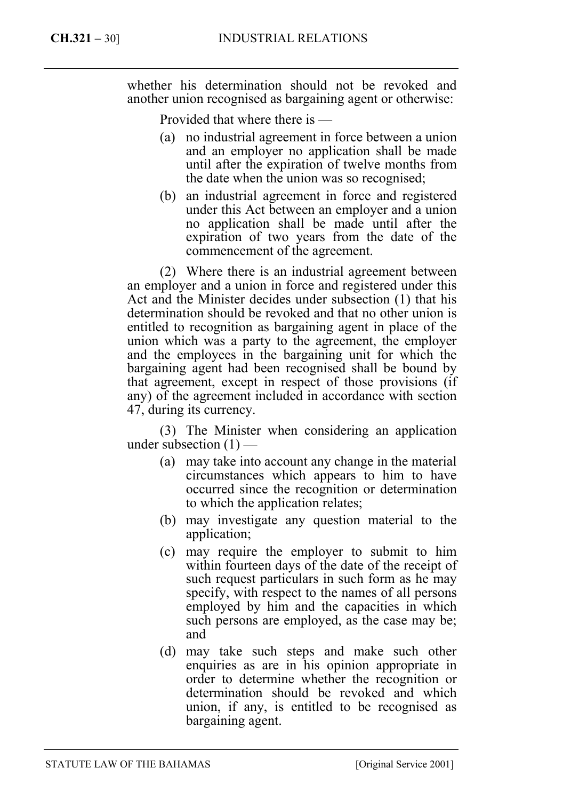whether his determination should not be revoked and another union recognised as bargaining agent or otherwise:

Provided that where there is —

- (a) no industrial agreement in force between a union and an employer no application shall be made until after the expiration of twelve months from the date when the union was so recognised;
- (b) an industrial agreement in force and registered under this Act between an employer and a union no application shall be made until after the expiration of two years from the date of the commencement of the agreement.

(2) Where there is an industrial agreement between an employer and a union in force and registered under this Act and the Minister decides under subsection (1) that his determination should be revoked and that no other union is entitled to recognition as bargaining agent in place of the union which was a party to the agreement, the employer and the employees in the bargaining unit for which the bargaining agent had been recognised shall be bound by that agreement, except in respect of those provisions (if any) of the agreement included in accordance with section 47, during its currency.

(3) The Minister when considering an application under subsection  $(1)$  —

- (a) may take into account any change in the material circumstances which appears to him to have occurred since the recognition or determination to which the application relates;
- (b) may investigate any question material to the application;
- (c) may require the employer to submit to him within fourteen days of the date of the receipt of such request particulars in such form as he may specify, with respect to the names of all persons employed by him and the capacities in which such persons are employed, as the case may be; and
- (d) may take such steps and make such other enquiries as are in his opinion appropriate in order to determine whether the recognition or determination should be revoked and which union, if any, is entitled to be recognised as bargaining agent.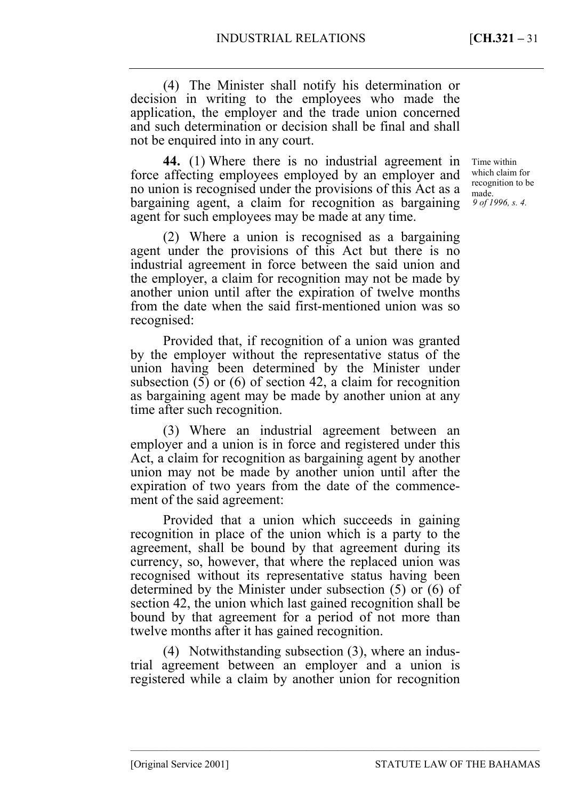(4) The Minister shall notify his determination or decision in writing to the employees who made the application, the employer and the trade union concerned and such determination or decision shall be final and shall not be enquired into in any court.

**44.** (1) Where there is no industrial agreement in force affecting employees employed by an employer and no union is recognised under the provisions of this Act as a bargaining agent, a claim for recognition as bargaining agent for such employees may be made at any time.

(2) Where a union is recognised as a bargaining agent under the provisions of this Act but there is no industrial agreement in force between the said union and the employer, a claim for recognition may not be made by another union until after the expiration of twelve months from the date when the said first-mentioned union was so recognised:

Provided that, if recognition of a union was granted by the employer without the representative status of the union having been determined by the Minister under subsection (5) or (6) of section 42, a claim for recognition as bargaining agent may be made by another union at any time after such recognition.

(3) Where an industrial agreement between an employer and a union is in force and registered under this Act, a claim for recognition as bargaining agent by another union may not be made by another union until after the expiration of two years from the date of the commencement of the said agreement:

Provided that a union which succeeds in gaining recognition in place of the union which is a party to the agreement, shall be bound by that agreement during its currency, so, however, that where the replaced union was recognised without its representative status having been determined by the Minister under subsection (5) or (6) of section 42, the union which last gained recognition shall be bound by that agreement for a period of not more than twelve months after it has gained recognition.

(4) Notwithstanding subsection (3), where an industrial agreement between an employer and a union is registered while a claim by another union for recognition

–––––––––––––––––––––––––––––––––––––––––––––––––––––––––––––––––––––––––––––––

Time within which claim for recognition to be made. *9 of 1996, s. 4.*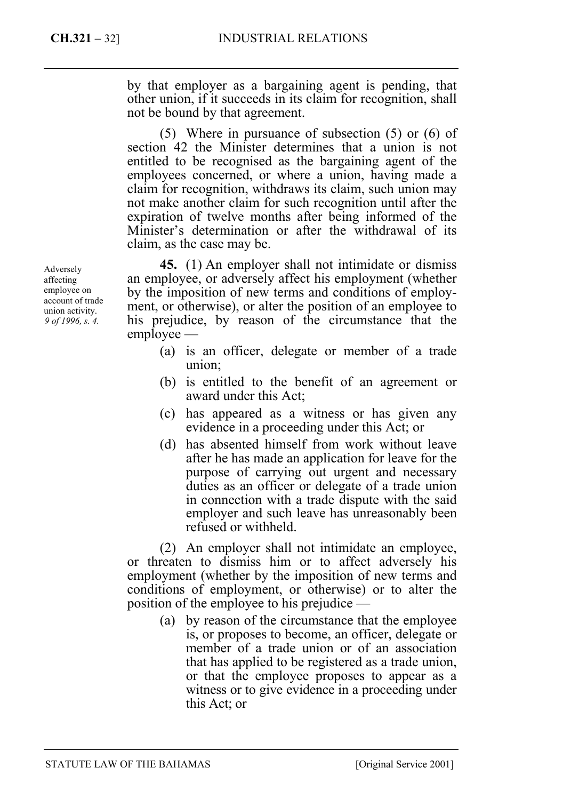by that employer as a bargaining agent is pending, that other union, if it succeeds in its claim for recognition, shall not be bound by that agreement.

(5) Where in pursuance of subsection (5) or (6) of section 42 the Minister determines that a union is not entitled to be recognised as the bargaining agent of the employees concerned, or where a union, having made a claim for recognition, withdraws its claim, such union may not make another claim for such recognition until after the expiration of twelve months after being informed of the Minister's determination or after the withdrawal of its claim, as the case may be.

**45.** (1) An employer shall not intimidate or dismiss an employee, or adversely affect his employment (whether by the imposition of new terms and conditions of employment, or otherwise), or alter the position of an employee to his prejudice, by reason of the circumstance that the employee —

- (a) is an officer, delegate or member of a trade union;
- (b) is entitled to the benefit of an agreement or award under this Act;
- (c) has appeared as a witness or has given any evidence in a proceeding under this Act; or
- (d) has absented himself from work without leave after he has made an application for leave for the purpose of carrying out urgent and necessary duties as an officer or delegate of a trade union in connection with a trade dispute with the said employer and such leave has unreasonably been refused or withheld.

(2) An employer shall not intimidate an employee, or threaten to dismiss him or to affect adversely his employment (whether by the imposition of new terms and conditions of employment, or otherwise) or to alter the position of the employee to his prejudice —

(a) by reason of the circumstance that the employee is, or proposes to become, an officer, delegate or member of a trade union or of an association that has applied to be registered as a trade union, or that the employee proposes to appear as a witness or to give evidence in a proceeding under this Act; or

Adversely affecting employee on account of trade union activity. *9 of 1996, s. 4.*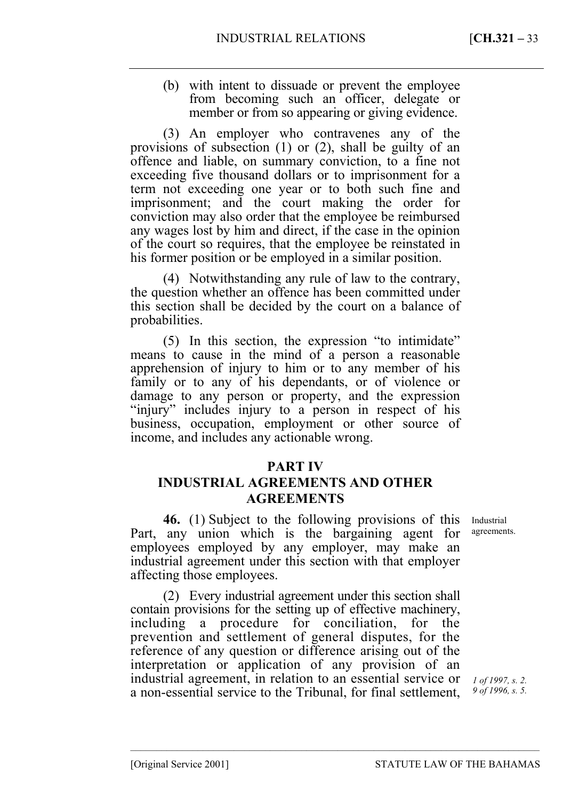(b) with intent to dissuade or prevent the employee from becoming such an officer, delegate or member or from so appearing or giving evidence.

(3) An employer who contravenes any of the provisions of subsection (1) or (2), shall be guilty of an offence and liable, on summary conviction, to a fine not exceeding five thousand dollars or to imprisonment for a term not exceeding one year or to both such fine and imprisonment; and the court making the order for conviction may also order that the employee be reimbursed any wages lost by him and direct, if the case in the opinion of the court so requires, that the employee be reinstated in his former position or be employed in a similar position.

(4) Notwithstanding any rule of law to the contrary, the question whether an offence has been committed under this section shall be decided by the court on a balance of probabilities.

(5) In this section, the expression "to intimidate" means to cause in the mind of a person a reasonable apprehension of injury to him or to any member of his family or to any of his dependants, or of violence or damage to any person or property, and the expression "injury" includes injury to a person in respect of his business, occupation, employment or other source of income, and includes any actionable wrong.

## **PART IV**

## **INDUSTRIAL AGREEMENTS AND OTHER AGREEMENTS**

**46.** (1) Subject to the following provisions of this Part, any union which is the bargaining agent for employees employed by any employer, may make an industrial agreement under this section with that employer affecting those employees.

(2) Every industrial agreement under this section shall contain provisions for the setting up of effective machinery, including a procedure for conciliation, for the prevention and settlement of general disputes, for the reference of any question or difference arising out of the interpretation or application of any provision of an industrial agreement, in relation to an essential service or a non-essential service to the Tribunal, for final settlement,

–––––––––––––––––––––––––––––––––––––––––––––––––––––––––––––––––––––––––––––––

Industrial agreements.

*1 of 1997, s. 2. 9 of 1996, s. 5.*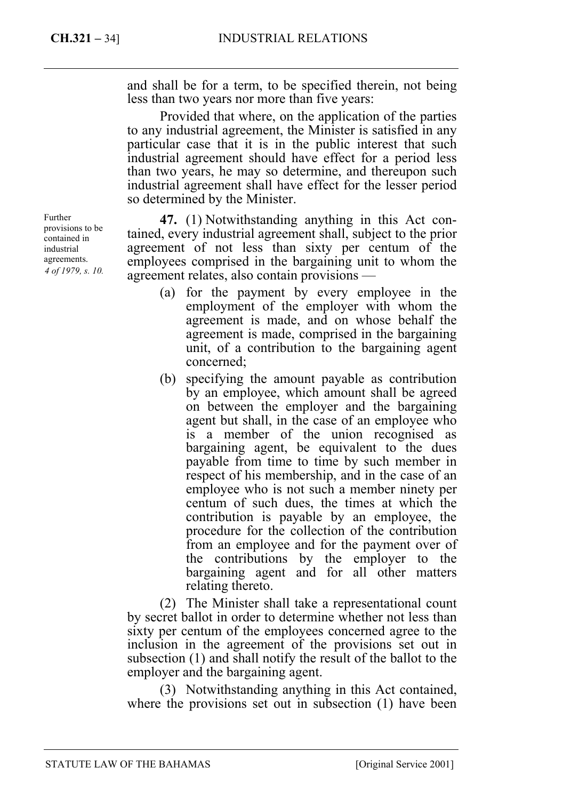and shall be for a term, to be specified therein, not being less than two years nor more than five years:

Provided that where, on the application of the parties to any industrial agreement, the Minister is satisfied in any particular case that it is in the public interest that such industrial agreement should have effect for a period less than two years, he may so determine, and thereupon such industrial agreement shall have effect for the lesser period so determined by the Minister.

**47.** (1) Notwithstanding anything in this Act contained, every industrial agreement shall, subject to the prior agreement of not less than sixty per centum of the employees comprised in the bargaining unit to whom the agreement relates, also contain provisions —

- (a) for the payment by every employee in the employment of the employer with whom the agreement is made, and on whose behalf the agreement is made, comprised in the bargaining unit, of a contribution to the bargaining agent concerned;
- (b) specifying the amount payable as contribution by an employee, which amount shall be agreed on between the employer and the bargaining agent but shall, in the case of an employee who is a member of the union recognised as bargaining agent, be equivalent to the dues payable from time to time by such member in respect of his membership, and in the case of an employee who is not such a member ninety per centum of such dues, the times at which the contribution is payable by an employee, the procedure for the collection of the contribution from an employee and for the payment over of the contributions by the employer to the bargaining agent and for all other matters relating thereto.

(2) The Minister shall take a representational count by secret ballot in order to determine whether not less than sixty per centum of the employees concerned agree to the inclusion in the agreement of the provisions set out in subsection (1) and shall notify the result of the ballot to the employer and the bargaining agent.

(3) Notwithstanding anything in this Act contained, where the provisions set out in subsection (1) have been

Further provisions to be contained in industrial agreements. *4 of 1979, s. 10.*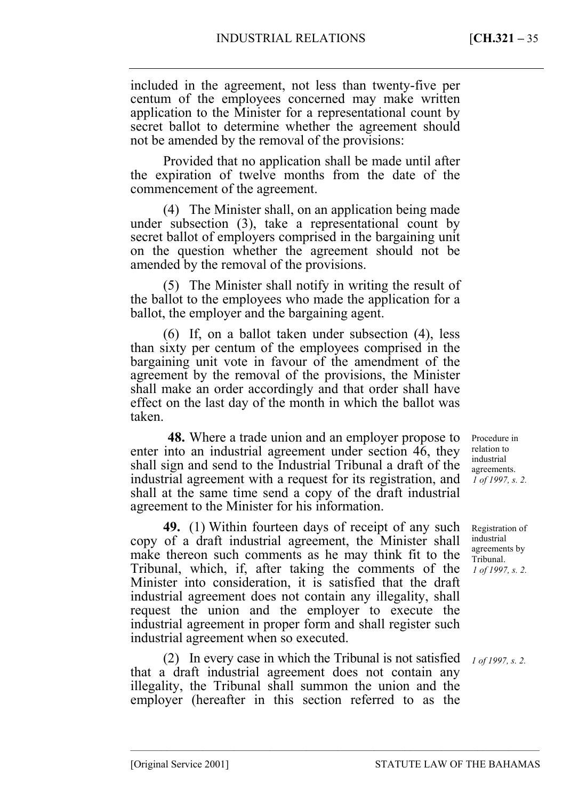included in the agreement, not less than twenty-five per centum of the employees concerned may make written application to the Minister for a representational count by secret ballot to determine whether the agreement should not be amended by the removal of the provisions:

Provided that no application shall be made until after the expiration of twelve months from the date of the commencement of the agreement.

(4) The Minister shall, on an application being made under subsection (3), take a representational count by secret ballot of employers comprised in the bargaining unit on the question whether the agreement should not be amended by the removal of the provisions.

(5) The Minister shall notify in writing the result of the ballot to the employees who made the application for a ballot, the employer and the bargaining agent.

(6) If, on a ballot taken under subsection (4), less than sixty per centum of the employees comprised in the bargaining unit vote in favour of the amendment of the agreement by the removal of the provisions, the Minister shall make an order accordingly and that order shall have effect on the last day of the month in which the ballot was taken.

<sup>1</sup>**48.** Where a trade union and an employer propose to enter into an industrial agreement under section 46, they shall sign and send to the Industrial Tribunal a draft of the industrial agreement with a request for its registration, and shall at the same time send a copy of the draft industrial agreement to the Minister for his information.

**49.** (1) Within fourteen days of receipt of any such copy of a draft industrial agreement, the Minister shall make thereon such comments as he may think fit to the Tribunal, which, if, after taking the comments of the Minister into consideration, it is satisfied that the draft industrial agreement does not contain any illegality, shall request the union and the employer to execute the industrial agreement in proper form and shall register such industrial agreement when so executed.

(2) In every case in which the Tribunal is not satisfied that a draft industrial agreement does not contain any illegality, the Tribunal shall summon the union and the employer (hereafter in this section referred to as the

–––––––––––––––––––––––––––––––––––––––––––––––––––––––––––––––––––––––––––––––

Procedure in relation to industrial agreements. *1 of 1997, s. 2.* 

Registration of industrial agreements by Tribunal. *1 of 1997, s. 2.* 

*1 of 1997, s. 2.*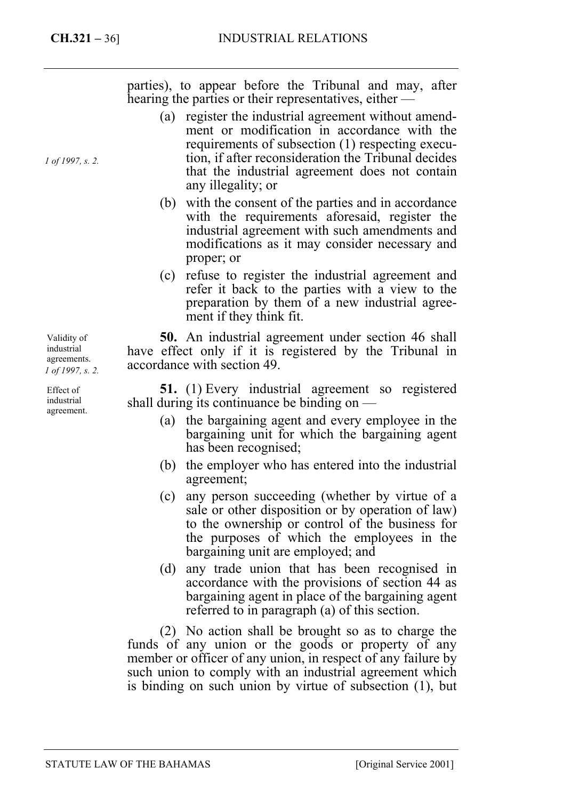*1 of 1997, s. 2.* 

parties), to appear before the Tribunal and may, after hearing the parties or their representatives, either —

- (a) register the industrial agreement without amendment or modification in accordance with the requirements of subsection (1) respecting execution, if after reconsideration the Tribunal decides that the industrial agreement does not contain any illegality; or
- (b) with the consent of the parties and in accordance with the requirements aforesaid, register the industrial agreement with such amendments and modifications as it may consider necessary and proper; or
- (c) refuse to register the industrial agreement and refer it back to the parties with a view to the preparation by them of a new industrial agreement if they think fit.

**50.** An industrial agreement under section 46 shall have effect only if it is registered by the Tribunal in accordance with section 49.

**51.** (1) Every industrial agreement so registered shall during its continuance be binding on —

- (a) the bargaining agent and every employee in the bargaining unit for which the bargaining agent has been recognised;
- (b) the employer who has entered into the industrial agreement;
- (c) any person succeeding (whether by virtue of a sale or other disposition or by operation of law) to the ownership or control of the business for the purposes of which the employees in the bargaining unit are employed; and
- (d) any trade union that has been recognised in accordance with the provisions of section 44 as bargaining agent in place of the bargaining agent referred to in paragraph (a) of this section.

(2) No action shall be brought so as to charge the funds of any union or the goods or property of any member or officer of any union, in respect of any failure by such union to comply with an industrial agreement which is binding on such union by virtue of subsection (1), but

Validity of industrial agreements. *1 of 1997, s. 2.* 

Effect of industrial agreement.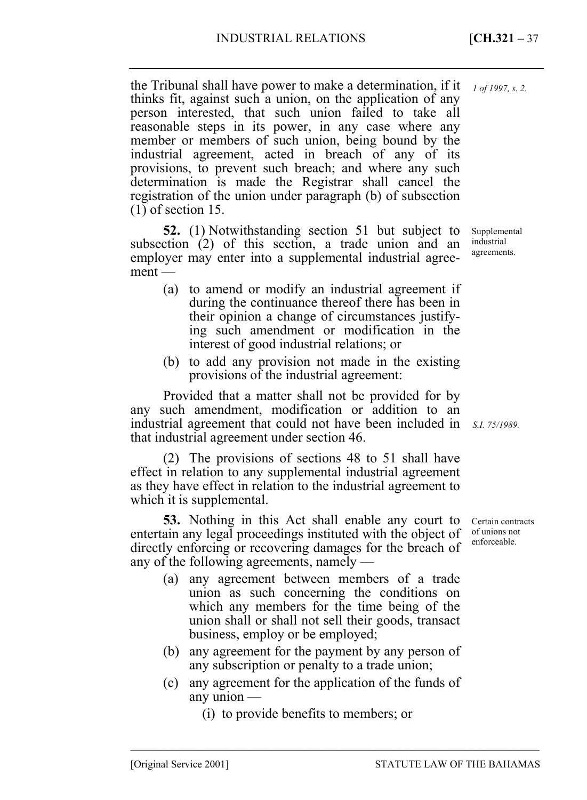*1 of 1997, s. 2.* 

the Tribunal shall have power to make a determination, if it thinks fit, against such a union, on the application of any person interested, that such union failed to take all reasonable steps in its power, in any case where any member or members of such union, being bound by the industrial agreement, acted in breach of any of its provisions, to prevent such breach; and where any such determination is made the Registrar shall cancel the registration of the union under paragraph (b) of subsection (1) of section 15.

**52.** (1) Notwithstanding section 51 but subject to subsection (2) of this section, a trade union and an employer may enter into a supplemental industrial agreement —

- (a) to amend or modify an industrial agreement if during the continuance thereof there has been in their opinion a change of circumstances justifying such amendment or modification in the interest of good industrial relations; or
- (b) to add any provision not made in the existing provisions of the industrial agreement:

Provided that a matter shall not be provided for by any such amendment, modification or addition to an industrial agreement that could not have been included in *S.I. 75/1989.*  that industrial agreement under section 46.

(2) The provisions of sections 48 to 51 shall have effect in relation to any supplemental industrial agreement as they have effect in relation to the industrial agreement to which it is supplemental.

**53.** Nothing in this Act shall enable any court to entertain any legal proceedings instituted with the object of directly enforcing or recovering damages for the breach of any of the following agreements, namely —

- (a) any agreement between members of a trade union as such concerning the conditions on which any members for the time being of the union shall or shall not sell their goods, transact business, employ or be employed;
- (b) any agreement for the payment by any person of any subscription or penalty to a trade union;
- (c) any agreement for the application of the funds of any union —

–––––––––––––––––––––––––––––––––––––––––––––––––––––––––––––––––––––––––––––––

(i) to provide benefits to members; or

Supplemental industrial agreements.

Certain contracts of unions not enforceable.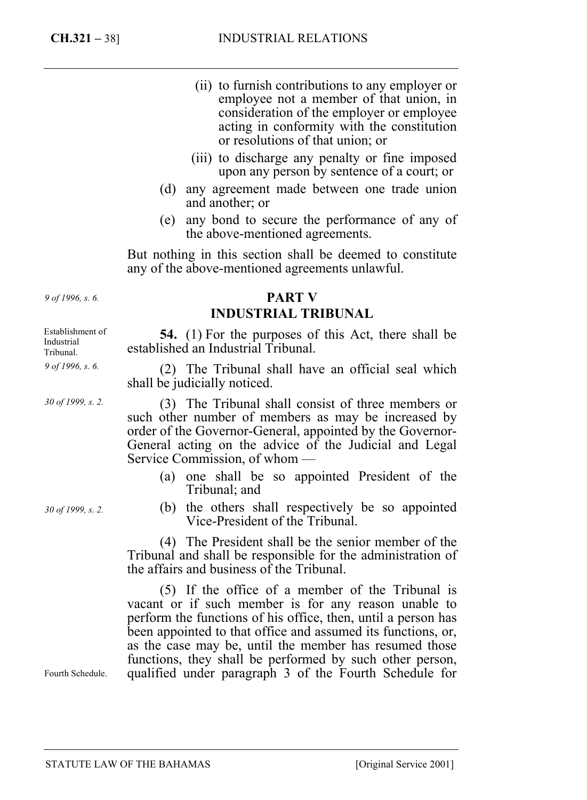- (ii) to furnish contributions to any employer or employee not a member of that union, in consideration of the employer or employee acting in conformity with the constitution or resolutions of that union; or
- (iii) to discharge any penalty or fine imposed upon any person by sentence of a court; or
- (d) any agreement made between one trade union and another; or
- (e) any bond to secure the performance of any of the above-mentioned agreements.

But nothing in this section shall be deemed to constitute any of the above-mentioned agreements unlawful.

# **PART V INDUSTRIAL TRIBUNAL**

**54.** (1) For the purposes of this Act, there shall be established an Industrial Tribunal.

(2) The Tribunal shall have an official seal which shall be judicially noticed.

(3) The Tribunal shall consist of three members or such other number of members as may be increased by order of the Governor-General, appointed by the Governor-General acting on the advice of the Judicial and Legal Service Commission, of whom —

- (a) one shall be so appointed President of the Tribunal; and
- (b) the others shall respectively be so appointed Vice-President of the Tribunal.

(4) The President shall be the senior member of the Tribunal and shall be responsible for the administration of the affairs and business of the Tribunal.

(5) If the office of a member of the Tribunal is vacant or if such member is for any reason unable to perform the functions of his office, then, until a person has been appointed to that office and assumed its functions, or, as the case may be, until the member has resumed those functions, they shall be performed by such other person, qualified under paragraph 3 of the Fourth Schedule for

*9 of 1996, s. 6.* 

Establishment of Industrial Tribunal. *9 of 1996, s. 6.* 

*30 of 1999, s. 2.* 

*30 of 1999, s. 2.* 

Fourth Schedule.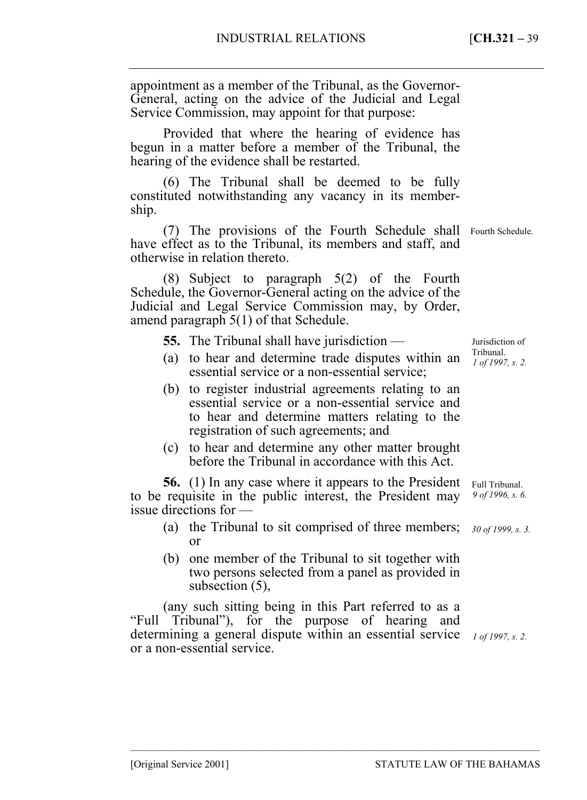appointment as a member of the Tribunal, as the Governor-General, acting on the advice of the Judicial and Legal Service Commission, may appoint for that purpose:

Provided that where the hearing of evidence has begun in a matter before a member of the Tribunal, the hearing of the evidence shall be restarted.

(6) The Tribunal shall be deemed to be fully constituted notwithstanding any vacancy in its membership.

(7) The provisions of the Fourth Schedule shall Fourth Schedule. have effect as to the Tribunal, its members and staff, and otherwise in relation thereto.

(8) Subject to paragraph 5(2) of the Fourth Schedule, the Governor-General acting on the advice of the Judicial and Legal Service Commission may, by Order, amend paragraph 5(1) of that Schedule.

**55.** The Tribunal shall have jurisdiction —

- (a) to hear and determine trade disputes within an  $\frac{\text{Tribunal}}{\int \rho f/\rho g}$ essential service or a non-essential service;
- (b) to register industrial agreements relating to an essential service or a non-essential service and to hear and determine matters relating to the registration of such agreements; and
- (c) to hear and determine any other matter brought before the Tribunal in accordance with this Act.

**56.** (1) In any case where it appears to the President to be requisite in the public interest, the President may issue directions for —

- (a) the Tribunal to sit comprised of three members; *30 of 1999, s. 3.*  or
- (b) one member of the Tribunal to sit together with two persons selected from a panel as provided in subsection (5),

(any such sitting being in this Part referred to as a "Full Tribunal"), for the purpose of hearing and determining a general dispute within an essential service *1 of 1997, s. 2.* or a non-essential service.

–––––––––––––––––––––––––––––––––––––––––––––––––––––––––––––––––––––––––––––––

Jurisdiction of *1 of 1997, s. 2.* 

*9 of 1996, s. 6.*  Full Tribunal.

[Original Service 2001] STATUTE LAW OF THE BAHAMAS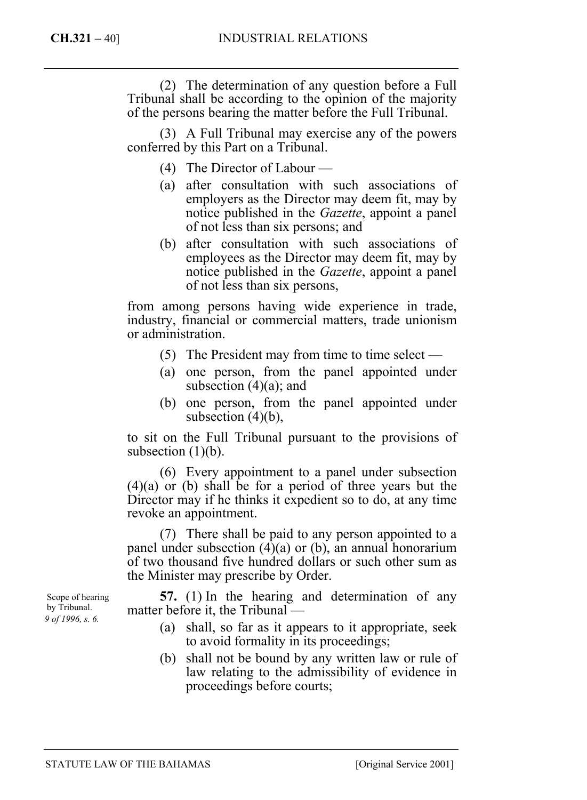(2) The determination of any question before a Full Tribunal shall be according to the opinion of the majority of the persons bearing the matter before the Full Tribunal.

(3) A Full Tribunal may exercise any of the powers conferred by this Part on a Tribunal.

- (4) The Director of Labour —
- (a) after consultation with such associations of employers as the Director may deem fit, may by notice published in the *Gazette*, appoint a panel of not less than six persons; and
- (b) after consultation with such associations of employees as the Director may deem fit, may by notice published in the *Gazette*, appoint a panel of not less than six persons,

from among persons having wide experience in trade, industry, financial or commercial matters, trade unionism or administration.

- (5) The President may from time to time select —
- (a) one person, from the panel appointed under subsection  $(4)(a)$ ; and
- (b) one person, from the panel appointed under subsection  $(4)(b)$ ,

to sit on the Full Tribunal pursuant to the provisions of subsection  $(1)(b)$ .

(6) Every appointment to a panel under subsection (4)(a) or (b) shall be for a period of three years but the Director may if he thinks it expedient so to do, at any time revoke an appointment.

(7) There shall be paid to any person appointed to a panel under subsection  $(4)(a)$  or  $(b)$ , an annual honorarium of two thousand five hundred dollars or such other sum as the Minister may prescribe by Order.

**57.** (1) In the hearing and determination of any matter before it, the Tribunal —

- (a) shall, so far as it appears to it appropriate, seek to avoid formality in its proceedings;
- (b) shall not be bound by any written law or rule of law relating to the admissibility of evidence in proceedings before courts;

Scope of hearing by Tribunal. *9 of 1996, s. 6.*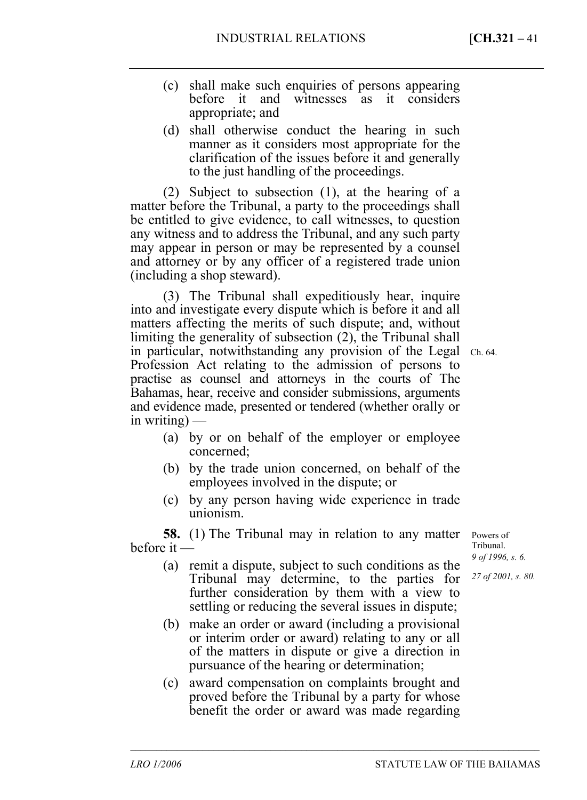- (c) shall make such enquiries of persons appearing before it and witnesses as it considers appropriate; and
- (d) shall otherwise conduct the hearing in such manner as it considers most appropriate for the clarification of the issues before it and generally to the just handling of the proceedings.

(2) Subject to subsection (1), at the hearing of a matter before the Tribunal, a party to the proceedings shall be entitled to give evidence, to call witnesses, to question any witness and to address the Tribunal, and any such party may appear in person or may be represented by a counsel and attorney or by any officer of a registered trade union (including a shop steward).

(3) The Tribunal shall expeditiously hear, inquire into and investigate every dispute which is before it and all matters affecting the merits of such dispute; and, without limiting the generality of subsection (2), the Tribunal shall in particular, notwithstanding any provision of the Legal Ch. 64. Profession Act relating to the admission of persons to practise as counsel and attorneys in the courts of The Bahamas, hear, receive and consider submissions, arguments and evidence made, presented or tendered (whether orally or in writing)  $-$ 

- (a) by or on behalf of the employer or employee concerned;
- (b) by the trade union concerned, on behalf of the employees involved in the dispute; or
- (c) by any person having wide experience in trade unionism.

**58.** (1) The Tribunal may in relation to any matter before it —

- (a) remit a dispute, subject to such conditions as the Tribunal may determine, to the parties for further consideration by them with a view to settling or reducing the several issues in dispute;
- (b) make an order or award (including a provisional or interim order or award) relating to any or all of the matters in dispute or give a direction in pursuance of the hearing or determination;
- (c) award compensation on complaints brought and proved before the Tribunal by a party for whose benefit the order or award was made regarding

–––––––––––––––––––––––––––––––––––––––––––––––––––––––––––––––––––––––––––––––

Powers of Tribunal. *9 of 1996, s. 6.* 

*27 of 2001, s. 80.*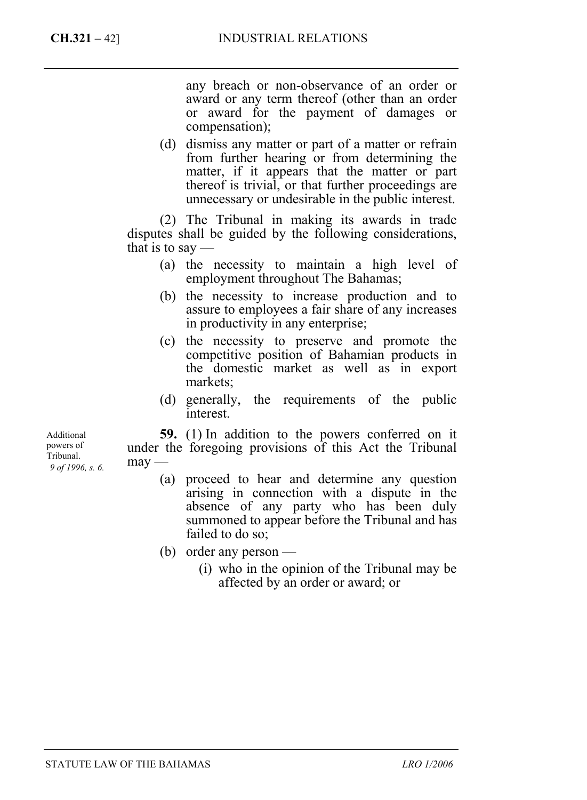any breach or non-observance of an order or award or any term thereof (other than an order or award for the payment of damages or compensation);

(d) dismiss any matter or part of a matter or refrain from further hearing or from determining the matter, if it appears that the matter or part thereof is trivial, or that further proceedings are unnecessary or undesirable in the public interest.

(2) The Tribunal in making its awards in trade disputes shall be guided by the following considerations, that is to say  $-$ 

- (a) the necessity to maintain a high level of employment throughout The Bahamas;
- (b) the necessity to increase production and to assure to employees a fair share of any increases in productivity in any enterprise;
- (c) the necessity to preserve and promote the competitive position of Bahamian products in the domestic market as well as in export markets;
- (d) generally, the requirements of the public interest.

**59.** (1) In addition to the powers conferred on it under the foregoing provisions of this Act the Tribunal  $may -$ 

- (a) proceed to hear and determine any question arising in connection with a dispute in the absence of any party who has been duly summoned to appear before the Tribunal and has failed to do so;
- (b) order any person
	- (i) who in the opinion of the Tribunal may be affected by an order or award; or

Additional powers of Tribunal. *9 of 1996, s. 6.*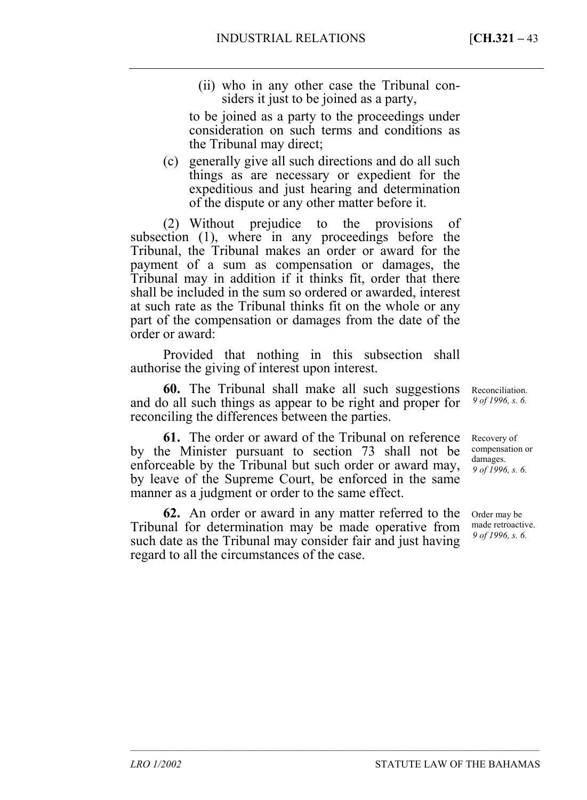(ii) who in any other case the Tribunal considers it just to be joined as a party,

to be joined as a party to the proceedings under consideration on such terms and conditions as the Tribunal may direct;

(c) generally give all such directions and do all such things as are necessary or expedient for the expeditious and just hearing and determination of the dispute or any other matter before it.

(2) Without prejudice to the provisions of subsection (1), where in any proceedings before the Tribunal, the Tribunal makes an order or award for the payment of a sum as compensation or damages, the Tribunal may in addition if it thinks fit, order that there shall be included in the sum so ordered or awarded, interest at such rate as the Tribunal thinks fit on the whole or any part of the compensation or damages from the date of the order or award:

Provided that nothing in this subsection shall authorise the giving of interest upon interest.

**60.** The Tribunal shall make all such suggestions and do all such things as appear to be right and proper for reconciling the differences between the parties.

**61.** The order or award of the Tribunal on reference by the Minister pursuant to section 73 shall not be enforceable by the Tribunal but such order or award may, by leave of the Supreme Court, be enforced in the same manner as a judgment or order to the same effect.

**62.** An order or award in any matter referred to the Tribunal for determination may be made operative from such date as the Tribunal may consider fair and just having regard to all the circumstances of the case.

–––––––––––––––––––––––––––––––––––––––––––––––––––––––––––––––––––––––––––––––

Reconciliation. *9 of 1996, s. 6.* 

Recovery of compensation or damages. *9 of 1996, s. 6.* 

Order may be made retroactive. *9 of 1996, s. 6.*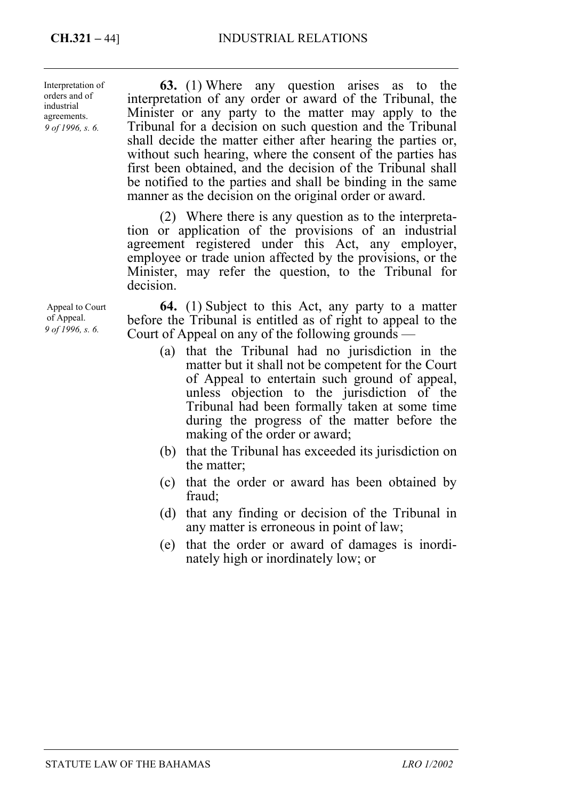*9 of 1996, s. 6.*  Interpretation of orders and of industrial agreements.

**63.** (1) Where any question arises as to the interpretation of any order or award of the Tribunal, the Minister or any party to the matter may apply to the Tribunal for a decision on such question and the Tribunal shall decide the matter either after hearing the parties or, without such hearing, where the consent of the parties has first been obtained, and the decision of the Tribunal shall be notified to the parties and shall be binding in the same manner as the decision on the original order or award.

(2) Where there is any question as to the interpretation or application of the provisions of an industrial agreement registered under this Act, any employer, employee or trade union affected by the provisions, or the Minister, may refer the question, to the Tribunal for decision.

**64.** (1) Subject to this Act, any party to a matter before the Tribunal is entitled as of right to appeal to the Court of Appeal on any of the following grounds —

- (a) that the Tribunal had no jurisdiction in the matter but it shall not be competent for the Court of Appeal to entertain such ground of appeal, unless objection to the jurisdiction of the Tribunal had been formally taken at some time during the progress of the matter before the making of the order or award;
- (b) that the Tribunal has exceeded its jurisdiction on the matter;
- (c) that the order or award has been obtained by fraud;
- (d) that any finding or decision of the Tribunal in any matter is erroneous in point of law;
- (e) that the order or award of damages is inordinately high or inordinately low; or

Appeal to Court of Appeal. *9 of 1996, s. 6.*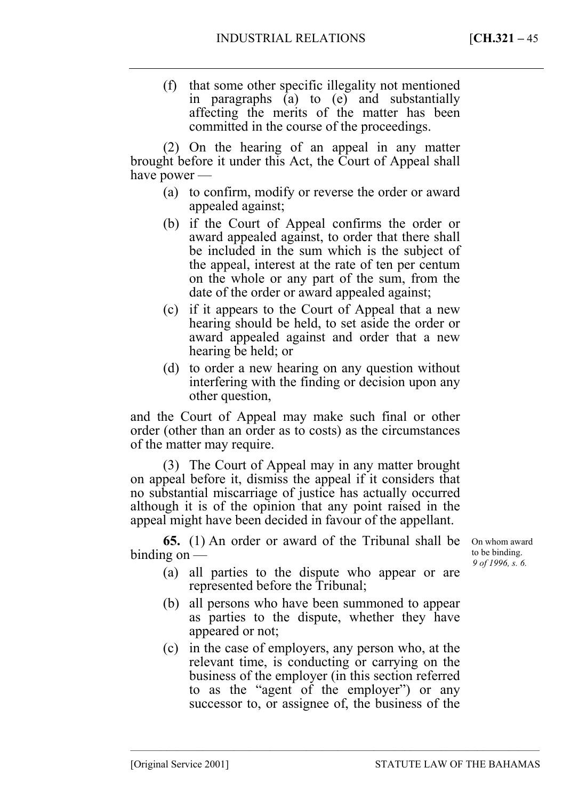(f) that some other specific illegality not mentioned in paragraphs (a) to (e) and substantially affecting the merits of the matter has been committed in the course of the proceedings.

(2) On the hearing of an appeal in any matter brought before it under this Act, the Court of Appeal shall have power —

- (a) to confirm, modify or reverse the order or award appealed against;
- (b) if the Court of Appeal confirms the order or award appealed against, to order that there shall be included in the sum which is the subject of the appeal, interest at the rate of ten per centum on the whole or any part of the sum, from the date of the order or award appealed against;
- (c) if it appears to the Court of Appeal that a new hearing should be held, to set aside the order or award appealed against and order that a new hearing be held; or
- (d) to order a new hearing on any question without interfering with the finding or decision upon any other question,

and the Court of Appeal may make such final or other order (other than an order as to costs) as the circumstances of the matter may require.

(3) The Court of Appeal may in any matter brought on appeal before it, dismiss the appeal if it considers that no substantial miscarriage of justice has actually occurred although it is of the opinion that any point raised in the appeal might have been decided in favour of the appellant.

**65.** (1) An order or award of the Tribunal shall be binding on —

On whom award to be binding. *9 of 1996, s. 6.* 

- (a) all parties to the dispute who appear or are represented before the Tribunal;
- (b) all persons who have been summoned to appear as parties to the dispute, whether they have appeared or not;
- (c) in the case of employers, any person who, at the relevant time, is conducting or carrying on the business of the employer (in this section referred to as the "agent of the employer") or any successor to, or assignee of, the business of the

–––––––––––––––––––––––––––––––––––––––––––––––––––––––––––––––––––––––––––––––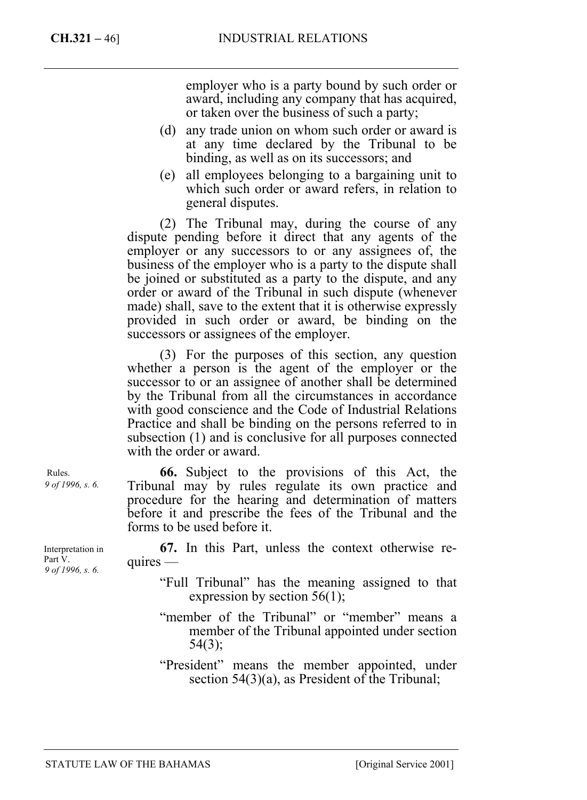employer who is a party bound by such order or award, including any company that has acquired, or taken over the business of such a party;

- (d) any trade union on whom such order or award is at any time declared by the Tribunal to be binding, as well as on its successors; and
- (e) all employees belonging to a bargaining unit to which such order or award refers, in relation to general disputes.

(2) The Tribunal may, during the course of any dispute pending before it direct that any agents of the employer or any successors to or any assignees of, the business of the employer who is a party to the dispute shall be joined or substituted as a party to the dispute, and any order or award of the Tribunal in such dispute (whenever made) shall, save to the extent that it is otherwise expressly provided in such order or award, be binding on the successors or assignees of the employer.

(3) For the purposes of this section, any question whether a person is the agent of the employer or the successor to or an assignee of another shall be determined by the Tribunal from all the circumstances in accordance with good conscience and the Code of Industrial Relations Practice and shall be binding on the persons referred to in subsection (1) and is conclusive for all purposes connected with the order or award.

**66.** Subject to the provisions of this Act, the Tribunal may by rules regulate its own practice and procedure for the hearing and determination of matters before it and prescribe the fees of the Tribunal and the forms to be used before it.

**67.** In this Part, unless the context otherwise re $quires$  —

- "Full Tribunal" has the meaning assigned to that expression by section  $56(1)$ ;
- "member of the Tribunal" or "member" means a member of the Tribunal appointed under section  $54(3)$ ;

Interpretation in Part V. *9 of 1996, s. 6.* 

Rules. *9 of 1996, s. 6.* 

<sup>&</sup>quot;President" means the member appointed, under section 54(3)(a), as President of the Tribunal;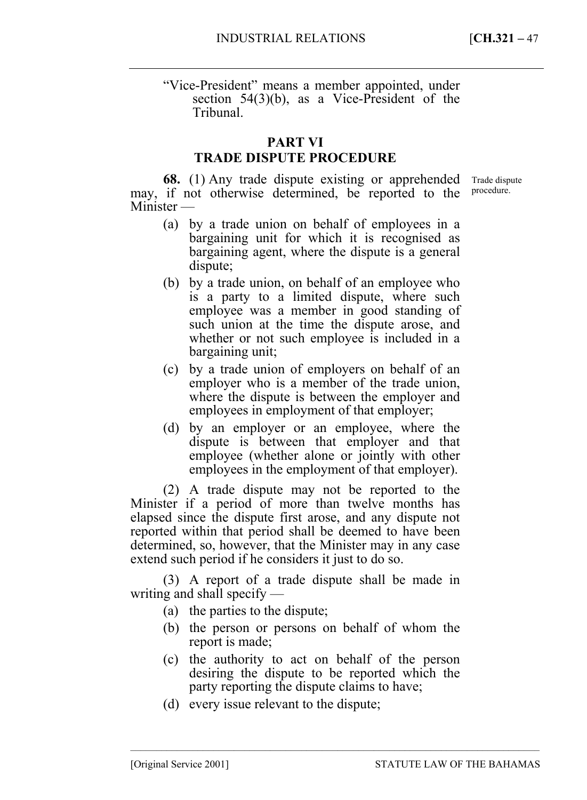"Vice-President" means a member appointed, under section 54(3)(b), as a Vice-President of the Tribunal.

# **PART VI**

# **TRADE DISPUTE PROCEDURE**

**68.** (1) Any trade dispute existing or apprehended may, if not otherwise determined, be reported to the Minister — Trade dispute procedure.

- (a) by a trade union on behalf of employees in a bargaining unit for which it is recognised as bargaining agent, where the dispute is a general dispute;
- (b) by a trade union, on behalf of an employee who is a party to a limited dispute, where such employee was a member in good standing of such union at the time the dispute arose, and whether or not such employee is included in a bargaining unit;
- (c) by a trade union of employers on behalf of an employer who is a member of the trade union, where the dispute is between the employer and employees in employment of that employer;
- (d) by an employer or an employee, where the dispute is between that employer and that employee (whether alone or jointly with other employees in the employment of that employer).

(2) A trade dispute may not be reported to the Minister if a period of more than twelve months has elapsed since the dispute first arose, and any dispute not reported within that period shall be deemed to have been determined, so, however, that the Minister may in any case extend such period if he considers it just to do so.

(3) A report of a trade dispute shall be made in writing and shall specify —

- (a) the parties to the dispute;
- (b) the person or persons on behalf of whom the report is made;
- (c) the authority to act on behalf of the person desiring the dispute to be reported which the party reporting the dispute claims to have;
- (d) every issue relevant to the dispute;

–––––––––––––––––––––––––––––––––––––––––––––––––––––––––––––––––––––––––––––––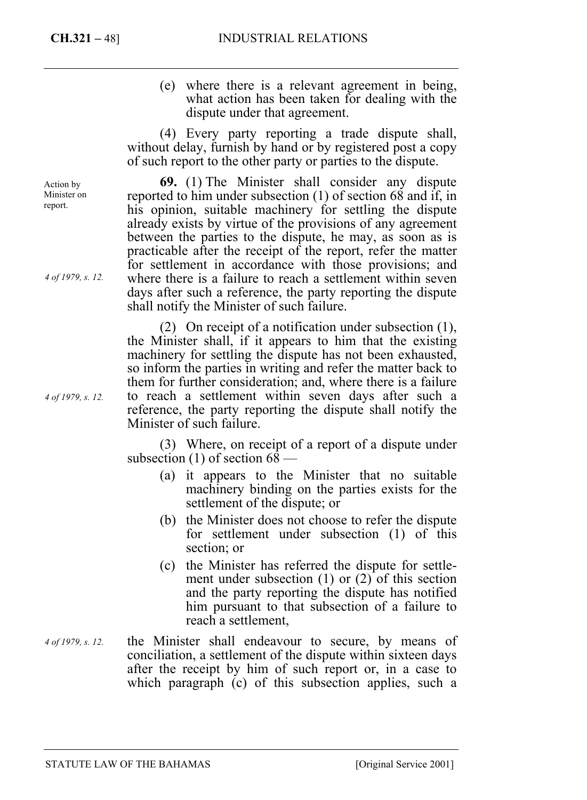(e) where there is a relevant agreement in being, what action has been taken for dealing with the dispute under that agreement.

(4) Every party reporting a trade dispute shall, without delay, furnish by hand or by registered post a copy of such report to the other party or parties to the dispute.

**69.** (1) The Minister shall consider any dispute reported to him under subsection (1) of section 68 and if, in his opinion, suitable machinery for settling the dispute already exists by virtue of the provisions of any agreement between the parties to the dispute, he may, as soon as is practicable after the receipt of the report, refer the matter for settlement in accordance with those provisions; and where there is a failure to reach a settlement within seven days after such a reference, the party reporting the dispute shall notify the Minister of such failure.

(2) On receipt of a notification under subsection (1), the Minister shall, if it appears to him that the existing machinery for settling the dispute has not been exhausted, so inform the parties in writing and refer the matter back to them for further consideration; and, where there is a failure to reach a settlement within seven days after such a reference, the party reporting the dispute shall notify the Minister of such failure.

(3) Where, on receipt of a report of a dispute under subsection (1) of section 68 —

- (a) it appears to the Minister that no suitable machinery binding on the parties exists for the settlement of the dispute; or
- (b) the Minister does not choose to refer the dispute for settlement under subsection (1) of this section; or
- (c) the Minister has referred the dispute for settlement under subsection (1) or (2) of this section and the party reporting the dispute has notified him pursuant to that subsection of a failure to reach a settlement,
- the Minister shall endeavour to secure, by means of conciliation, a settlement of the dispute within sixteen days after the receipt by him of such report or, in a case to which paragraph (c) of this subsection applies, such a *4 of 1979, s. 12.*

Action by Minister on report.

*4 of 1979, s. 12.* 

*4 of 1979, s. 12.*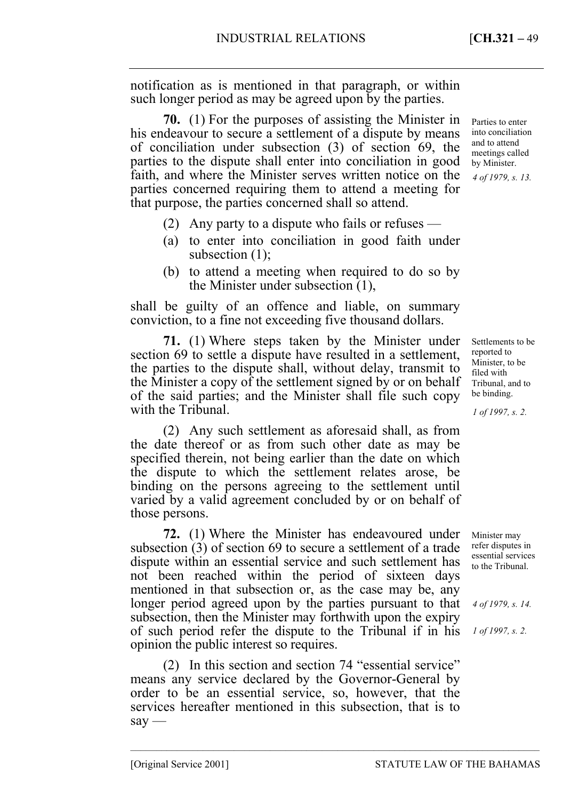notification as is mentioned in that paragraph, or within such longer period as may be agreed upon by the parties.

**70.** (1) For the purposes of assisting the Minister in his endeavour to secure a settlement of a dispute by means of conciliation under subsection (3) of section 69, the parties to the dispute shall enter into conciliation in good faith, and where the Minister serves written notice on the parties concerned requiring them to attend a meeting for that purpose, the parties concerned shall so attend.

- (2) Any party to a dispute who fails or refuses —
- (a) to enter into conciliation in good faith under subsection  $(1)$ ;
- (b) to attend a meeting when required to do so by the Minister under subsection (1),

shall be guilty of an offence and liable, on summary conviction, to a fine not exceeding five thousand dollars.

**71.** (1) Where steps taken by the Minister under section 69 to settle a dispute have resulted in a settlement, the parties to the dispute shall, without delay, transmit to the Minister a copy of the settlement signed by or on behalf of the said parties; and the Minister shall file such copy with the Tribunal.

(2) Any such settlement as aforesaid shall, as from the date thereof or as from such other date as may be specified therein, not being earlier than the date on which the dispute to which the settlement relates arose, be binding on the persons agreeing to the settlement until varied by a valid agreement concluded by or on behalf of those persons.

**72.** (1) Where the Minister has endeavoured under subsection (3) of section 69 to secure a settlement of a trade dispute within an essential service and such settlement has not been reached within the period of sixteen days mentioned in that subsection or, as the case may be, any longer period agreed upon by the parties pursuant to that subsection, then the Minister may forthwith upon the expiry of such period refer the dispute to the Tribunal if in his opinion the public interest so requires.

(2) In this section and section 74 "essential service" means any service declared by the Governor-General by order to be an essential service, so, however, that the services hereafter mentioned in this subsection, that is to  $say -$ 

–––––––––––––––––––––––––––––––––––––––––––––––––––––––––––––––––––––––––––––––

Parties to enter into conciliation and to attend meetings called by Minister. *4 of 1979, s. 13.* 

Settlements to be reported to Minister, to be filed with Tribunal, and to be binding.

*1 of 1997, s. 2.* 

Minister may refer disputes in essential services to the Tribunal.

*4 of 1979, s. 14.* 

*1 of 1997, s. 2.*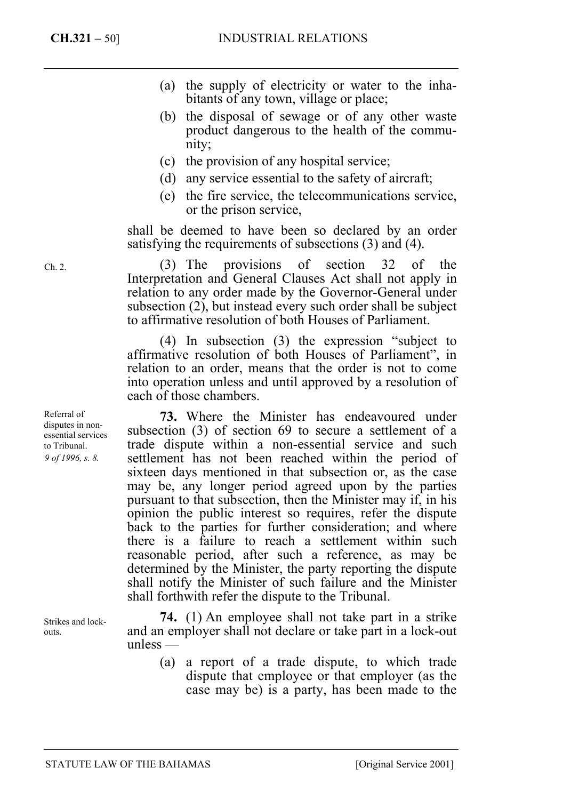- (a) the supply of electricity or water to the inhabitants of any town, village or place;
- (b) the disposal of sewage or of any other waste product dangerous to the health of the community;
- (c) the provision of any hospital service;
- (d) any service essential to the safety of aircraft;
- (e) the fire service, the telecommunications service, or the prison service,

shall be deemed to have been so declared by an order satisfying the requirements of subsections (3) and (4).

(3) The provisions of section 32 of the Interpretation and General Clauses Act shall not apply in relation to any order made by the Governor-General under subsection (2), but instead every such order shall be subject to affirmative resolution of both Houses of Parliament.

(4) In subsection (3) the expression "subject to affirmative resolution of both Houses of Parliament", in relation to an order, means that the order is not to come into operation unless and until approved by a resolution of each of those chambers.

**73.** Where the Minister has endeavoured under subsection (3) of section 69 to secure a settlement of a trade dispute within a non-essential service and such settlement has not been reached within the period of sixteen days mentioned in that subsection or, as the case may be, any longer period agreed upon by the parties pursuant to that subsection, then the Minister may if, in his opinion the public interest so requires, refer the dispute back to the parties for further consideration; and where there is a failure to reach a settlement within such reasonable period, after such a reference, as may be determined by the Minister, the party reporting the dispute shall notify the Minister of such failure and the Minister shall forthwith refer the dispute to the Tribunal.

**74.** (1) An employee shall not take part in a strike and an employer shall not declare or take part in a lock-out unless —

> (a) a report of a trade dispute, to which trade dispute that employee or that employer (as the case may be) is a party, has been made to the

Ch. 2.

Referral of disputes in nonessential services to Tribunal. *9 of 1996, s. 8.* 

Strikes and lockouts.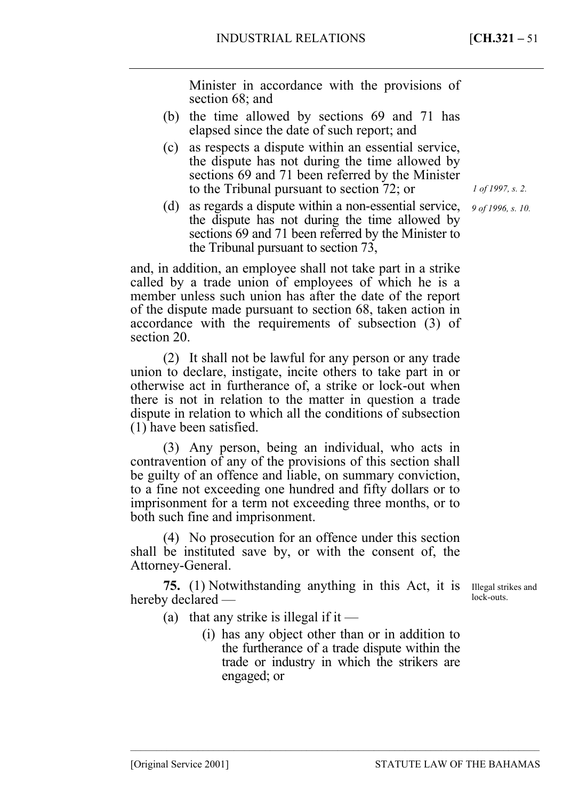Minister in accordance with the provisions of section 68; and

- (b) the time allowed by sections 69 and 71 has elapsed since the date of such report; and
- (c) as respects a dispute within an essential service, the dispute has not during the time allowed by sections 69 and 71 been referred by the Minister to the Tribunal pursuant to section 72; or
- (d) as regards a dispute within a non-essential service, the dispute has not during the time allowed by sections 69 and 71 been referred by the Minister to the Tribunal pursuant to section 73,

and, in addition, an employee shall not take part in a strike called by a trade union of employees of which he is a member unless such union has after the date of the report of the dispute made pursuant to section 68, taken action in accordance with the requirements of subsection (3) of section 20.

(2) It shall not be lawful for any person or any trade union to declare, instigate, incite others to take part in or otherwise act in furtherance of, a strike or lock-out when there is not in relation to the matter in question a trade dispute in relation to which all the conditions of subsection (1) have been satisfied.

(3) Any person, being an individual, who acts in contravention of any of the provisions of this section shall be guilty of an offence and liable, on summary conviction, to a fine not exceeding one hundred and fifty dollars or to imprisonment for a term not exceeding three months, or to both such fine and imprisonment.

(4) No prosecution for an offence under this section shall be instituted save by, or with the consent of, the Attorney-General.

**75.** (1) Notwithstanding anything in this Act, it is Illegal strikes and hereby declared —

lock-outs.

- (a) that any strike is illegal if it
	- (i) has any object other than or in addition to the furtherance of a trade dispute within the trade or industry in which the strikers are engaged; or

–––––––––––––––––––––––––––––––––––––––––––––––––––––––––––––––––––––––––––––––

*1 of 1997, s. 2.* 

*9 of 1996, s. 10.*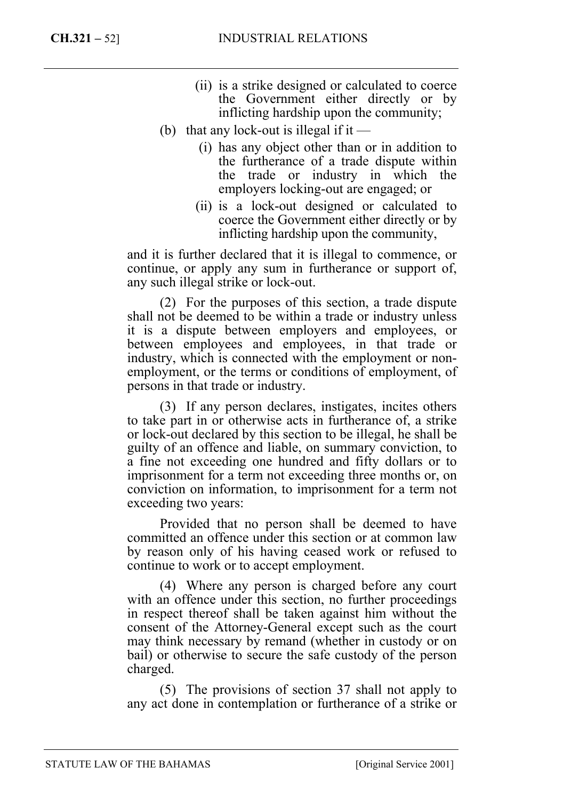- (ii) is a strike designed or calculated to coerce the Government either directly or by inflicting hardship upon the community;
- (b) that any lock-out is illegal if it  $-$ 
	- (i) has any object other than or in addition to the furtherance of a trade dispute within the trade or industry in which the employers locking-out are engaged; or
	- (ii) is a lock-out designed or calculated to coerce the Government either directly or by inflicting hardship upon the community,

and it is further declared that it is illegal to commence, or continue, or apply any sum in furtherance or support of, any such illegal strike or lock-out.

(2) For the purposes of this section, a trade dispute shall not be deemed to be within a trade or industry unless it is a dispute between employers and employees, or between employees and employees, in that trade or industry, which is connected with the employment or nonemployment, or the terms or conditions of employment, of persons in that trade or industry.

(3) If any person declares, instigates, incites others to take part in or otherwise acts in furtherance of, a strike or lock-out declared by this section to be illegal, he shall be guilty of an offence and liable, on summary conviction, to a fine not exceeding one hundred and fifty dollars or to imprisonment for a term not exceeding three months or, on conviction on information, to imprisonment for a term not exceeding two years:

Provided that no person shall be deemed to have committed an offence under this section or at common law by reason only of his having ceased work or refused to continue to work or to accept employment.

(4) Where any person is charged before any court with an offence under this section, no further proceedings in respect thereof shall be taken against him without the consent of the Attorney-General except such as the court may think necessary by remand (whether in custody or on bail) or otherwise to secure the safe custody of the person charged.

(5) The provisions of section 37 shall not apply to any act done in contemplation or furtherance of a strike or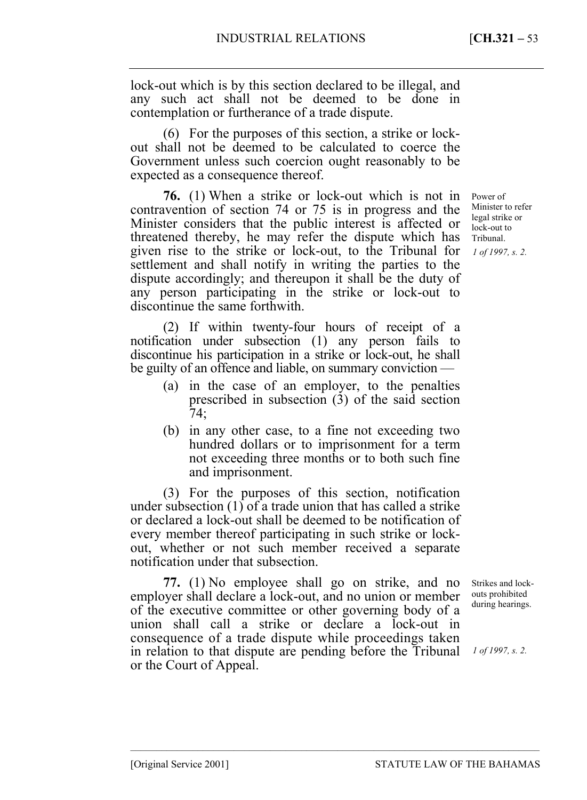lock-out which is by this section declared to be illegal, and any such act shall not be deemed to be done in contemplation or furtherance of a trade dispute.

(6) For the purposes of this section, a strike or lockout shall not be deemed to be calculated to coerce the Government unless such coercion ought reasonably to be expected as a consequence thereof.

**76.** (1) When a strike or lock-out which is not in contravention of section 74 or 75 is in progress and the Minister considers that the public interest is affected or threatened thereby, he may refer the dispute which has given rise to the strike or lock-out, to the Tribunal for settlement and shall notify in writing the parties to the dispute accordingly; and thereupon it shall be the duty of any person participating in the strike or lock-out to discontinue the same forthwith.

(2) If within twenty-four hours of receipt of a notification under subsection (1) any person fails to discontinue his participation in a strike or lock-out, he shall be guilty of an offence and liable, on summary conviction —

- (a) in the case of an employer, to the penalties prescribed in subsection (3) of the said section 74;
- (b) in any other case, to a fine not exceeding two hundred dollars or to imprisonment for a term not exceeding three months or to both such fine and imprisonment.

(3) For the purposes of this section, notification under subsection  $(1)$  of a trade union that has called a strike or declared a lock-out shall be deemed to be notification of every member thereof participating in such strike or lockout, whether or not such member received a separate notification under that subsection.

**77.** (1) No employee shall go on strike, and no employer shall declare a lock-out, and no union or member of the executive committee or other governing body of a union shall call a strike or declare a lock-out in consequence of a trade dispute while proceedings taken in relation to that dispute are pending before the Tribunal or the Court of Appeal.

–––––––––––––––––––––––––––––––––––––––––––––––––––––––––––––––––––––––––––––––

Power of Minister to refer legal strike or lock-out to Tribunal.

*1 of 1997, s. 2.* 

Strikes and lockouts prohibited during hearings.

*1 of 1997, s. 2.*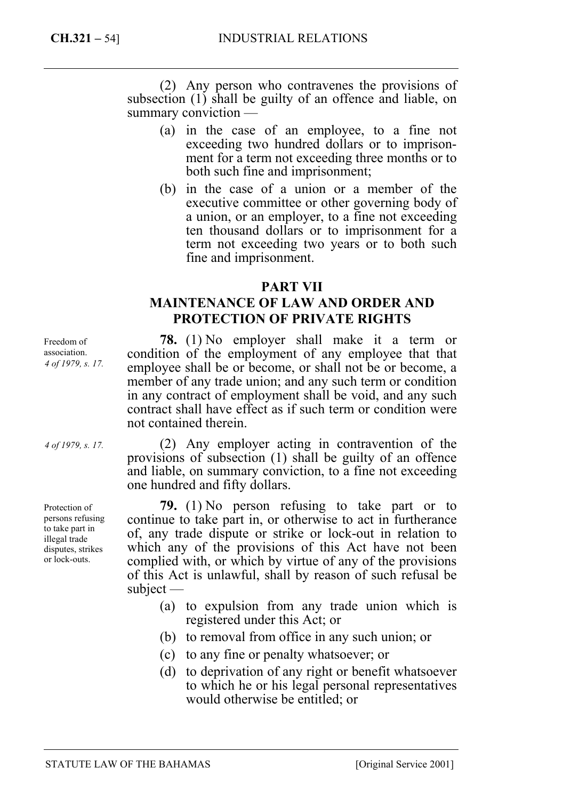(2) Any person who contravenes the provisions of subsection (1) shall be guilty of an offence and liable, on summary conviction —

- (a) in the case of an employee, to a fine not exceeding two hundred dollars or to imprisonment for a term not exceeding three months or to both such fine and imprisonment;
- (b) in the case of a union or a member of the executive committee or other governing body of a union, or an employer, to a fine not exceeding ten thousand dollars or to imprisonment for a term not exceeding two years or to both such fine and imprisonment.

# **PART VII**

# **MAINTENANCE OF LAW AND ORDER AND PROTECTION OF PRIVATE RIGHTS**

**78.** (1) No employer shall make it a term or condition of the employment of any employee that that employee shall be or become, or shall not be or become, a member of any trade union; and any such term or condition in any contract of employment shall be void, and any such contract shall have effect as if such term or condition were not contained therein.

(2) Any employer acting in contravention of the provisions of subsection (1) shall be guilty of an offence and liable, on summary conviction, to a fine not exceeding one hundred and fifty dollars.

**79.** (1) No person refusing to take part or to continue to take part in, or otherwise to act in furtherance of, any trade dispute or strike or lock-out in relation to which any of the provisions of this Act have not been complied with, or which by virtue of any of the provisions of this Act is unlawful, shall by reason of such refusal be subject —

- (a) to expulsion from any trade union which is registered under this Act; or
- (b) to removal from office in any such union; or
- (c) to any fine or penalty whatsoever; or
- (d) to deprivation of any right or benefit whatsoever to which he or his legal personal representatives would otherwise be entitled; or

Freedom of association. *4 of 1979, s. 17.* 

*4 of 1979, s. 17.* 

Protection of persons refusing to take part in illegal trade disputes, strikes or lock-outs.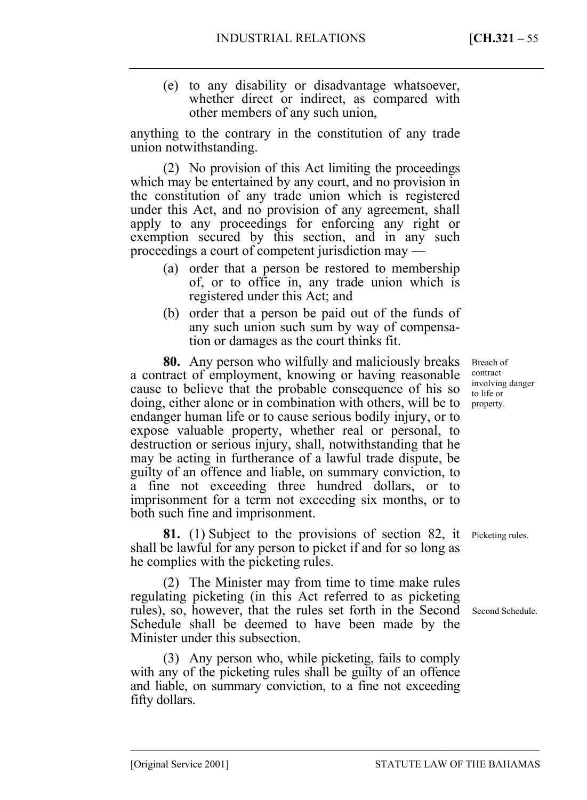(e) to any disability or disadvantage whatsoever, whether direct or indirect, as compared with other members of any such union,

anything to the contrary in the constitution of any trade union notwithstanding.

(2) No provision of this Act limiting the proceedings which may be entertained by any court, and no provision in the constitution of any trade union which is registered under this Act, and no provision of any agreement, shall apply to any proceedings for enforcing any right or exemption secured by this section, and in any such proceedings a court of competent jurisdiction may —

- (a) order that a person be restored to membership of, or to office in, any trade union which is registered under this Act; and
- (b) order that a person be paid out of the funds of any such union such sum by way of compensation or damages as the court thinks fit.

**80.** Any person who wilfully and maliciously breaks a contract of employment, knowing or having reasonable cause to believe that the probable consequence of his so doing, either alone or in combination with others, will be to endanger human life or to cause serious bodily injury, or to expose valuable property, whether real or personal, to destruction or serious injury, shall, notwithstanding that he may be acting in furtherance of a lawful trade dispute, be guilty of an offence and liable, on summary conviction, to a fine not exceeding three hundred dollars, or to imprisonment for a term not exceeding six months, or to both such fine and imprisonment.

**81.** (1) Subject to the provisions of section 82, it shall be lawful for any person to picket if and for so long as he complies with the picketing rules.

(2) The Minister may from time to time make rules regulating picketing (in this Act referred to as picketing rules), so, however, that the rules set forth in the Second Second Schedule. Schedule shall be deemed to have been made by the Minister under this subsection.

(3) Any person who, while picketing, fails to comply with any of the picketing rules shall be guilty of an offence and liable, on summary conviction, to a fine not exceeding fifty dollars.

–––––––––––––––––––––––––––––––––––––––––––––––––––––––––––––––––––––––––––––––

Breach of contract involving danger to life or property.

Picketing rules.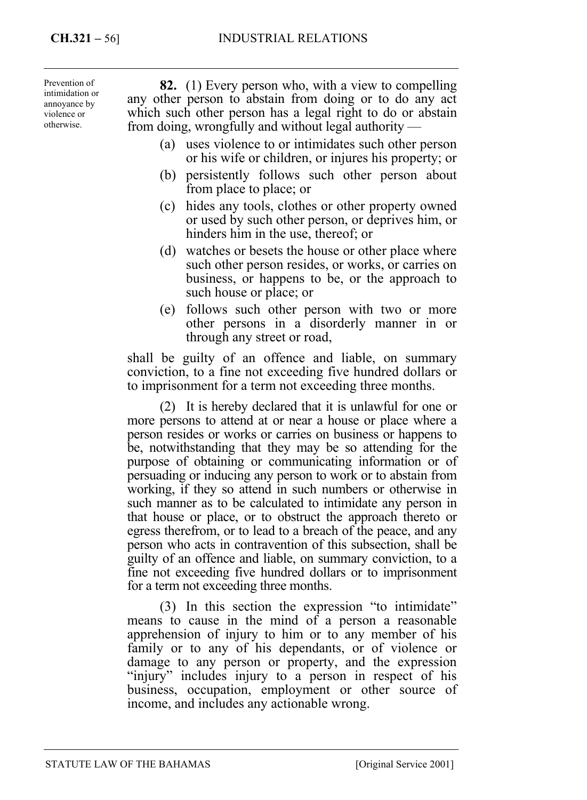Prevention of intimidation or annoyance by violence or otherwise.

**82.** (1) Every person who, with a view to compelling any other person to abstain from doing or to do any act which such other person has a legal right to do or abstain from doing, wrongfully and without legal authority —

- (a) uses violence to or intimidates such other person or his wife or children, or injures his property; or
- (b) persistently follows such other person about from place to place; or
- (c) hides any tools, clothes or other property owned or used by such other person, or deprives him, or hinders him in the use, thereof; or
- (d) watches or besets the house or other place where such other person resides, or works, or carries on business, or happens to be, or the approach to such house or place; or
- (e) follows such other person with two or more other persons in a disorderly manner in or through any street or road,

shall be guilty of an offence and liable, on summary conviction, to a fine not exceeding five hundred dollars or to imprisonment for a term not exceeding three months.

(2) It is hereby declared that it is unlawful for one or more persons to attend at or near a house or place where a person resides or works or carries on business or happens to be, notwithstanding that they may be so attending for the purpose of obtaining or communicating information or of persuading or inducing any person to work or to abstain from working, if they so attend in such numbers or otherwise in such manner as to be calculated to intimidate any person in that house or place, or to obstruct the approach thereto or egress therefrom, or to lead to a breach of the peace, and any person who acts in contravention of this subsection, shall be guilty of an offence and liable, on summary conviction, to a fine not exceeding five hundred dollars or to imprisonment for a term not exceeding three months.

(3) In this section the expression "to intimidate" means to cause in the mind of a person a reasonable apprehension of injury to him or to any member of his family or to any of his dependants, or of violence or damage to any person or property, and the expression "injury" includes injury to a person in respect of his business, occupation, employment or other source of income, and includes any actionable wrong.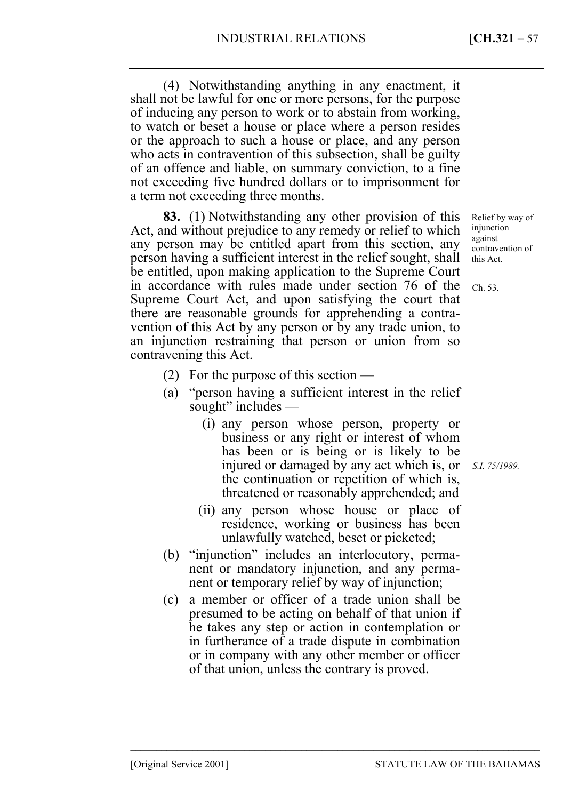(4) Notwithstanding anything in any enactment, it shall not be lawful for one or more persons, for the purpose of inducing any person to work or to abstain from working, to watch or beset a house or place where a person resides or the approach to such a house or place, and any person who acts in contravention of this subsection, shall be guilty of an offence and liable, on summary conviction, to a fine not exceeding five hundred dollars or to imprisonment for a term not exceeding three months.

**83.** (1) Notwithstanding any other provision of this Act, and without prejudice to any remedy or relief to which any person may be entitled apart from this section, any person having a sufficient interest in the relief sought, shall be entitled, upon making application to the Supreme Court in accordance with rules made under section 76 of the Supreme Court Act, and upon satisfying the court that there are reasonable grounds for apprehending a contravention of this Act by any person or by any trade union, to an injunction restraining that person or union from so contravening this Act.

- (2) For the purpose of this section —
- (a) "person having a sufficient interest in the relief sought" includes —
	- (i) any person whose person, property or business or any right or interest of whom has been or is being or is likely to be injured or damaged by any act which is, or the continuation or repetition of which is, threatened or reasonably apprehended; and
	- (ii) any person whose house or place of residence, working or business has been unlawfully watched, beset or picketed;
- (b) "injunction" includes an interlocutory, permanent or mandatory injunction, and any permanent or temporary relief by way of injunction;
- (c) a member or officer of a trade union shall be presumed to be acting on behalf of that union if he takes any step or action in contemplation or in furtherance of a trade dispute in combination or in company with any other member or officer of that union, unless the contrary is proved.

–––––––––––––––––––––––––––––––––––––––––––––––––––––––––––––––––––––––––––––––

Relief by way of injunction against contravention of this Act.

Ch. 53.

*S.I. 75/1989.*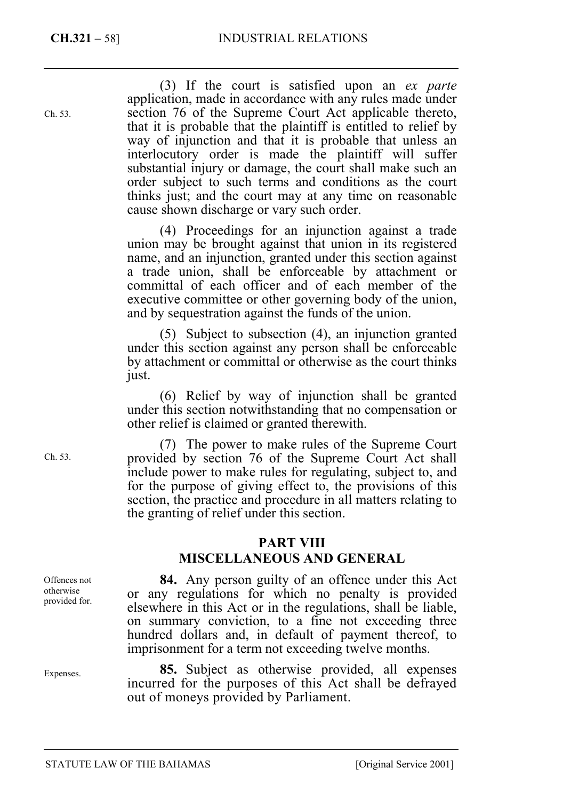Ch. 53.

(3) If the court is satisfied upon an *ex parte* application, made in accordance with any rules made under section 76 of the Supreme Court Act applicable thereto, that it is probable that the plaintiff is entitled to relief by way of injunction and that it is probable that unless an interlocutory order is made the plaintiff will suffer substantial injury or damage, the court shall make such an order subject to such terms and conditions as the court thinks just; and the court may at any time on reasonable cause shown discharge or vary such order.

(4) Proceedings for an injunction against a trade union may be brought against that union in its registered name, and an injunction, granted under this section against a trade union, shall be enforceable by attachment or committal of each officer and of each member of the executive committee or other governing body of the union, and by sequestration against the funds of the union.

(5) Subject to subsection (4), an injunction granted under this section against any person shall be enforceable by attachment or committal or otherwise as the court thinks just.

(6) Relief by way of injunction shall be granted under this section notwithstanding that no compensation or other relief is claimed or granted therewith.

(7) The power to make rules of the Supreme Court provided by section 76 of the Supreme Court Act shall include power to make rules for regulating, subject to, and for the purpose of giving effect to, the provisions of this section, the practice and procedure in all matters relating to the granting of relief under this section.

## **PART VIII**

# **MISCELLANEOUS AND GENERAL**

**84.** Any person guilty of an offence under this Act or any regulations for which no penalty is provided elsewhere in this Act or in the regulations, shall be liable, on summary conviction, to a fine not exceeding three hundred dollars and, in default of payment thereof, to imprisonment for a term not exceeding twelve months.

**85.** Subject as otherwise provided, all expenses incurred for the purposes of this Act shall be defrayed out of moneys provided by Parliament.

Ch. 53.

Offences not otherwise provided for.

Expenses.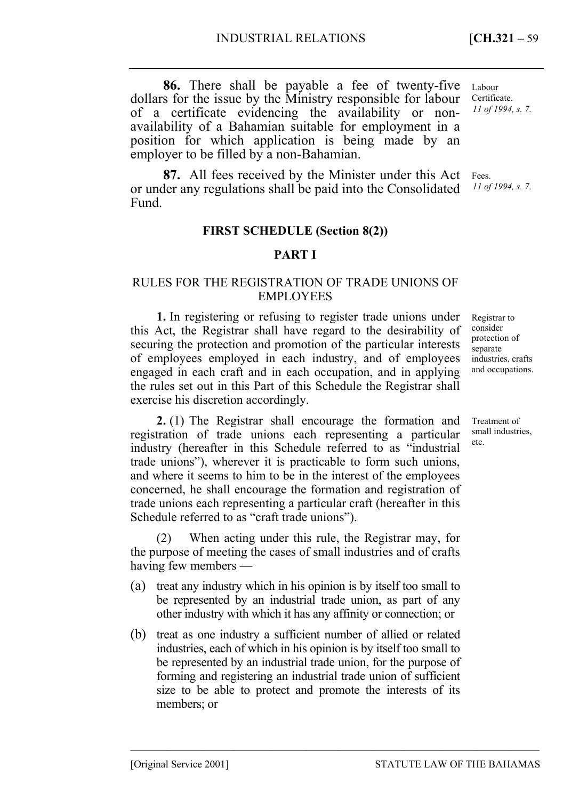employer to be filled by a non-Bahamian. **87.** All fees received by the Minister under this Act or under any regulations shall be paid into the Consolidated Fund.

position for which application is being made by an

## **FIRST SCHEDULE (Section 8(2))**

## **PART I**

## RULES FOR THE REGISTRATION OF TRADE UNIONS OF EMPLOYEES

**1.** In registering or refusing to register trade unions under this Act, the Registrar shall have regard to the desirability of securing the protection and promotion of the particular interests of employees employed in each industry, and of employees engaged in each craft and in each occupation, and in applying the rules set out in this Part of this Schedule the Registrar shall exercise his discretion accordingly.

**2.** (1) The Registrar shall encourage the formation and registration of trade unions each representing a particular industry (hereafter in this Schedule referred to as "industrial trade unions"), wherever it is practicable to form such unions, and where it seems to him to be in the interest of the employees concerned, he shall encourage the formation and registration of trade unions each representing a particular craft (hereafter in this Schedule referred to as "craft trade unions").

(2) When acting under this rule, the Registrar may, for the purpose of meeting the cases of small industries and of crafts having few members —

- (a) treat any industry which in his opinion is by itself too small to be represented by an industrial trade union, as part of any other industry with which it has any affinity or connection; or
- (b) treat as one industry a sufficient number of allied or related industries, each of which in his opinion is by itself too small to be represented by an industrial trade union, for the purpose of forming and registering an industrial trade union of sufficient size to be able to protect and promote the interests of its members; or

–––––––––––––––––––––––––––––––––––––––––––––––––––––––––––––––––––––––––––––––

Registrar to consider protection of separate industries, crafts and occupations.

Treatment of small industries, etc.

Labour Certificate. *11 of 1994, s. 7.* 

Fees.

*11 of 1994, s. 7.*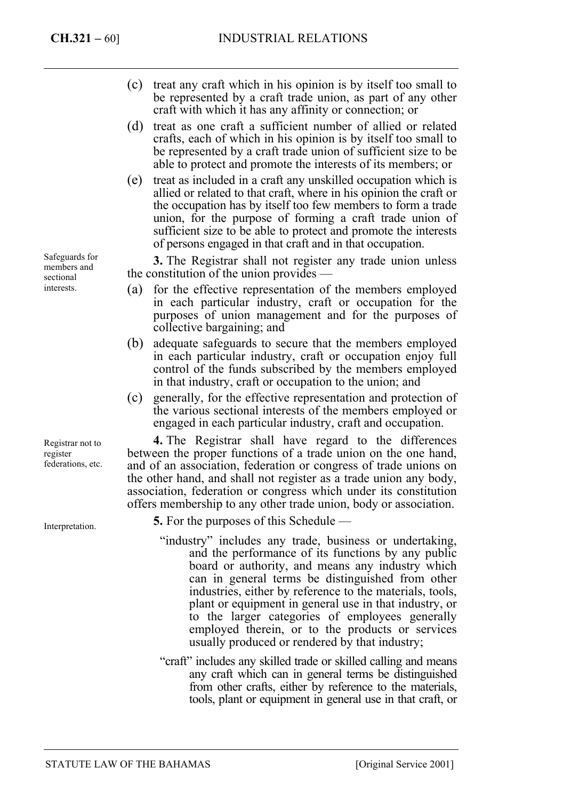- (c) treat any craft which in his opinion is by itself too small to be represented by a craft trade union, as part of any other craft with which it has any affinity or connection; or
- (d) treat as one craft a sufficient number of allied or related crafts, each of which in his opinion is by itself too small to be represented by a craft trade union of sufficient size to be able to protect and promote the interests of its members; or
- (e) treat as included in a craft any unskilled occupation which is allied or related to that craft, where in his opinion the craft or the occupation has by itself too few members to form a trade union, for the purpose of forming a craft trade union of sufficient size to be able to protect and promote the interests of persons engaged in that craft and in that occupation.

**3.** The Registrar shall not register any trade union unless the constitution of the union provides —

- (a) for the effective representation of the members employed in each particular industry, craft or occupation for the purposes of union management and for the purposes of collective bargaining; and
- (b) adequate safeguards to secure that the members employed in each particular industry, craft or occupation enjoy full control of the funds subscribed by the members employed in that industry, craft or occupation to the union; and
- (c) generally, for the effective representation and protection of the various sectional interests of the members employed or engaged in each particular industry, craft and occupation.

**4.** The Registrar shall have regard to the differences between the proper functions of a trade union on the one hand, and of an association, federation or congress of trade unions on the other hand, and shall not register as a trade union any body, association, federation or congress which under its constitution offers membership to any other trade union, body or association.

- **5.** For the purposes of this Schedule
	- "industry" includes any trade, business or undertaking, and the performance of its functions by any public board or authority, and means any industry which can in general terms be distinguished from other industries, either by reference to the materials, tools, plant or equipment in general use in that industry, or to the larger categories of employees generally employed therein, or to the products or services usually produced or rendered by that industry;
	- "craft" includes any skilled trade or skilled calling and means any craft which can in general terms be distinguished from other crafts, either by reference to the materials, tools, plant or equipment in general use in that craft, or

Safeguards for members and sectional interests.

Registrar not to register federations, etc.

Interpretation.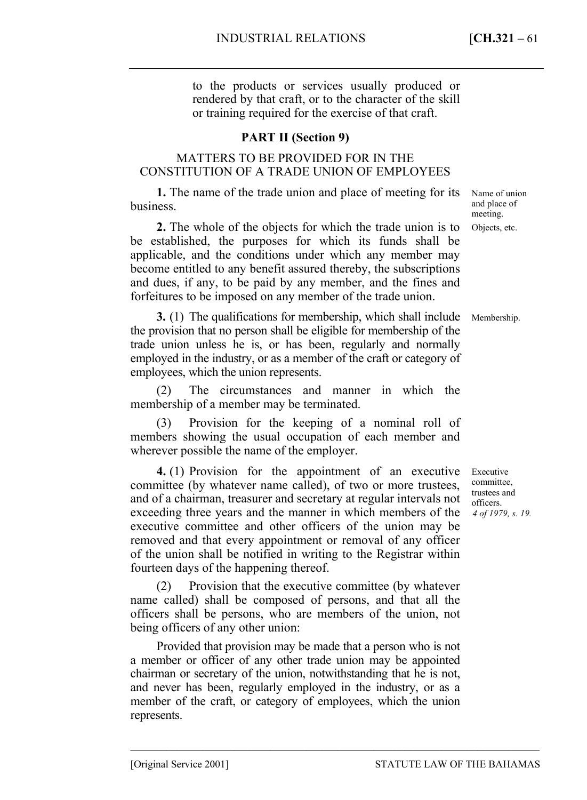to the products or services usually produced or rendered by that craft, or to the character of the skill or training required for the exercise of that craft.

# **PART II (Section 9)**

# MATTERS TO BE PROVIDED FOR IN THE CONSTITUTION OF A TRADE UNION OF EMPLOYEES

**1.** The name of the trade union and place of meeting for its business.

**2.** The whole of the objects for which the trade union is to be established, the purposes for which its funds shall be applicable, and the conditions under which any member may become entitled to any benefit assured thereby, the subscriptions and dues, if any, to be paid by any member, and the fines and forfeitures to be imposed on any member of the trade union.

**3.** (1) The qualifications for membership, which shall include the provision that no person shall be eligible for membership of the trade union unless he is, or has been, regularly and normally employed in the industry, or as a member of the craft or category of employees, which the union represents.

(2) The circumstances and manner in which the membership of a member may be terminated.

(3) Provision for the keeping of a nominal roll of members showing the usual occupation of each member and wherever possible the name of the employer.

**4.** (1) Provision for the appointment of an executive committee (by whatever name called), of two or more trustees, and of a chairman, treasurer and secretary at regular intervals not exceeding three years and the manner in which members of the executive committee and other officers of the union may be removed and that every appointment or removal of any officer of the union shall be notified in writing to the Registrar within fourteen days of the happening thereof.

(2) Provision that the executive committee (by whatever name called) shall be composed of persons, and that all the officers shall be persons, who are members of the union, not being officers of any other union:

Provided that provision may be made that a person who is not a member or officer of any other trade union may be appointed chairman or secretary of the union, notwithstanding that he is not, and never has been, regularly employed in the industry, or as a member of the craft, or category of employees, which the union represents.

–––––––––––––––––––––––––––––––––––––––––––––––––––––––––––––––––––––––––––––––

Name of union and place of meeting. Objects, etc.

Membership.

Executive committee, trustees and officers. *4 of 1979, s. 19.*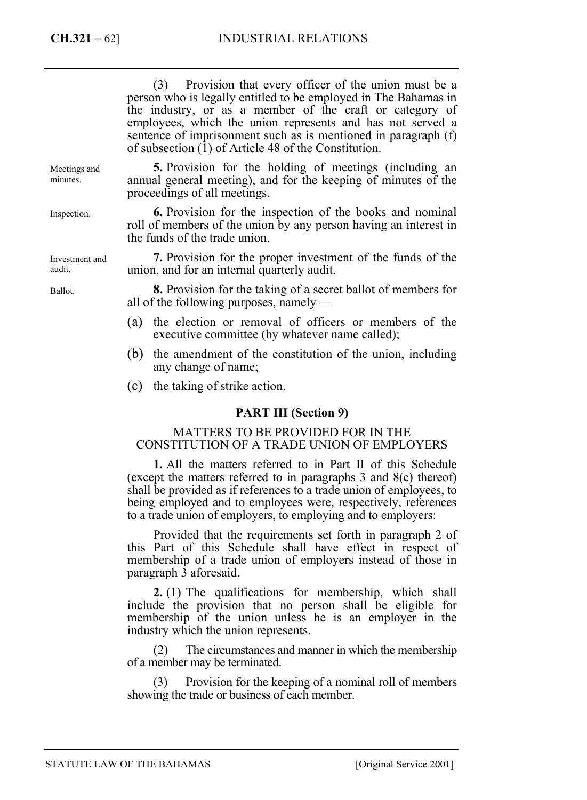|                          | (3) Provision that every officer of the union must be a<br>person who is legally entitled to be employed in The Bahamas in<br>the industry, or as a member of the craft or category of<br>employees, which the union represents and has not served a<br>sentence of imprisonment such as is mentioned in paragraph (f)<br>of subsection $(1)$ of Article 48 of the Constitution. |
|--------------------------|----------------------------------------------------------------------------------------------------------------------------------------------------------------------------------------------------------------------------------------------------------------------------------------------------------------------------------------------------------------------------------|
| Meetings and<br>minutes. | 5. Provision for the holding of meetings (including an<br>annual general meeting), and for the keeping of minutes of the<br>proceedings of all meetings.                                                                                                                                                                                                                         |
| Inspection.              | <b>6.</b> Provision for the inspection of the books and nominal<br>roll of members of the union by any person having an interest in<br>the funds of the trade union.                                                                                                                                                                                                             |
| Investment and<br>audit. | 7. Provision for the proper investment of the funds of the<br>union, and for an internal quarterly audit.                                                                                                                                                                                                                                                                        |
| Ballot.                  | <b>8.</b> Provision for the taking of a secret ballot of members for<br>all of the following purposes, namely $-$                                                                                                                                                                                                                                                                |
|                          | the election or removal of officers or members of the<br>(a)<br>executive committee (by whatever name called);                                                                                                                                                                                                                                                                   |
|                          | the amendment of the constitution of the union, including<br>(b)<br>any change of name;                                                                                                                                                                                                                                                                                          |

(c) the taking of strike action.

## **PART III (Section 9)**

#### MATTERS TO BE PROVIDED FOR IN THE CONSTITUTION OF A TRADE UNION OF EMPLOYERS

**1.** All the matters referred to in Part II of this Schedule (except the matters referred to in paragraphs 3 and 8(c) thereof) shall be provided as if references to a trade union of employees, to being employed and to employees were, respectively, references to a trade union of employers, to employing and to employers:

Provided that the requirements set forth in paragraph 2 of this Part of this Schedule shall have effect in respect of membership of a trade union of employers instead of those in paragraph 3 aforesaid.

**2.** (1) The qualifications for membership, which shall include the provision that no person shall be eligible for membership of the union unless he is an employer in the industry which the union represents.

(2) The circumstances and manner in which the membership of a member may be terminated.

(3) Provision for the keeping of a nominal roll of members showing the trade or business of each member.

STATUTE LAW OF THE BAHAMAS [Original Service 2001]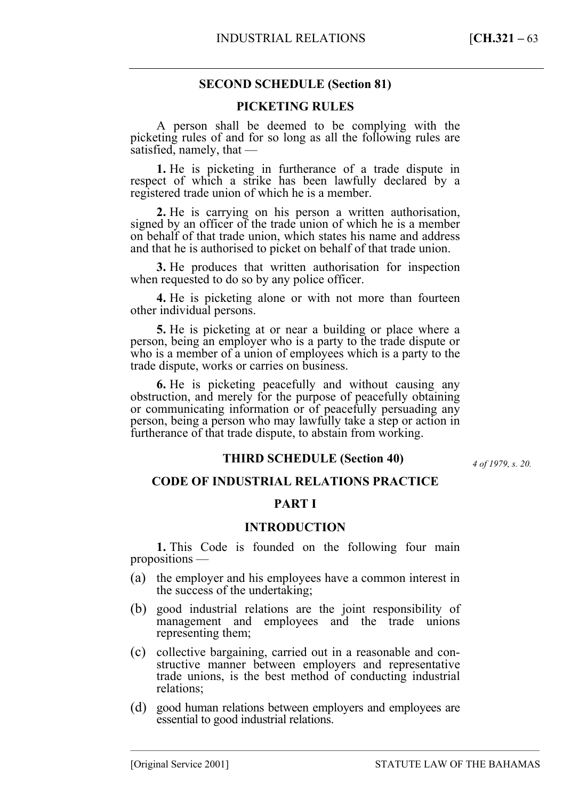## **SECOND SCHEDULE (Section 81)**

#### **PICKETING RULES**

A person shall be deemed to be complying with the picketing rules of and for so long as all the following rules are satisfied, namely, that —

**1.** He is picketing in furtherance of a trade dispute in respect of which a strike has been lawfully declared by a registered trade union of which he is a member.

**2.** He is carrying on his person a written authorisation, signed by an officer of the trade union of which he is a member on behalf of that trade union, which states his name and address and that he is authorised to picket on behalf of that trade union.

**3.** He produces that written authorisation for inspection when requested to do so by any police officer.

**4.** He is picketing alone or with not more than fourteen other individual persons.

**5.** He is picketing at or near a building or place where a person, being an employer who is a party to the trade dispute or who is a member of a union of employees which is a party to the trade dispute, works or carries on business.

**6.** He is picketing peacefully and without causing any obstruction, and merely for the purpose of peacefully obtaining or communicating information or of peacefully persuading any person, being a person who may lawfully take a step or action in furtherance of that trade dispute, to abstain from working.

#### *f 1979, s.* **THIRD SCHEDULE (Section 40)**

*4 of 1979, s. 20.* 

#### **CODE OF INDUSTRIAL RELATIONS PRACTICE**

## **PART I**

#### **INTRODUCTION**

**1.** This Code is founded on the following four main propositions —

- (a) the employer and his employees have a common interest in the success of the undertaking;
- (b) good industrial relations are the joint responsibility of management and employees and the trade unions representing them;
- (c) collective bargaining, carried out in a reasonable and constructive manner between employers and representative trade unions, is the best method of conducting industrial relations;
- (d) good human relations between employers and employees are essential to good industrial relations.

–––––––––––––––––––––––––––––––––––––––––––––––––––––––––––––––––––––––––––––––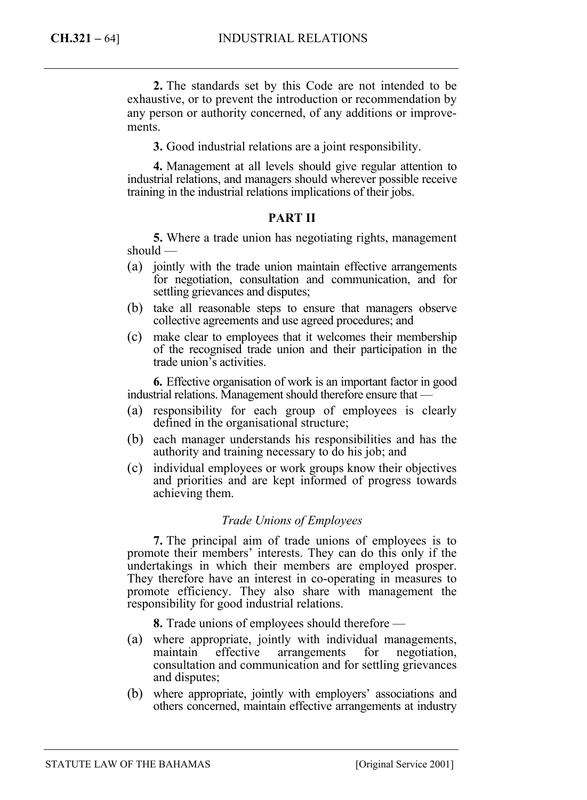**2.** The standards set by this Code are not intended to be exhaustive, or to prevent the introduction or recommendation by any person or authority concerned, of any additions or improvements.

**3.** Good industrial relations are a joint responsibility.

**4.** Management at all levels should give regular attention to industrial relations, and managers should wherever possible receive training in the industrial relations implications of their jobs.

#### **PART II**

**5.** Where a trade union has negotiating rights, management should —

- (a) jointly with the trade union maintain effective arrangements for negotiation, consultation and communication, and for settling grievances and disputes;
- (b) take all reasonable steps to ensure that managers observe collective agreements and use agreed procedures; and
- (c) make clear to employees that it welcomes their membership of the recognised trade union and their participation in the trade union's activities.

**6.** Effective organisation of work is an important factor in good industrial relations. Management should therefore ensure that —

- (a) responsibility for each group of employees is clearly defined in the organisational structure;
- (b) each manager understands his responsibilities and has the authority and training necessary to do his job; and
- (c) individual employees or work groups know their objectives and priorities and are kept informed of progress towards achieving them.

#### *Trade Unions of Employees*

**7.** The principal aim of trade unions of employees is to promote their members' interests. They can do this only if the undertakings in which their members are employed prosper. They therefore have an interest in co-operating in measures to promote efficiency. They also share with management the responsibility for good industrial relations.

**8.** Trade unions of employees should therefore —

- (a) where appropriate, jointly with individual managements, maintain effective arrangements for negotiation, consultation and communication and for settling grievances and disputes;
- (b) where appropriate, jointly with employers' associations and others concerned, maintain effective arrangements at industry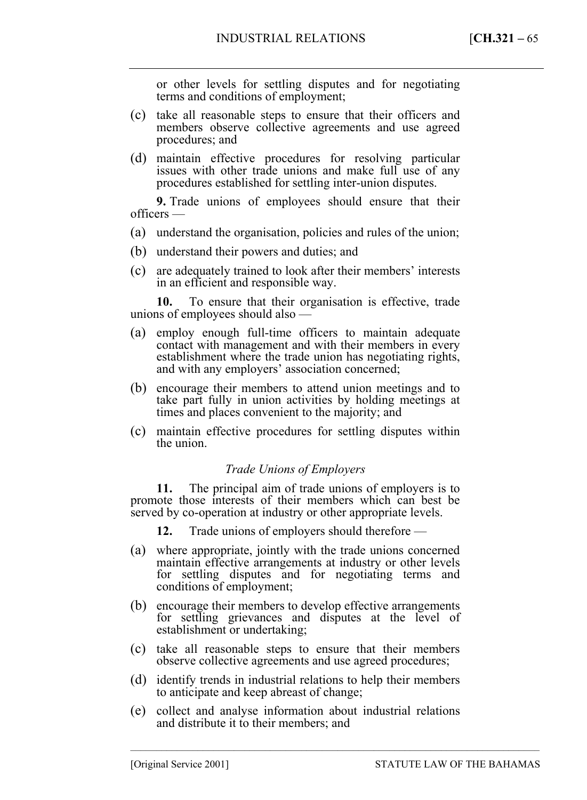or other levels for settling disputes and for negotiating terms and conditions of employment;

- (c) take all reasonable steps to ensure that their officers and members observe collective agreements and use agreed procedures; and
- (d) maintain effective procedures for resolving particular issues with other trade unions and make full use of any procedures established for settling inter-union disputes.

**9.** Trade unions of employees should ensure that their officers —

- (a) understand the organisation, policies and rules of the union;
- (b) understand their powers and duties; and
- (c) are adequately trained to look after their members' interests in an efficient and responsible way.

**10.** To ensure that their organisation is effective, trade unions of employees should also —

- (a) employ enough full-time officers to maintain adequate contact with management and with their members in every establishment where the trade union has negotiating rights, and with any employers' association concerned;
- (b) encourage their members to attend union meetings and to take part fully in union activities by holding meetings at times and places convenient to the majority; and
- (c) maintain effective procedures for settling disputes within the union.

## *Trade Unions of Employers*

**11.** The principal aim of trade unions of employers is to promote those interests of their members which can best be served by co-operation at industry or other appropriate levels.

**12.** Trade unions of employers should therefore —

- (a) where appropriate, jointly with the trade unions concerned maintain effective arrangements at industry or other levels for settling disputes and for negotiating terms and conditions of employment;
- (b) encourage their members to develop effective arrangements for settling grievances and disputes at the level of establishment or undertaking;
- (c) take all reasonable steps to ensure that their members observe collective agreements and use agreed procedures;
- (d) identify trends in industrial relations to help their members to anticipate and keep abreast of change;
- (e) collect and analyse information about industrial relations and distribute it to their members; and

–––––––––––––––––––––––––––––––––––––––––––––––––––––––––––––––––––––––––––––––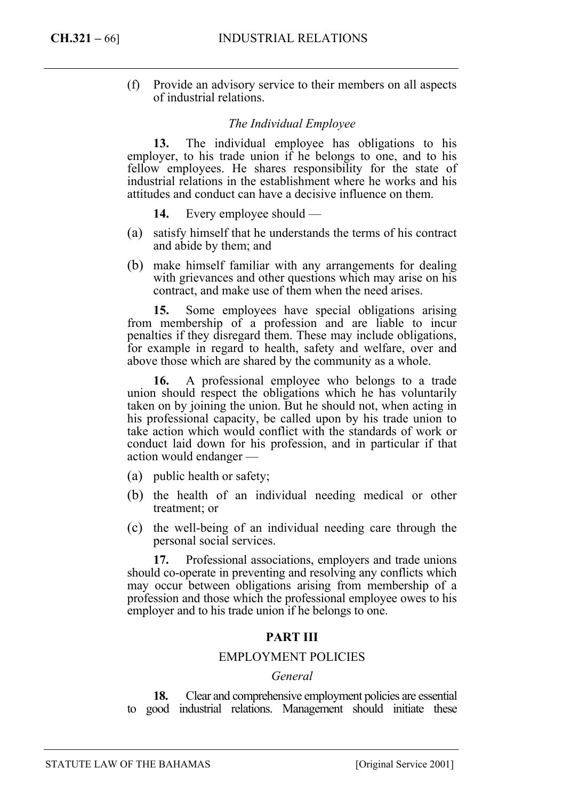(f) Provide an advisory service to their members on all aspects of industrial relations.

#### *The Individual Employee*

**13.** The individual employee has obligations to his employer, to his trade union if he belongs to one, and to his fellow employees. He shares responsibility for the state of industrial relations in the establishment where he works and his attitudes and conduct can have a decisive influence on them.

- **14.** Every employee should —
- (a) satisfy himself that he understands the terms of his contract and abide by them; and
- (b) make himself familiar with any arrangements for dealing with grievances and other questions which may arise on his contract, and make use of them when the need arises.

**15.** Some employees have special obligations arising from membership of a profession and are liable to incur penalties if they disregard them. These may include obligations, for example in regard to health, safety and welfare, over and above those which are shared by the community as a whole.

**16.** A professional employee who belongs to a trade union should respect the obligations which he has voluntarily taken on by joining the union. But he should not, when acting in his professional capacity, be called upon by his trade union to take action which would conflict with the standards of work or conduct laid down for his profession, and in particular if that action would endanger —

- (a) public health or safety;
- (b) the health of an individual needing medical or other treatment; or
- (c) the well-being of an individual needing care through the personal social services.

**17.** Professional associations, employers and trade unions should co-operate in preventing and resolving any conflicts which may occur between obligations arising from membership of a profession and those which the professional employee owes to his employer and to his trade union if he belongs to one.

# **PART III**

#### EMPLOYMENT POLICIES

#### *General*

**18.** Clear and comprehensive employment policies are essential to good industrial relations. Management should initiate these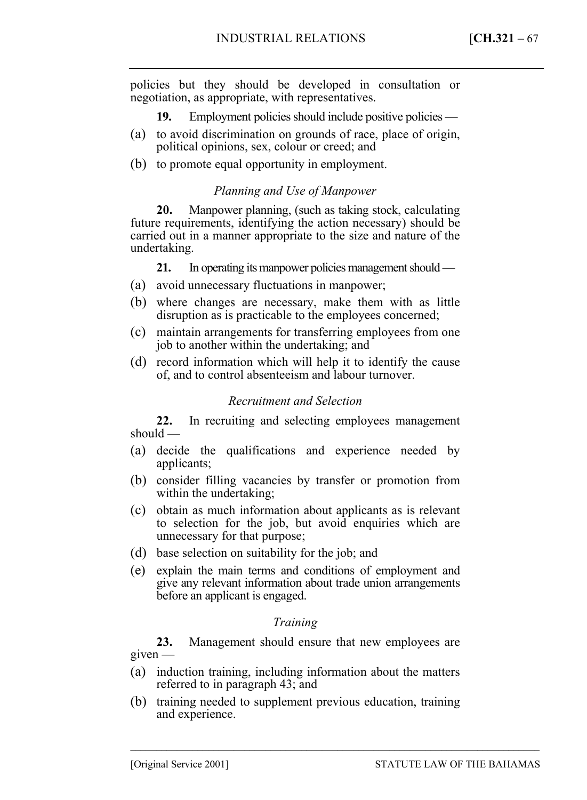policies but they should be developed in consultation or negotiation, as appropriate, with representatives.

- **19.** Employment policies should include positive policies —
- (a) to avoid discrimination on grounds of race, place of origin, political opinions, sex, colour or creed; and
- (b) to promote equal opportunity in employment.

## *Planning and Use of Manpower*

**20.** Manpower planning, (such as taking stock, calculating future requirements, identifying the action necessary) should be carried out in a manner appropriate to the size and nature of the undertaking.

**21.** In operating its manpower policies management should —

- (a) avoid unnecessary fluctuations in manpower;
- (b) where changes are necessary, make them with as little disruption as is practicable to the employees concerned;
- (c) maintain arrangements for transferring employees from one job to another within the undertaking; and
- (d) record information which will help it to identify the cause of, and to control absenteeism and labour turnover.

## *Recruitment and Selection*

**22.** In recruiting and selecting employees management should —

- (a) decide the qualifications and experience needed by applicants;
- (b) consider filling vacancies by transfer or promotion from within the undertaking;
- (c) obtain as much information about applicants as is relevant to selection for the job, but avoid enquiries which are unnecessary for that purpose;
- (d) base selection on suitability for the job; and
- (e) explain the main terms and conditions of employment and give any relevant information about trade union arrangements before an applicant is engaged.

# *Training*

**23.** Management should ensure that new employees are given —

- (a) induction training, including information about the matters referred to in paragraph 43; and
- (b) training needed to supplement previous education, training and experience.

–––––––––––––––––––––––––––––––––––––––––––––––––––––––––––––––––––––––––––––––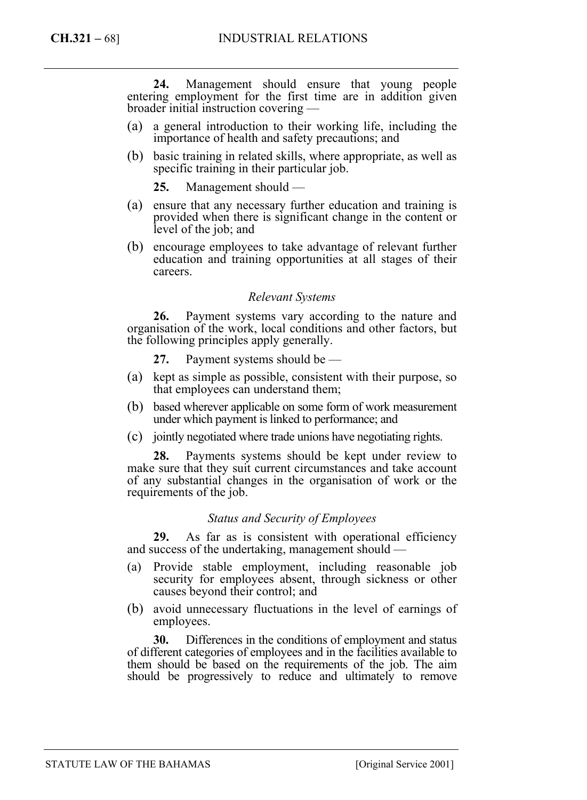**24.** Management should ensure that young people entering employment for the first time are in addition given broader initial instruction covering —

- (a) a general introduction to their working life, including the importance of health and safety precautions; and
- (b) basic training in related skills, where appropriate, as well as specific training in their particular job.

**25.** Management should —

- (a) ensure that any necessary further education and training is provided when there is significant change in the content or level of the job; and
- (b) encourage employees to take advantage of relevant further education and training opportunities at all stages of their careers.

#### *Relevant Systems*

**26.** Payment systems vary according to the nature and organisation of the work, local conditions and other factors, but the following principles apply generally.

- **27.** Payment systems should be —
- (a) kept as simple as possible, consistent with their purpose, so that employees can understand them;
- (b) based wherever applicable on some form of work measurement under which payment is linked to performance; and
- (c) jointly negotiated where trade unions have negotiating rights.

**28.** Payments systems should be kept under review to make sure that they suit current circumstances and take account of any substantial changes in the organisation of work or the requirements of the job.

#### *Status and Security of Employees*

**29.** As far as is consistent with operational efficiency and success of the undertaking, management should —

- (a) Provide stable employment, including reasonable job security for employees absent, through sickness or other causes beyond their control; and
- (b) avoid unnecessary fluctuations in the level of earnings of employees.

**30.** Differences in the conditions of employment and status of different categories of employees and in the facilities available to them should be based on the requirements of the job. The aim should be progressively to reduce and ultimately to remove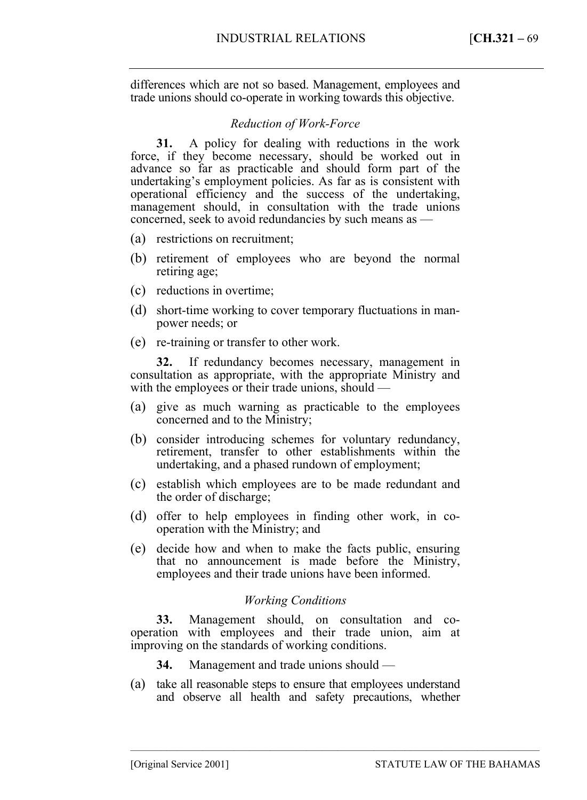differences which are not so based. Management, employees and trade unions should co-operate in working towards this objective.

## *Reduction of Work-Force*

**31.** A policy for dealing with reductions in the work force, if they become necessary, should be worked out in advance so far as practicable and should form part of the undertaking's employment policies. As far as is consistent with operational efficiency and the success of the undertaking, management should, in consultation with the trade unions concerned, seek to avoid redundancies by such means as —

- (a) restrictions on recruitment;
- (b) retirement of employees who are beyond the normal retiring age;
- (c) reductions in overtime;
- (d) short-time working to cover temporary fluctuations in manpower needs; or
- (e) re-training or transfer to other work.

**32.** If redundancy becomes necessary, management in consultation as appropriate, with the appropriate Ministry and with the employees or their trade unions, should —

- (a) give as much warning as practicable to the employees concerned and to the Ministry;
- (b) consider introducing schemes for voluntary redundancy, retirement, transfer to other establishments within the undertaking, and a phased rundown of employment;
- (c) establish which employees are to be made redundant and the order of discharge;
- (d) offer to help employees in finding other work, in cooperation with the Ministry; and
- (e) decide how and when to make the facts public, ensuring that no announcement is made before the Ministry, employees and their trade unions have been informed.

## *Working Conditions*

**33.** Management should, on consultation and cooperation with employees and their trade union, aim at improving on the standards of working conditions.

- **34.** Management and trade unions should —
- (a) take all reasonable steps to ensure that employees understand and observe all health and safety precautions, whether

–––––––––––––––––––––––––––––––––––––––––––––––––––––––––––––––––––––––––––––––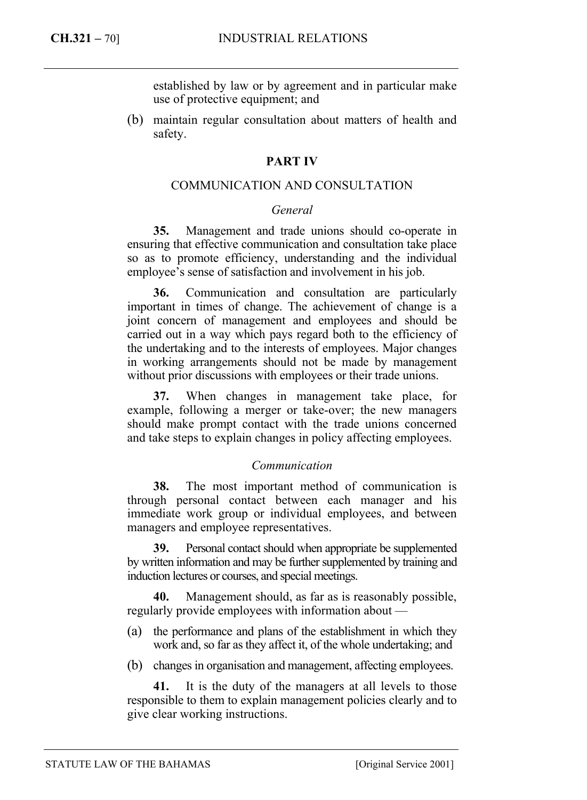established by law or by agreement and in particular make use of protective equipment; and

(b) maintain regular consultation about matters of health and safety.

## **PART IV**

## COMMUNICATION AND CONSULTATION

## *General*

**35.** Management and trade unions should co-operate in ensuring that effective communication and consultation take place so as to promote efficiency, understanding and the individual employee's sense of satisfaction and involvement in his job.

**36.** Communication and consultation are particularly important in times of change. The achievement of change is a joint concern of management and employees and should be carried out in a way which pays regard both to the efficiency of the undertaking and to the interests of employees. Major changes in working arrangements should not be made by management without prior discussions with employees or their trade unions.

**37.** When changes in management take place, for example, following a merger or take-over; the new managers should make prompt contact with the trade unions concerned and take steps to explain changes in policy affecting employees.

## *Communication*

**38.** The most important method of communication is through personal contact between each manager and his immediate work group or individual employees, and between managers and employee representatives.

**39.** Personal contact should when appropriate be supplemented by written information and may be further supplemented by training and induction lectures or courses, and special meetings.

**40.** Management should, as far as is reasonably possible, regularly provide employees with information about —

- (a) the performance and plans of the establishment in which they work and, so far as they affect it, of the whole undertaking; and
- (b) changes in organisation and management, affecting employees.

**41.** It is the duty of the managers at all levels to those responsible to them to explain management policies clearly and to give clear working instructions.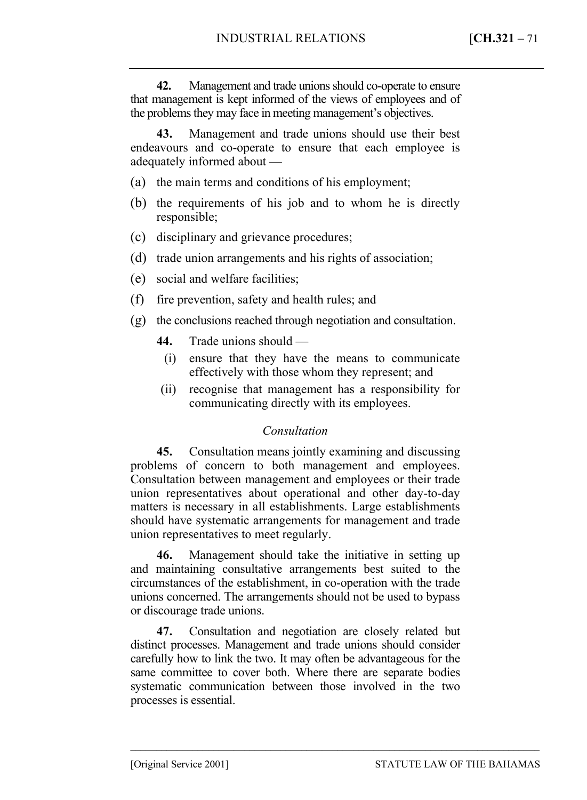**42.** Management and trade unions should co-operate to ensure that management is kept informed of the views of employees and of the problems they may face in meeting management's objectives.

**43.** Management and trade unions should use their best endeavours and co-operate to ensure that each employee is adequately informed about —

- (a) the main terms and conditions of his employment;
- (b) the requirements of his job and to whom he is directly responsible;
- (c) disciplinary and grievance procedures;
- (d) trade union arrangements and his rights of association;
- (e) social and welfare facilities;
- (f) fire prevention, safety and health rules; and
- (g) the conclusions reached through negotiation and consultation.
	- **44.** Trade unions should
		- (i) ensure that they have the means to communicate effectively with those whom they represent; and
	- (ii) recognise that management has a responsibility for communicating directly with its employees.

## *Consultation*

**45.** Consultation means jointly examining and discussing problems of concern to both management and employees. Consultation between management and employees or their trade union representatives about operational and other day-to-day matters is necessary in all establishments. Large establishments should have systematic arrangements for management and trade union representatives to meet regularly.

**46.** Management should take the initiative in setting up and maintaining consultative arrangements best suited to the circumstances of the establishment, in co-operation with the trade unions concerned. The arrangements should not be used to bypass or discourage trade unions.

**47.** Consultation and negotiation are closely related but distinct processes. Management and trade unions should consider carefully how to link the two. It may often be advantageous for the same committee to cover both. Where there are separate bodies systematic communication between those involved in the two processes is essential.

–––––––––––––––––––––––––––––––––––––––––––––––––––––––––––––––––––––––––––––––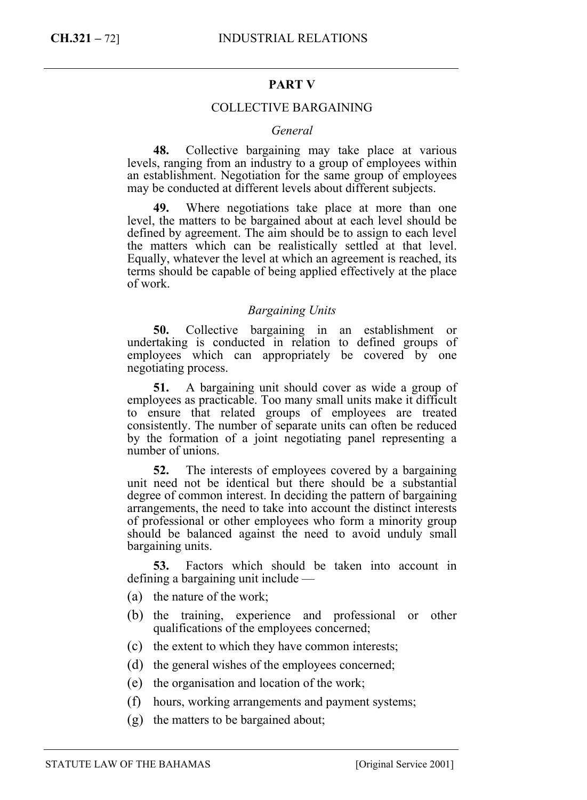## **PART V**

## COLLECTIVE BARGAINING

#### *General*

**48.** Collective bargaining may take place at various levels, ranging from an industry to a group of employees within an establishment. Negotiation for the same group of employees may be conducted at different levels about different subjects.

**49.** Where negotiations take place at more than one level, the matters to be bargained about at each level should be defined by agreement. The aim should be to assign to each level the matters which can be realistically settled at that level. Equally, whatever the level at which an agreement is reached, its terms should be capable of being applied effectively at the place of work.

#### *Bargaining Units*

**50.** Collective bargaining in an establishment or undertaking is conducted in relation to defined groups of employees which can appropriately be covered by one negotiating process.

**51.** A bargaining unit should cover as wide a group of employees as practicable. Too many small units make it difficult to ensure that related groups of employees are treated consistently. The number of separate units can often be reduced by the formation of a joint negotiating panel representing a number of unions.

**52.** The interests of employees covered by a bargaining unit need not be identical but there should be a substantial degree of common interest. In deciding the pattern of bargaining arrangements, the need to take into account the distinct interests of professional or other employees who form a minority group should be balanced against the need to avoid unduly small bargaining units.

**53.** Factors which should be taken into account in defining a bargaining unit include —

- (a) the nature of the work;
- (b) the training, experience and professional or other qualifications of the employees concerned;
- (c) the extent to which they have common interests;
- (d) the general wishes of the employees concerned;
- (e) the organisation and location of the work;
- (f) hours, working arrangements and payment systems;
- (g) the matters to be bargained about;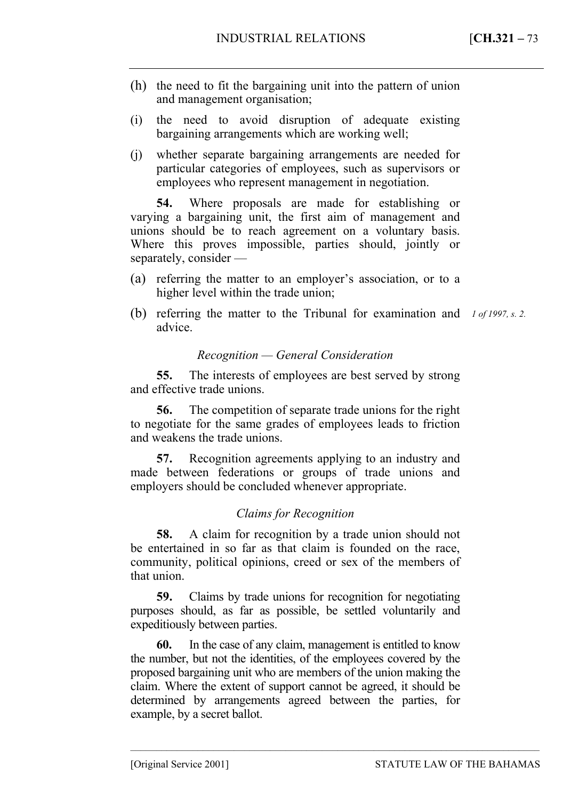- (h) the need to fit the bargaining unit into the pattern of union and management organisation;
- (i) the need to avoid disruption of adequate existing bargaining arrangements which are working well;
- (j) whether separate bargaining arrangements are needed for particular categories of employees, such as supervisors or employees who represent management in negotiation.

**54.** Where proposals are made for establishing or varying a bargaining unit, the first aim of management and unions should be to reach agreement on a voluntary basis. Where this proves impossible, parties should, jointly or separately, consider —

- (a) referring the matter to an employer's association, or to a higher level within the trade union;
- (b) referring the matter to the Tribunal for examination and *1 of 1997, s. 2.* advice.

## *Recognition — General Consideration*

**55.** The interests of employees are best served by strong and effective trade unions.

**56.** The competition of separate trade unions for the right to negotiate for the same grades of employees leads to friction and weakens the trade unions.

**57.** Recognition agreements applying to an industry and made between federations or groups of trade unions and employers should be concluded whenever appropriate.

# *Claims for Recognition*

**58.** A claim for recognition by a trade union should not be entertained in so far as that claim is founded on the race, community, political opinions, creed or sex of the members of that union.

**59.** Claims by trade unions for recognition for negotiating purposes should, as far as possible, be settled voluntarily and expeditiously between parties.

**60.** In the case of any claim, management is entitled to know the number, but not the identities, of the employees covered by the proposed bargaining unit who are members of the union making the claim. Where the extent of support cannot be agreed, it should be determined by arrangements agreed between the parties, for example, by a secret ballot.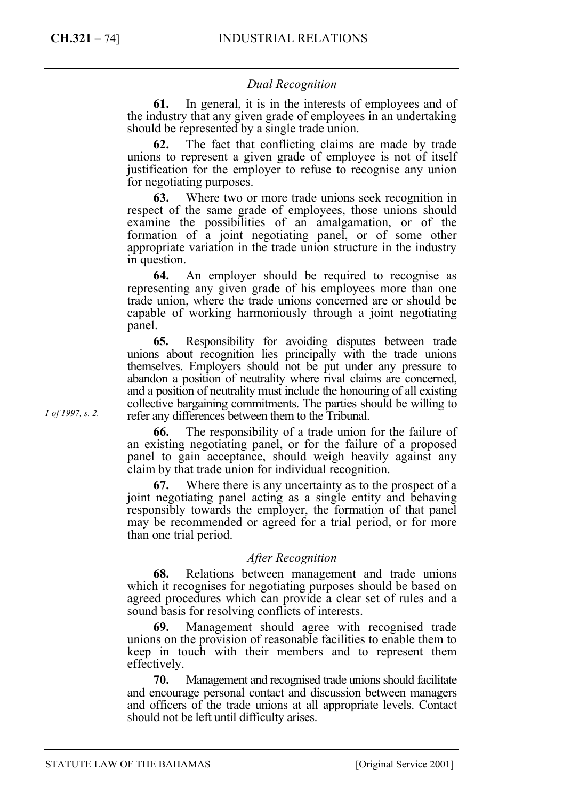# *Dual Recognition*

**61.** In general, it is in the interests of employees and of the industry that any given grade of employees in an undertaking should be represented by a single trade union.

**62.** The fact that conflicting claims are made by trade unions to represent a given grade of employee is not of itself justification for the employer to refuse to recognise any union for negotiating purposes.

**63.** Where two or more trade unions seek recognition in respect of the same grade of employees, those unions should examine the possibilities of an amalgamation, or of the formation of a joint negotiating panel, or of some other appropriate variation in the trade union structure in the industry in question.

**64.** An employer should be required to recognise as representing any given grade of his employees more than one trade union, where the trade unions concerned are or should be capable of working harmoniously through a joint negotiating panel.

**65.** Responsibility for avoiding disputes between trade unions about recognition lies principally with the trade unions themselves. Employers should not be put under any pressure to abandon a position of neutrality where rival claims are concerned, and a position of neutrality must include the honouring of all existing collective bargaining commitments. The parties should be willing to refer any differences between them to the Tribunal.

**66.** The responsibility of a trade union for the failure of an existing negotiating panel, or for the failure of a proposed panel to gain acceptance, should weigh heavily against any claim by that trade union for individual recognition.

**67.** Where there is any uncertainty as to the prospect of a joint negotiating panel acting as a single entity and behaving responsibly towards the employer, the formation of that panel may be recommended or agreed for a trial period, or for more than one trial period.

## *After Recognition*

**68.** Relations between management and trade unions which it recognises for negotiating purposes should be based on agreed procedures which can provide a clear set of rules and a sound basis for resolving conflicts of interests.

**69.** Management should agree with recognised trade unions on the provision of reasonable facilities to enable them to keep in touch with their members and to represent them effectively.

**70.** Management and recognised trade unions should facilitate and encourage personal contact and discussion between managers and officers of the trade unions at all appropriate levels. Contact should not be left until difficulty arises.

*1 of 1997, s. 2.*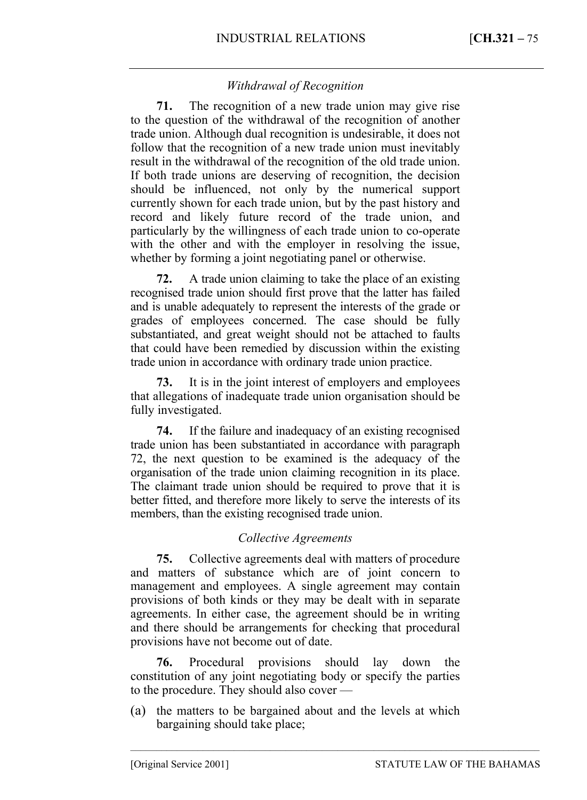# *Withdrawal of Recognition*

**71.** The recognition of a new trade union may give rise to the question of the withdrawal of the recognition of another trade union. Although dual recognition is undesirable, it does not follow that the recognition of a new trade union must inevitably result in the withdrawal of the recognition of the old trade union. If both trade unions are deserving of recognition, the decision should be influenced, not only by the numerical support currently shown for each trade union, but by the past history and record and likely future record of the trade union, and particularly by the willingness of each trade union to co-operate with the other and with the employer in resolving the issue, whether by forming a joint negotiating panel or otherwise.

**72.** A trade union claiming to take the place of an existing recognised trade union should first prove that the latter has failed and is unable adequately to represent the interests of the grade or grades of employees concerned. The case should be fully substantiated, and great weight should not be attached to faults that could have been remedied by discussion within the existing trade union in accordance with ordinary trade union practice.

**73.** It is in the joint interest of employers and employees that allegations of inadequate trade union organisation should be fully investigated.

**74.** If the failure and inadequacy of an existing recognised trade union has been substantiated in accordance with paragraph 72, the next question to be examined is the adequacy of the organisation of the trade union claiming recognition in its place. The claimant trade union should be required to prove that it is better fitted, and therefore more likely to serve the interests of its members, than the existing recognised trade union.

# *Collective Agreements*

**75.** Collective agreements deal with matters of procedure and matters of substance which are of joint concern to management and employees. A single agreement may contain provisions of both kinds or they may be dealt with in separate agreements. In either case, the agreement should be in writing and there should be arrangements for checking that procedural provisions have not become out of date.

**76.** Procedural provisions should lay down the constitution of any joint negotiating body or specify the parties to the procedure. They should also cover —

(a) the matters to be bargained about and the levels at which bargaining should take place;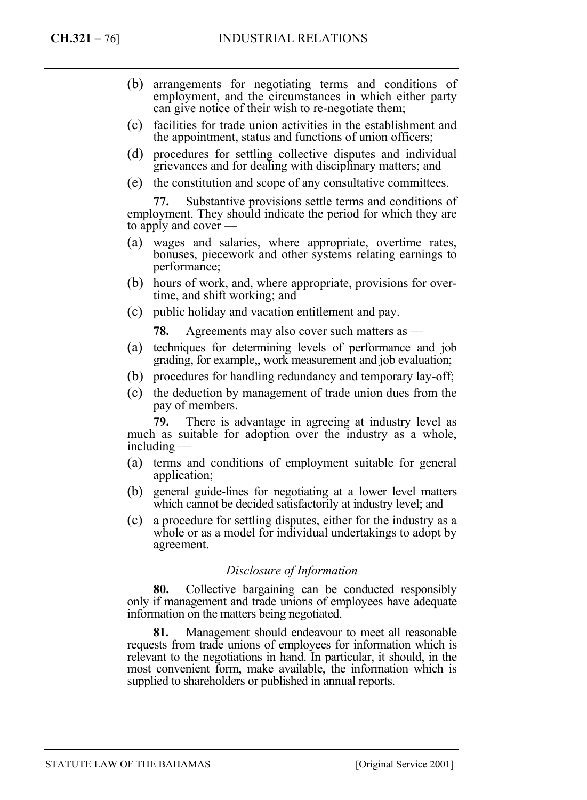- (b) arrangements for negotiating terms and conditions of employment, and the circumstances in which either party can give notice of their wish to re-negotiate them;
- (c) facilities for trade union activities in the establishment and the appointment, status and functions of union officers;
- (d) procedures for settling collective disputes and individual grievances and for dealing with disciplinary matters; and
- (e) the constitution and scope of any consultative committees.

**77.** Substantive provisions settle terms and conditions of employment. They should indicate the period for which they are to apply and cover —

- (a) wages and salaries, where appropriate, overtime rates, bonuses, piecework and other systems relating earnings to performance;
- (b) hours of work, and, where appropriate, provisions for overtime, and shift working; and
- (c) public holiday and vacation entitlement and pay.

**78.** Agreements may also cover such matters as —

- (a) techniques for determining levels of performance and job grading, for example,, work measurement and job evaluation;
- (b) procedures for handling redundancy and temporary lay-off;
- (c) the deduction by management of trade union dues from the pay of members.

**79.** There is advantage in agreeing at industry level as much as suitable for adoption over the industry as a whole, including —

- (a) terms and conditions of employment suitable for general application;
- (b) general guide-lines for negotiating at a lower level matters which cannot be decided satisfactorily at industry level; and
- (c) a procedure for settling disputes, either for the industry as a whole or as a model for individual undertakings to adopt by agreement.

## *Disclosure of Information*

**80.** Collective bargaining can be conducted responsibly only if management and trade unions of employees have adequate information on the matters being negotiated.

**81.** Management should endeavour to meet all reasonable requests from trade unions of employees for information which is relevant to the negotiations in hand. In particular, it should, in the most convenient form, make available, the information which is supplied to shareholders or published in annual reports.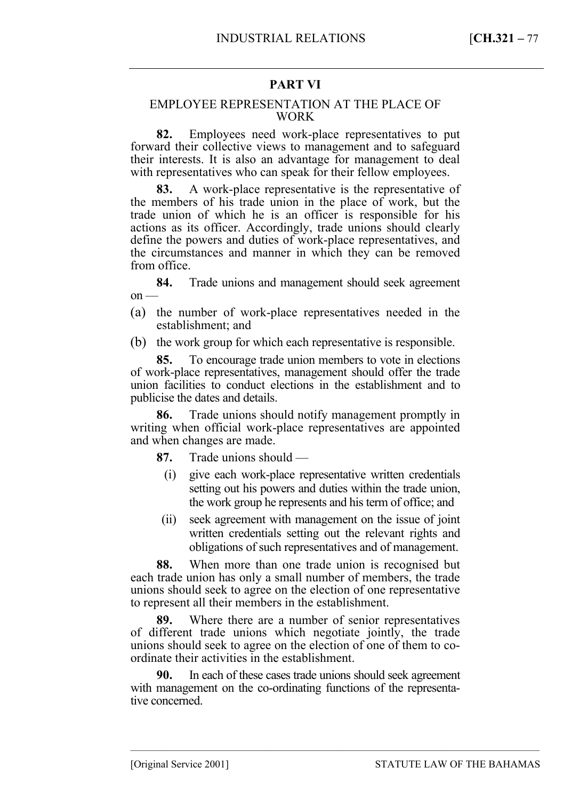## **PART VI**

#### EMPLOYEE REPRESENTATION AT THE PLACE OF WORK

**82.** Employees need work-place representatives to put forward their collective views to management and to safeguard their interests. It is also an advantage for management to deal with representatives who can speak for their fellow employees.

**83.** A work-place representative is the representative of the members of his trade union in the place of work, but the trade union of which he is an officer is responsible for his actions as its officer. Accordingly, trade unions should clearly define the powers and duties of work-place representatives, and the circumstances and manner in which they can be removed from office.

**84.** Trade unions and management should seek agreement  $on$  —

(a) the number of work-place representatives needed in the establishment; and

(b) the work group for which each representative is responsible.

**85.** To encourage trade union members to vote in elections of work-place representatives, management should offer the trade union facilities to conduct elections in the establishment and to publicise the dates and details.

**86.** Trade unions should notify management promptly in writing when official work-place representatives are appointed and when changes are made.

**87.** Trade unions should —

- (i) give each work-place representative written credentials setting out his powers and duties within the trade union, the work group he represents and his term of office; and
- (ii) seek agreement with management on the issue of joint written credentials setting out the relevant rights and obligations of such representatives and of management.

**88.** When more than one trade union is recognised but each trade union has only a small number of members, the trade unions should seek to agree on the election of one representative to represent all their members in the establishment.

**89.** Where there are a number of senior representatives of different trade unions which negotiate jointly, the trade unions should seek to agree on the election of one of them to coordinate their activities in the establishment.

**90.** In each of these cases trade unions should seek agreement with management on the co-ordinating functions of the representative concerned.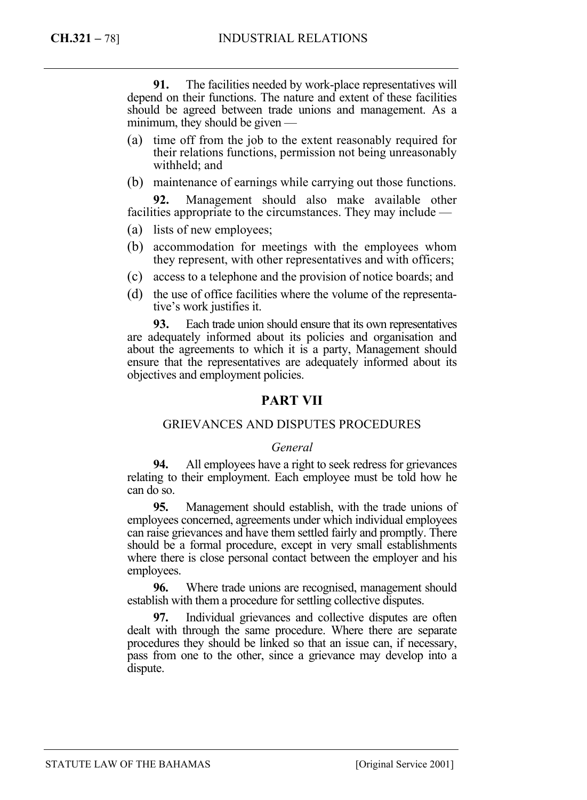**91.** The facilities needed by work-place representatives will depend on their functions. The nature and extent of these facilities should be agreed between trade unions and management. As a minimum, they should be given —

- (a) time off from the job to the extent reasonably required for their relations functions, permission not being unreasonably withheld; and
- (b) maintenance of earnings while carrying out those functions.

**92.** Management should also make available other facilities appropriate to the circumstances. They may include —

- (a) lists of new employees;
- (b) accommodation for meetings with the employees whom they represent, with other representatives and with officers;
- (c) access to a telephone and the provision of notice boards; and
- (d) the use of office facilities where the volume of the representative's work justifies it.

**93.** Each trade union should ensure that its own representatives are adequately informed about its policies and organisation and about the agreements to which it is a party, Management should ensure that the representatives are adequately informed about its objectives and employment policies.

# **PART VII**

## GRIEVANCES AND DISPUTES PROCEDURES

#### *General*

**94.** All employees have a right to seek redress for grievances relating to their employment. Each employee must be told how he can do so.

**95.** Management should establish, with the trade unions of employees concerned, agreements under which individual employees can raise grievances and have them settled fairly and promptly. There should be a formal procedure, except in very small establishments where there is close personal contact between the employer and his employees.

**96.** Where trade unions are recognised, management should establish with them a procedure for settling collective disputes.

**97.** Individual grievances and collective disputes are often dealt with through the same procedure. Where there are separate procedures they should be linked so that an issue can, if necessary, pass from one to the other, since a grievance may develop into a dispute.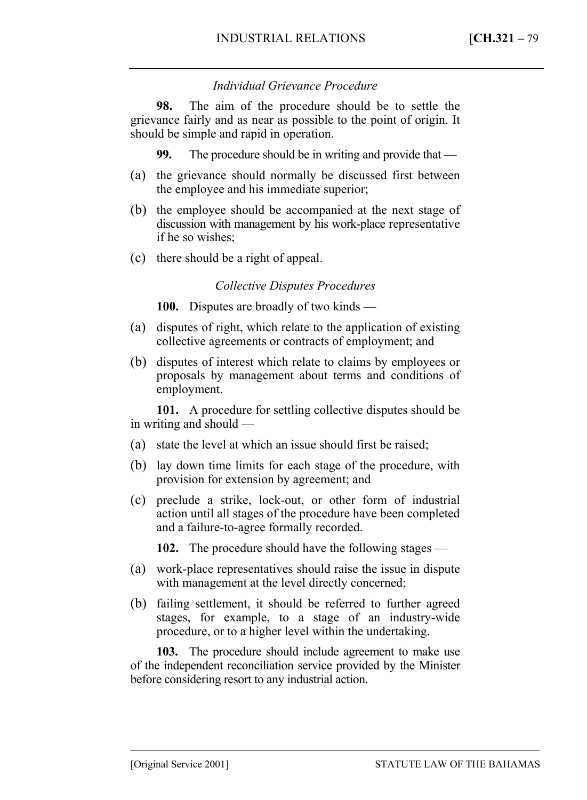# *Individual Grievance Procedure*

**98.** The aim of the procedure should be to settle the grievance fairly and as near as possible to the point of origin. It should be simple and rapid in operation.

**99.** The procedure should be in writing and provide that —

- (a) the grievance should normally be discussed first between the employee and his immediate superior;
- (b) the employee should be accompanied at the next stage of discussion with management by his work-place representative if he so wishes;
- (c) there should be a right of appeal.

## *Collective Disputes Procedures*

**100.** Disputes are broadly of two kinds —

- (a) disputes of right, which relate to the application of existing collective agreements or contracts of employment; and
- (b) disputes of interest which relate to claims by employees or proposals by management about terms and conditions of employment.

**101.** A procedure for settling collective disputes should be in writing and should —

- (a) state the level at which an issue should first be raised;
- (b) lay down time limits for each stage of the procedure, with provision for extension by agreement; and
- (c) preclude a strike, lock-out, or other form of industrial action until all stages of the procedure have been completed and a failure-to-agree formally recorded.

**102.** The procedure should have the following stages —

- (a) work-place representatives should raise the issue in dispute with management at the level directly concerned;
- (b) failing settlement, it should be referred to further agreed stages, for example, to a stage of an industry-wide procedure, or to a higher level within the undertaking.

**103.** The procedure should include agreement to make use of the independent reconciliation service provided by the Minister before considering resort to any industrial action.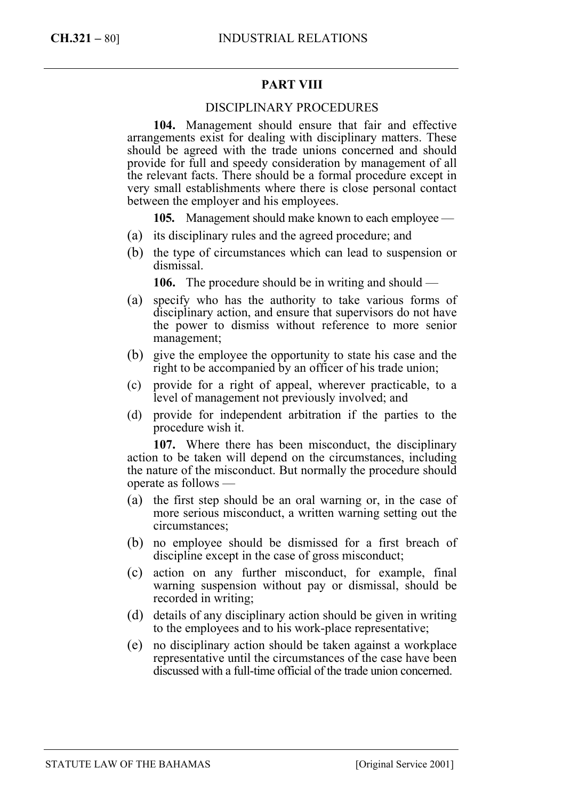# **PART VIII**

## DISCIPLINARY PROCEDURES

**104.** Management should ensure that fair and effective arrangements exist for dealing with disciplinary matters. These should be agreed with the trade unions concerned and should provide for full and speedy consideration by management of all the relevant facts. There should be a formal procedure except in very small establishments where there is close personal contact between the employer and his employees.

**105.** Management should make known to each employee —

- (a) its disciplinary rules and the agreed procedure; and
- (b) the type of circumstances which can lead to suspension or dismissal.

**106.** The procedure should be in writing and should —

- (a) specify who has the authority to take various forms of disciplinary action, and ensure that supervisors do not have the power to dismiss without reference to more senior management;
- (b) give the employee the opportunity to state his case and the right to be accompanied by an officer of his trade union;
- (c) provide for a right of appeal, wherever practicable, to a level of management not previously involved; and
- (d) provide for independent arbitration if the parties to the procedure wish it.

**107.** Where there has been misconduct, the disciplinary action to be taken will depend on the circumstances, including the nature of the misconduct. But normally the procedure should operate as follows —

- (a) the first step should be an oral warning or, in the case of more serious misconduct, a written warning setting out the circumstances;
- (b) no employee should be dismissed for a first breach of discipline except in the case of gross misconduct;
- (c) action on any further misconduct, for example, final warning suspension without pay or dismissal, should be recorded in writing;
- (d) details of any disciplinary action should be given in writing to the employees and to his work-place representative;
- (e) no disciplinary action should be taken against a workplace representative until the circumstances of the case have been discussed with a full-time official of the trade union concerned.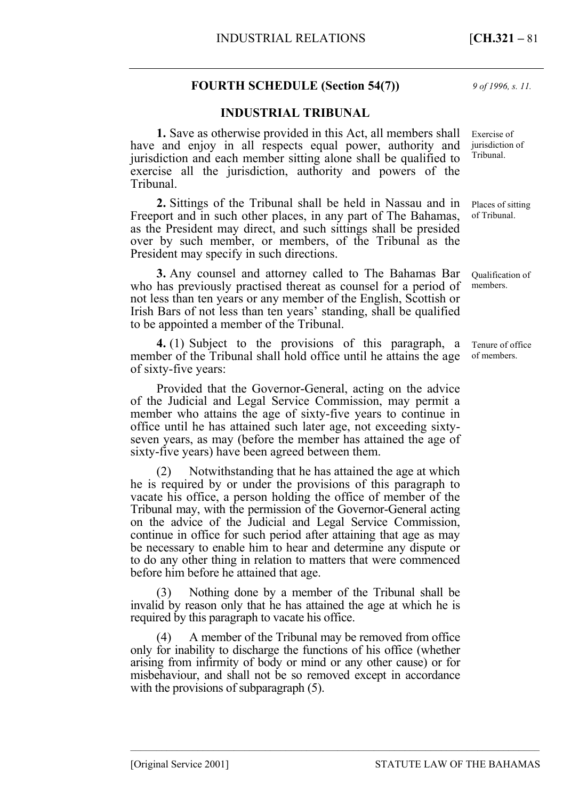# **FOURTH SCHEDULE (Section 54(7))**

## **INDUSTRIAL TRIBUNAL**

**1.** Save as otherwise provided in this Act, all members shall have and enjoy in all respects equal power, authority and jurisdiction and each member sitting alone shall be qualified to exercise all the jurisdiction, authority and powers of the Tribunal.

**2.** Sittings of the Tribunal shall be held in Nassau and in Freeport and in such other places, in any part of The Bahamas, as the President may direct, and such sittings shall be presided over by such member, or members, of the Tribunal as the President may specify in such directions.

**3.** Any counsel and attorney called to The Bahamas Bar who has previously practised thereat as counsel for a period of not less than ten years or any member of the English, Scottish or Irish Bars of not less than ten years' standing, shall be qualified to be appointed a member of the Tribunal.

**4.** (1) Subject to the provisions of this paragraph, a member of the Tribunal shall hold office until he attains the age of sixty-five years:

Provided that the Governor-General, acting on the advice of the Judicial and Legal Service Commission, may permit a member who attains the age of sixty-five years to continue in office until he has attained such later age, not exceeding sixtyseven years, as may (before the member has attained the age of sixty-five years) have been agreed between them.

(2) Notwithstanding that he has attained the age at which he is required by or under the provisions of this paragraph to vacate his office, a person holding the office of member of the Tribunal may, with the permission of the Governor-General acting on the advice of the Judicial and Legal Service Commission, continue in office for such period after attaining that age as may be necessary to enable him to hear and determine any dispute or to do any other thing in relation to matters that were commenced before him before he attained that age.

(3) Nothing done by a member of the Tribunal shall be invalid by reason only that he has attained the age at which he is required by this paragraph to vacate his office.

(4) A member of the Tribunal may be removed from office only for inability to discharge the functions of his office (whether arising from infirmity of body or mind or any other cause) or for misbehaviour, and shall not be so removed except in accordance with the provisions of subparagraph  $(5)$ .

–––––––––––––––––––––––––––––––––––––––––––––––––––––––––––––––––––––––––––––––

*9 of 1996, s. 11.* 

Exercise of jurisdiction of Tribunal.

Places of sitting of Tribunal.

Qualification of members.

Tenure of office of members.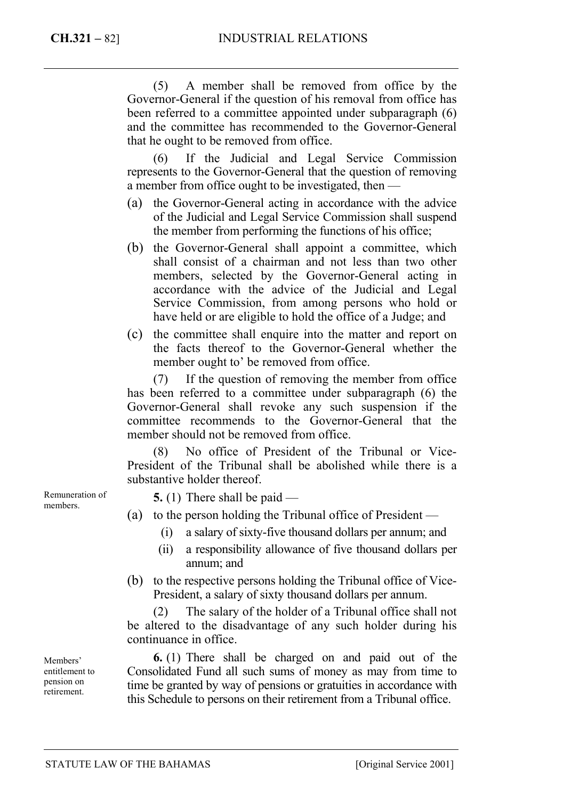(5) A member shall be removed from office by the Governor-General if the question of his removal from office has been referred to a committee appointed under subparagraph (6) and the committee has recommended to the Governor-General that he ought to be removed from office.

(6) If the Judicial and Legal Service Commission represents to the Governor-General that the question of removing a member from office ought to be investigated, then —

- (a) the Governor-General acting in accordance with the advice of the Judicial and Legal Service Commission shall suspend the member from performing the functions of his office;
- (b) the Governor-General shall appoint a committee, which shall consist of a chairman and not less than two other members, selected by the Governor-General acting in accordance with the advice of the Judicial and Legal Service Commission, from among persons who hold or have held or are eligible to hold the office of a Judge; and
- (c) the committee shall enquire into the matter and report on the facts thereof to the Governor-General whether the member ought to' be removed from office.

(7) If the question of removing the member from office has been referred to a committee under subparagraph (6) the Governor-General shall revoke any such suspension if the committee recommends to the Governor-General that the member should not be removed from office.

(8) No office of President of the Tribunal or Vice-President of the Tribunal shall be abolished while there is a substantive holder thereof.

Remuneration of members.

- **5.** (1) There shall be paid —
- (a) to the person holding the Tribunal office of President
	- (i) a salary of sixty-five thousand dollars per annum; and
	- (ii) a responsibility allowance of five thousand dollars per annum; and
- (b) to the respective persons holding the Tribunal office of Vice-President, a salary of sixty thousand dollars per annum.

(2) The salary of the holder of a Tribunal office shall not be altered to the disadvantage of any such holder during his continuance in office.

**6.** (1) There shall be charged on and paid out of the Consolidated Fund all such sums of money as may from time to time be granted by way of pensions or gratuities in accordance with this Schedule to persons on their retirement from a Tribunal office.

Members' entitlement to pension on retirement.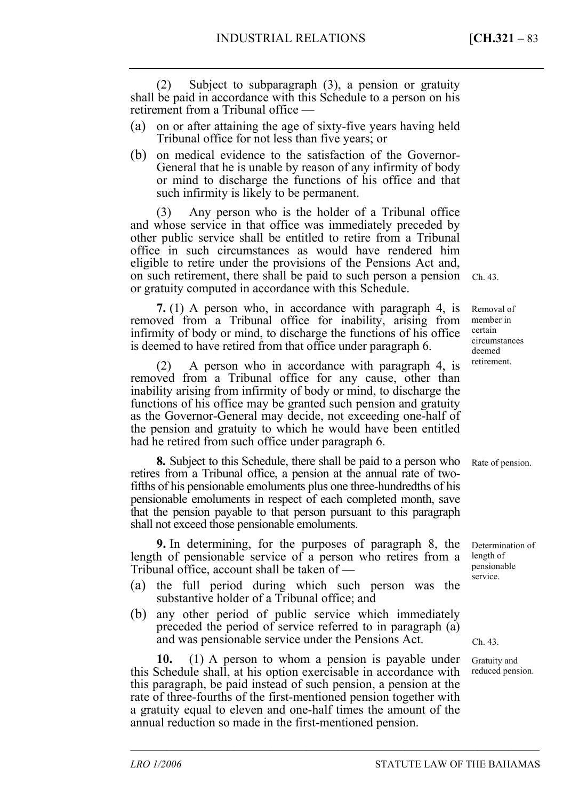(2) Subject to subparagraph (3), a pension or gratuity shall be paid in accordance with this Schedule to a person on his retirement from a Tribunal office —

- (a) on or after attaining the age of sixty-five years having held Tribunal office for not less than five years; or
- (b) on medical evidence to the satisfaction of the Governor-General that he is unable by reason of any infirmity of body or mind to discharge the functions of his office and that such infirmity is likely to be permanent.

(3) Any person who is the holder of a Tribunal office and whose service in that office was immediately preceded by other public service shall be entitled to retire from a Tribunal office in such circumstances as would have rendered him eligible to retire under the provisions of the Pensions Act and, on such retirement, there shall be paid to such person a pension or gratuity computed in accordance with this Schedule.

**7.** (1) A person who, in accordance with paragraph 4, is removed from a Tribunal office for inability, arising from infirmity of body or mind, to discharge the functions of his office is deemed to have retired from that office under paragraph 6.

(2) A person who in accordance with paragraph 4, is removed from a Tribunal office for any cause, other than inability arising from infirmity of body or mind, to discharge the functions of his office may be granted such pension and gratuity as the Governor-General may decide, not exceeding one-half of the pension and gratuity to which he would have been entitled had he retired from such office under paragraph 6.

**8.** Subject to this Schedule, there shall be paid to a person who retires from a Tribunal office, a pension at the annual rate of twofifths of his pensionable emoluments plus one three-hundredths of his pensionable emoluments in respect of each completed month, save that the pension payable to that person pursuant to this paragraph shall not exceed those pensionable emoluments.

**9.** In determining, for the purposes of paragraph 8, the length of pensionable service of a person who retires from a Tribunal office, account shall be taken of —

- (a) the full period during which such person was the substantive holder of a Tribunal office; and
- (b) any other period of public service which immediately preceded the period of service referred to in paragraph (a) and was pensionable service under the Pensions Act.

**10.** (1) A person to whom a pension is payable under this Schedule shall, at his option exercisable in accordance with this paragraph, be paid instead of such pension, a pension at the rate of three-fourths of the first-mentioned pension together with a gratuity equal to eleven and one-half times the amount of the annual reduction so made in the first-mentioned pension.

–––––––––––––––––––––––––––––––––––––––––––––––––––––––––––––––––––––––––––––––

Ch. 43.

Removal of member in certain circumstances deemed retirement.

Rate of pension.

Determination of length of pensionable service.

Ch. 43.

Gratuity and reduced pension.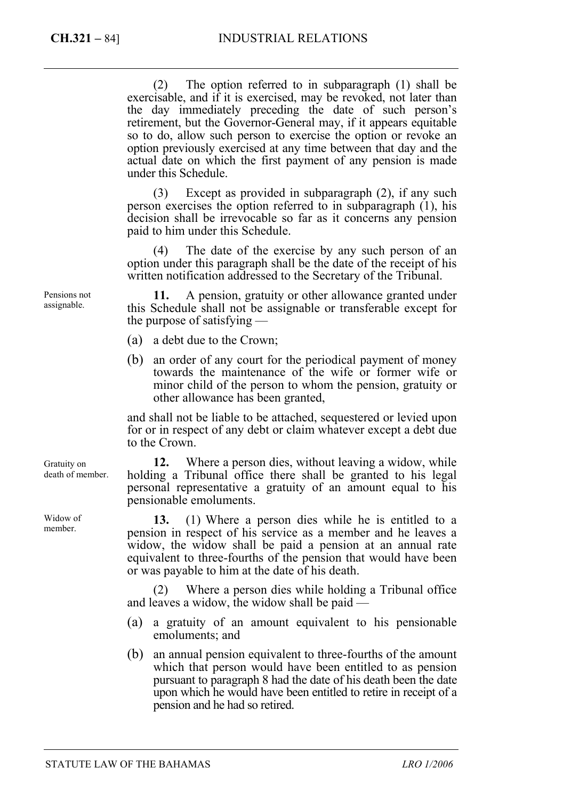(2) The option referred to in subparagraph (1) shall be exercisable, and if it is exercised, may be revoked, not later than the day immediately preceding the date of such person's retirement, but the Governor-General may, if it appears equitable so to do, allow such person to exercise the option or revoke an option previously exercised at any time between that day and the actual date on which the first payment of any pension is made under this Schedule.

(3) Except as provided in subparagraph (2), if any such person exercises the option referred to in subparagraph (1), his decision shall be irrevocable so far as it concerns any pension paid to him under this Schedule.

(4) The date of the exercise by any such person of an option under this paragraph shall be the date of the receipt of his written notification addressed to the Secretary of the Tribunal.

**11.** A pension, gratuity or other allowance granted under this Schedule shall not be assignable or transferable except for the purpose of satisfying —

- (a) a debt due to the Crown;
- (b) an order of any court for the periodical payment of money towards the maintenance of the wife or former wife or minor child of the person to whom the pension, gratuity or other allowance has been granted,

and shall not be liable to be attached, sequestered or levied upon for or in respect of any debt or claim whatever except a debt due to the Crown.

**12.** Where a person dies, without leaving a widow, while holding a Tribunal office there shall be granted to his legal personal representative a gratuity of an amount equal to his pensionable emoluments.

**13.** (1) Where a person dies while he is entitled to a pension in respect of his service as a member and he leaves a widow, the widow shall be paid a pension at an annual rate equivalent to three-fourths of the pension that would have been or was payable to him at the date of his death.

(2) Where a person dies while holding a Tribunal office and leaves a widow, the widow shall be paid —

- (a) a gratuity of an amount equivalent to his pensionable emoluments; and
- (b) an annual pension equivalent to three-fourths of the amount which that person would have been entitled to as pension pursuant to paragraph 8 had the date of his death been the date upon which he would have been entitled to retire in receipt of a pension and he had so retired.

Pensions not assignable.

Gratuity on death of member.

Widow of member.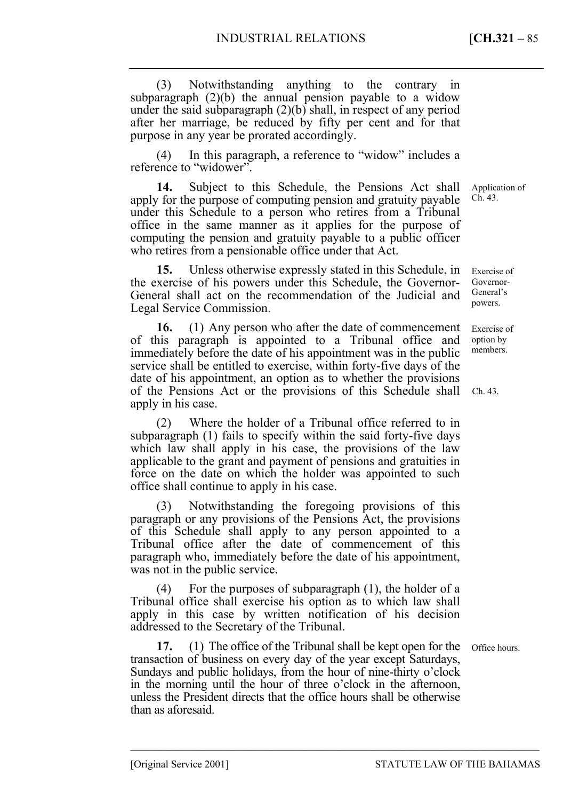(3) Notwithstanding anything to the contrary in subparagraph (2)(b) the annual pension payable to a widow under the said subparagraph (2)(b) shall, in respect of any period after her marriage, be reduced by fifty per cent and for that purpose in any year be prorated accordingly.

(4) In this paragraph, a reference to "widow" includes a reference to "widower".

**14.** Subject to this Schedule, the Pensions Act shall apply for the purpose of computing pension and gratuity payable under this Schedule to a person who retires from a Tribunal office in the same manner as it applies for the purpose of computing the pension and gratuity payable to a public officer who retires from a pensionable office under that Act.

**15.** Unless otherwise expressly stated in this Schedule, in the exercise of his powers under this Schedule, the Governor-General shall act on the recommendation of the Judicial and Legal Service Commission. Exercise of Governor-General's powers.

**16.** (1) Any person who after the date of commencement of this paragraph is appointed to a Tribunal office and immediately before the date of his appointment was in the public service shall be entitled to exercise, within forty-five days of the date of his appointment, an option as to whether the provisions of the Pensions Act or the provisions of this Schedule shall apply in his case.

(2) Where the holder of a Tribunal office referred to in subparagraph (1) fails to specify within the said forty-five days which law shall apply in his case, the provisions of the law applicable to the grant and payment of pensions and gratuities in force on the date on which the holder was appointed to such office shall continue to apply in his case.

(3) Notwithstanding the foregoing provisions of this paragraph or any provisions of the Pensions Act, the provisions of this Schedule shall apply to any person appointed to a Tribunal office after the date of commencement of this paragraph who, immediately before the date of his appointment, was not in the public service.

(4) For the purposes of subparagraph (1), the holder of a Tribunal office shall exercise his option as to which law shall apply in this case by written notification of his decision addressed to the Secretary of the Tribunal.

**17.** (1) The office of the Tribunal shall be kept open for the transaction of business on every day of the year except Saturdays, Sundays and public holidays, from the hour of nine-thirty o'clock in the morning until the hour of three o'clock in the afternoon, unless the President directs that the office hours shall be otherwise than as aforesaid.

–––––––––––––––––––––––––––––––––––––––––––––––––––––––––––––––––––––––––––––––

Office hours.

Exercise of option by members.

Ch. 43.

Application of Ch. 43.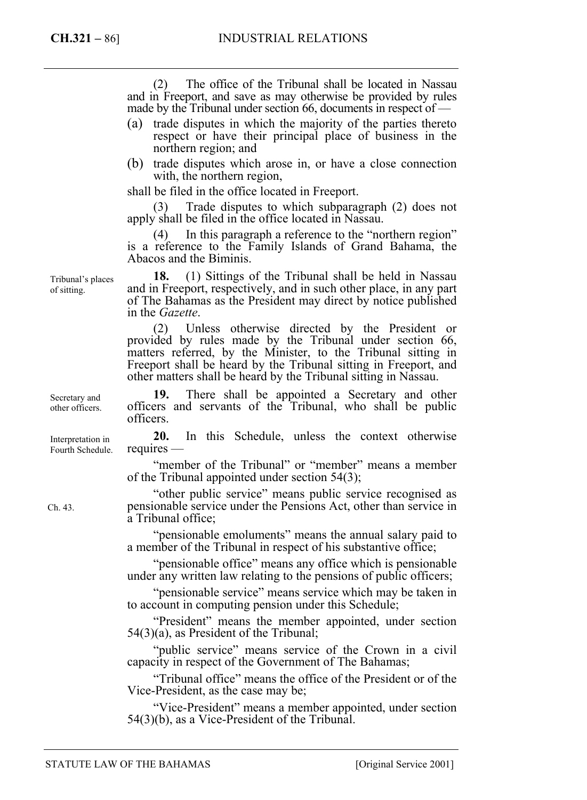(2) The office of the Tribunal shall be located in Nassau and in Freeport, and save as may otherwise be provided by rules made by the Tribunal under section 66, documents in respect of —

- (a) trade disputes in which the majority of the parties thereto respect or have their principal place of business in the northern region; and
- (b) trade disputes which arose in, or have a close connection with, the northern region,

shall be filed in the office located in Freeport.

Trade disputes to which subparagraph (2) does not apply shall be filed in the office located in Nassau.

(4) In this paragraph a reference to the "northern region" is a reference to the Family Islands of Grand Bahama, the Abacos and the Biminis.

**18.** (1) Sittings of the Tribunal shall be held in Nassau and in Freeport, respectively, and in such other place, in any part of The Bahamas as the President may direct by notice published in the *Gazette*.

(2) Unless otherwise directed by the President or provided by rules made by the Tribunal under section 66, matters referred, by the Minister, to the Tribunal sitting in Freeport shall be heard by the Tribunal sitting in Freeport, and other matters shall be heard by the Tribunal sitting in Nassau.

**19.** There shall be appointed a Secretary and other officers and servants of the Tribunal, who shall be public officers.

**20.** In this Schedule, unless the context otherwise requires —

"member of the Tribunal" or "member" means a member of the Tribunal appointed under section 54(3);

"other public service" means public service recognised as pensionable service under the Pensions Act, other than service in a Tribunal office;

"pensionable emoluments" means the annual salary paid to a member of the Tribunal in respect of his substantive office;

"pensionable office" means any office which is pensionable under any written law relating to the pensions of public officers;

"pensionable service" means service which may be taken in to account in computing pension under this Schedule;

"President" means the member appointed, under section 54(3)(a), as President of the Tribunal;

"public service" means service of the Crown in a civil capacity in respect of the Government of The Bahamas;

"Tribunal office" means the office of the President or of the Vice-President, as the case may be;

"Vice-President" means a member appointed, under section 54(3)(b), as a Vice-President of the Tribunal.

Tribunal's places of sitting.

Secretary and other officers.

Interpretation in Fourth Schedule.

Ch. 43.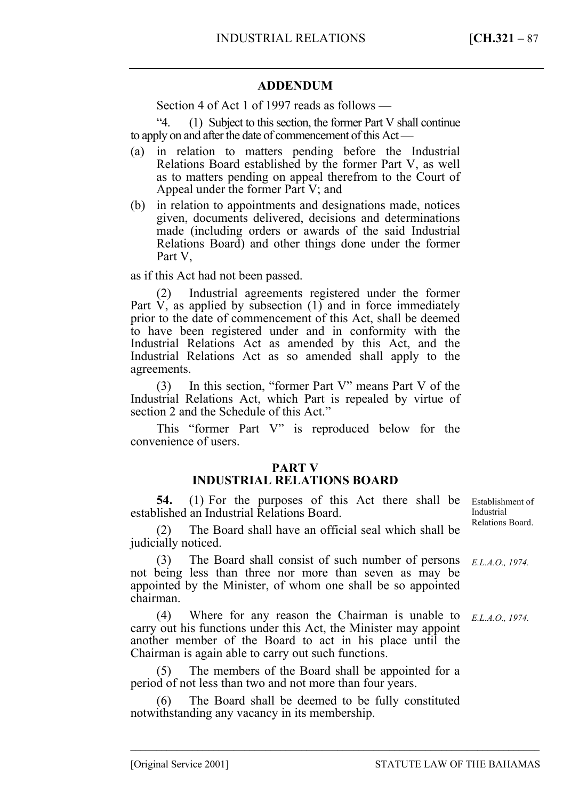## **ADDENDUM**

Section 4 of Act 1 of 1997 reads as follows —

"4. (1) Subject to this section, the former Part V shall continue to apply on and after the date of commencement of this Act —

- (a) in relation to matters pending before the Industrial Relations Board established by the former Part V, as well as to matters pending on appeal therefrom to the Court of Appeal under the former Part V; and
- (b) in relation to appointments and designations made, notices given, documents delivered, decisions and determinations made (including orders or awards of the said Industrial Relations Board) and other things done under the former Part V,

as if this Act had not been passed.

(2) Industrial agreements registered under the former Part  $\dot{V}$ , as applied by subsection  $(1)$  and in force immediately prior to the date of commencement of this Act, shall be deemed to have been registered under and in conformity with the Industrial Relations Act as amended by this Act, and the Industrial Relations Act as so amended shall apply to the agreements.

(3) In this section, "former Part V" means Part V of the Industrial Relations Act, which Part is repealed by virtue of section 2 and the Schedule of this Act."

This "former Part V" is reproduced below for the convenience of users.

## **PART V**

# **INDUSTRIAL RELATIONS BOARD**

**54.** (1) For the purposes of this Act there shall be Establishment of established an Industrial Relations Board.

The Board shall have an official seal which shall be judicially noticed.

(3) The Board shall consist of such number of persons not being less than three nor more than seven as may be appointed by the Minister, of whom one shall be so appointed chairman.

(4) Where for any reason the Chairman is unable to carry out his functions under this Act, the Minister may appoint another member of the Board to act in his place until the Chairman is again able to carry out such functions.

The members of the Board shall be appointed for a period of not less than two and not more than four years.

(6) The Board shall be deemed to be fully constituted notwithstanding any vacancy in its membership.

–––––––––––––––––––––––––––––––––––––––––––––––––––––––––––––––––––––––––––––––

Industrial Relations Board.

*E.L.A.O., 1974.* 

*E.L.A.O., 1974.*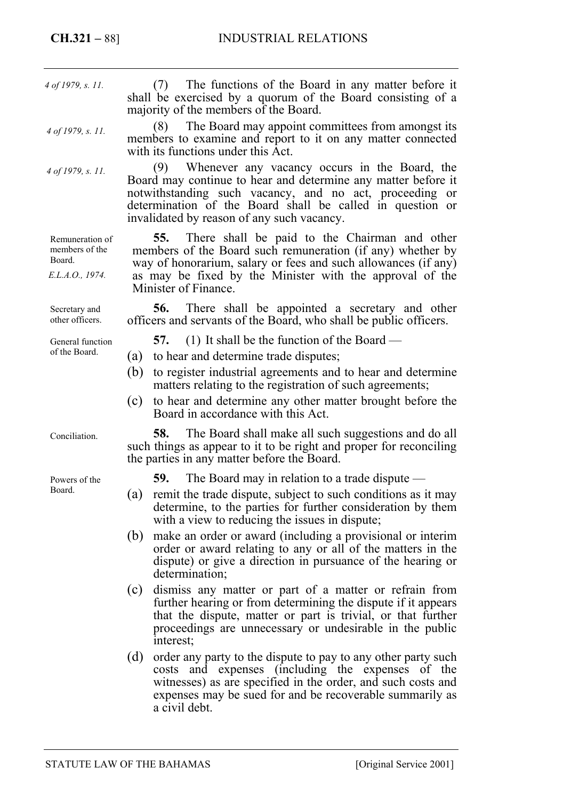(7) The functions of the Board in any matter before it shall be exercised by a quorum of the Board consisting of a majority of the members of the Board. (8) The Board may appoint committees from amongst its members to examine and report to it on any matter connected with its functions under this  $\tilde{A}ct$ . Whenever any vacancy occurs in the Board, the Board may continue to hear and determine any matter before it notwithstanding such vacancy, and no act, proceeding or determination of the Board shall be called in question or invalidated by reason of any such vacancy. **55.** There shall be paid to the Chairman and other members of the Board such remuneration (if any) whether by way of honorarium, salary or fees and such allowances (if any) as may be fixed by the Minister with the approval of the Minister of Finance. **56.** There shall be appointed a secretary and other officers and servants of the Board, who shall be public officers. **57.** (1) It shall be the function of the Board — (a) to hear and determine trade disputes; (b) to register industrial agreements and to hear and determine matters relating to the registration of such agreements; (c) to hear and determine any other matter brought before the Board in accordance with this Act. **58.** The Board shall make all such suggestions and do all such things as appear to it to be right and proper for reconciling the parties in any matter before the Board. **59.** The Board may in relation to a trade dispute — (a) remit the trade dispute, subject to such conditions as it may determine, to the parties for further consideration by them with a view to reducing the issues in dispute; (b) make an order or award (including a provisional or interim order or award relating to any or all of the matters in the dispute) or give a direction in pursuance of the hearing or determination; (c) dismiss any matter or part of a matter or refrain from further hearing or from determining the dispute if it appears that the dispute, matter or part is trivial, or that further proceedings are unnecessary or undesirable in the public interest; (d) order any party to the dispute to pay to any other party such *4 of 1979, s. 11. 4 of 1979, s. 11. 4 of 1979, s. 11.*  Remuneration of members of the Board. *E.L.A.O., 1974.*  Secretary and other officers. General function of the Board. Conciliation. Powers of the Board.

costs and expenses (including the expenses of the witnesses) as are specified in the order, and such costs and expenses may be sued for and be recoverable summarily as a civil debt.

STATUTE LAW OF THE BAHAMAS [Original Service 2001]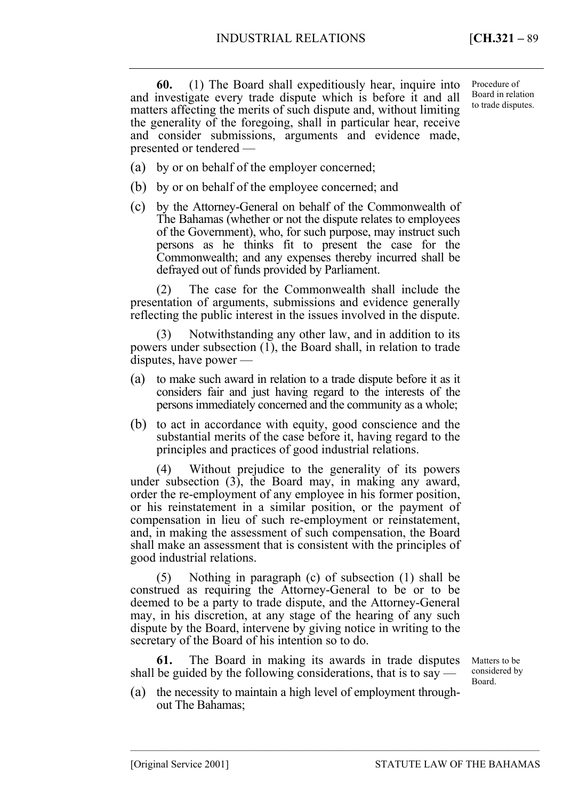**60.** (1) The Board shall expeditiously hear, inquire into and investigate every trade dispute which is before it and all matters affecting the merits of such dispute and, without limiting the generality of the foregoing, shall in particular hear, receive and consider submissions, arguments and evidence made, presented or tendered —

Procedure of Board in relation to trade disputes.

- (a) by or on behalf of the employer concerned;
- (b) by or on behalf of the employee concerned; and
- (c) by the Attorney-General on behalf of the Commonwealth of The Bahamas (whether or not the dispute relates to employees of the Government), who, for such purpose, may instruct such persons as he thinks fit to present the case for the Commonwealth; and any expenses thereby incurred shall be defrayed out of funds provided by Parliament.

(2) The case for the Commonwealth shall include the presentation of arguments, submissions and evidence generally reflecting the public interest in the issues involved in the dispute.

(3) Notwithstanding any other law, and in addition to its powers under subsection (1), the Board shall, in relation to trade disputes, have power —

- (a) to make such award in relation to a trade dispute before it as it considers fair and just having regard to the interests of the persons immediately concerned and the community as a whole;
- (b) to act in accordance with equity, good conscience and the substantial merits of the case before it, having regard to the principles and practices of good industrial relations.

(4) Without prejudice to the generality of its powers under subsection (3), the Board may, in making any award, order the re-employment of any employee in his former position, or his reinstatement in a similar position, or the payment of compensation in lieu of such re-employment or reinstatement, and, in making the assessment of such compensation, the Board shall make an assessment that is consistent with the principles of good industrial relations.

(5) Nothing in paragraph (c) of subsection (1) shall be construed as requiring the Attorney-General to be or to be deemed to be a party to trade dispute, and the Attorney-General may, in his discretion, at any stage of the hearing of any such dispute by the Board, intervene by giving notice in writing to the secretary of the Board of his intention so to do.

**61.** The Board in making its awards in trade disputes shall be guided by the following considerations, that is to say  $\cdot$ 

Matters to be considered by Board.

(a) the necessity to maintain a high level of employment throughout The Bahamas;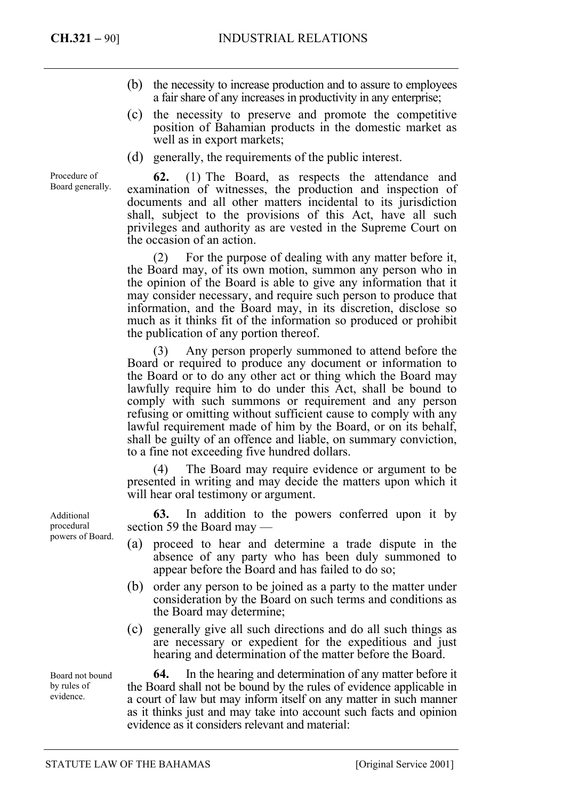Procedure of Board generally.

- (b) the necessity to increase production and to assure to employees a fair share of any increases in productivity in any enterprise;
- (c) the necessity to preserve and promote the competitive position of Bahamian products in the domestic market as well as in export markets;
- (d) generally, the requirements of the public interest.

**62.** (1) The Board, as respects the attendance and examination of witnesses, the production and inspection of documents and all other matters incidental to its jurisdiction shall, subject to the provisions of this Act, have all such privileges and authority as are vested in the Supreme Court on the occasion of an action.

(2) For the purpose of dealing with any matter before it, the Board may, of its own motion, summon any person who in the opinion of the Board is able to give any information that it may consider necessary, and require such person to produce that information, and the Board may, in its discretion, disclose so much as it thinks fit of the information so produced or prohibit the publication of any portion thereof.

(3) Any person properly summoned to attend before the Board or required to produce any document or information to the Board or to do any other act or thing which the Board may lawfully require him to do under this Act, shall be bound to comply with such summons or requirement and any person refusing or omitting without sufficient cause to comply with any lawful requirement made of him by the Board, or on its behalf, shall be guilty of an offence and liable, on summary conviction, to a fine not exceeding five hundred dollars.

(4) The Board may require evidence or argument to be presented in writing and may decide the matters upon which it will hear oral testimony or argument.

**63.** In addition to the powers conferred upon it by section 59 the Board may —

- (a) proceed to hear and determine a trade dispute in the absence of any party who has been duly summoned to appear before the Board and has failed to do so;
- (b) order any person to be joined as a party to the matter under consideration by the Board on such terms and conditions as the Board may determine;
- (c) generally give all such directions and do all such things as are necessary or expedient for the expeditious and just hearing and determination of the matter before the Board.

**64.** In the hearing and determination of any matter before it the Board shall not be bound by the rules of evidence applicable in a court of law but may inform itself on any matter in such manner as it thinks just and may take into account such facts and opinion evidence as it considers relevant and material:

Additional procedural powers of Board.

Board not bound by rules of evidence.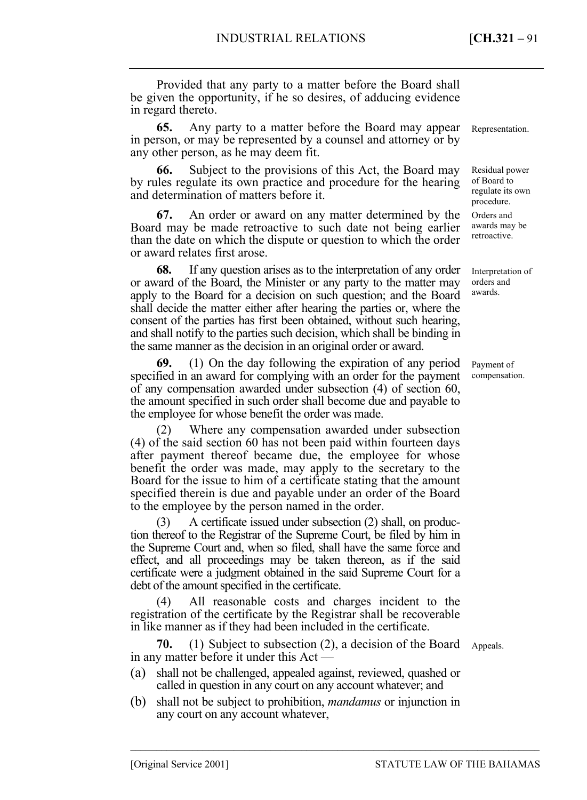Provided that any party to a matter before the Board shall be given the opportunity, if he so desires, of adducing evidence in regard thereto.

**65.** Any party to a matter before the Board may appear in person, or may be represented by a counsel and attorney or by any other person, as he may deem fit.

**66.** Subject to the provisions of this Act, the Board may by rules regulate its own practice and procedure for the hearing and determination of matters before it.

**67.** An order or award on any matter determined by the Board may be made retroactive to such date not being earlier than the date on which the dispute or question to which the order or award relates first arose.

**68.** If any question arises as to the interpretation of any order or award of the Board, the Minister or any party to the matter may apply to the Board for a decision on such question; and the Board shall decide the matter either after hearing the parties or, where the consent of the parties has first been obtained, without such hearing, and shall notify to the parties such decision, which shall be binding in the same manner as the decision in an original order or award.

**69.** (1) On the day following the expiration of any period specified in an award for complying with an order for the payment of any compensation awarded under subsection (4) of section 60, the amount specified in such order shall become due and payable to the employee for whose benefit the order was made.

(2) Where any compensation awarded under subsection (4) of the said section 60 has not been paid within fourteen days after payment thereof became due, the employee for whose benefit the order was made, may apply to the secretary to the Board for the issue to him of a certificate stating that the amount specified therein is due and payable under an order of the Board to the employee by the person named in the order.

(3) A certificate issued under subsection (2) shall, on production thereof to the Registrar of the Supreme Court, be filed by him in the Supreme Court and, when so filed, shall have the same force and effect, and all proceedings may be taken thereon, as if the said certificate were a judgment obtained in the said Supreme Court for a debt of the amount specified in the certificate.

(4) All reasonable costs and charges incident to the registration of the certificate by the Registrar shall be recoverable in like manner as if they had been included in the certificate.

**70.** (1) Subject to subsection (2), a decision of the Board Appeals. in any matter before it under this Act —

- (a) shall not be challenged, appealed against, reviewed, quashed or called in question in any court on any account whatever; and
- (b) shall not be subject to prohibition, *mandamus* or injunction in any court on any account whatever,

–––––––––––––––––––––––––––––––––––––––––––––––––––––––––––––––––––––––––––––––

Representation.

Residual power of Board to regulate its own procedure. Orders and awards may be retroactive.

Interpretation of orders and awards.

Payment of compensation.